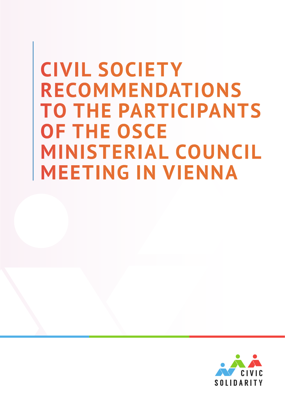# **CIVIL SOCIETY RECOMMENDATIONS TO THE PARTICIPANTS OF THE OSCE MINISTERIAL COUNCIL MEETING IN VIENNA**

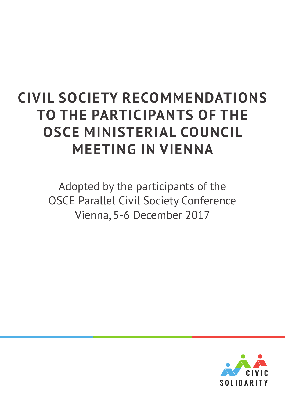## **CIVIL SOCIETY RECOMMENDATIONS TO THE PARTICIPANTS OF THE OSCE MINISTERIAL COUNCIL MEETING IN VIENNA**

Adopted by the participants of the OSCE Parallel Civil Society Conference Vienna, 5-6 December 2017

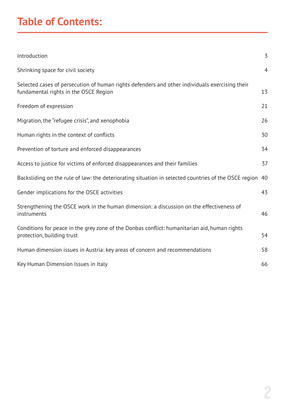## **Table of Contents:**

| Introduction                                                                                                                            | 3              |
|-----------------------------------------------------------------------------------------------------------------------------------------|----------------|
| Shrinking space for civil society                                                                                                       | $\overline{4}$ |
| Selected cases of persecution of human rights defenders and other individuals exercising their<br>fundamental rights in the OSCE Region | 13             |
| Freedom of expression                                                                                                                   | 21             |
| Migration, the "refugee crisis", and xenophobia                                                                                         | 26             |
| Human rights in the context of conflicts                                                                                                | 30             |
| Prevention of torture and enforced disappearances                                                                                       | 34             |
| Access to justice for victims of enforced disappearances and their families                                                             | 37             |
| Backsliding on the rule of law: the deteriorating situation in selected countries of the OSCE region                                    | 40             |
| Gender implications for the OSCE activities                                                                                             | 43             |
| Strengthening the OSCE work in the human dimension: a discussion on the effectiveness of<br>instruments                                 | 46             |
| Conditions for peace in the grey zone of the Donbas conflict: humanitarian aid, human rights<br>protection, building trust              | 54             |
| Human dimension issues in Austria: key areas of concern and recommendations                                                             | 58             |
| Key Human Dimension Issues in Italy                                                                                                     | 66             |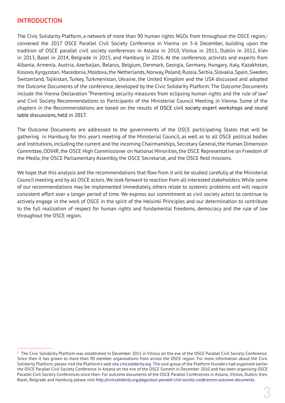#### **INTRODUCTION**

The Civic Solidarity Platform, a network of more than 90 human rights NGOs from throughout the OSCE region.<sup>1</sup> convened the 2017 OSCE Parallel Civil Society Conference in Vienna on 5-6 December, building upon the tradition of OSCE parallel civil society conferences in Astana in 2010, Vilnius in 2011, Dublin in 2012, Kiev in 2013, Basel in 2014, Belgrade in 2015, and Hamburg in 2016. At the conference, activists and experts from Albania, Armenia, Austria, Azerbaijan, Belarus, Belgium, Denmark, Georgia, Germany, Hungary, Italy, Kazakhstan, Kosovo, Kyrgyzstan, Macedonia, Moldova, the Netherlands, Norway, Poland, Russia, Serbia, Slovakia, Spain, Sweden, Switzerland, Tajikistan, Turkey, Turkmenistan, Ukraine, the United Kingdom and the USA discussed and adopted the Outcome Documents of the conference, developed by the Civic Solidarity Platform. The Outcome Documents include the Vienna Declaration "Preventing security measures from eclipsing human rights and the rule of law" and Civil Society Recommendations to Participants of the Ministerial Council Meeting in Vienna. Some of the chapters in the Recommendations are based on the results of OSCE civil society expert workshops and round table discussions, held in 2017.

The Outcome Documents are addressed to the governments of the OSCE participating States that will be gathering in Hamburg for this year's meeting of the Ministerial Council, as well as to all OSCE political bodies and institutions, including the current and the incoming Chairmanships, Secretary General, the Human Dimension Committee, ODIHR, the OSCE High Commissioner on National Minorities, the OSCE Representative on Freedom of the Media, the OSCE Parliamentary Assembly, the OSCE Secretariat, and the OSCE feld missions.

We hope that this analysis and the recommendations that flow from it will be studied carefully at the Ministerial Council meeting and by all OSCE actors. We look forward to reaction from all interested stakeholders. While some of our recommendations may be implemented immediately, others relate to systemic problems and will require consistent effort over a longer period of time. We express our commitment as civil society actors to continue to actively engage in the work of OSCE in the spirit of the Helsinki Principles and our determination to contribute to the full realization of respect for human rights and fundamental freedoms, democracy and the rule of law throughout the OSCE region.

 $1$  The Civic Solidarity Platform was established in December 2011 in Vilnius on the eve of the OSCE Parallel Civil Society Conference. Since then it has grown to more than 90 member organisations from across the OSCE region. For more information about the Civic Solidarity Platform, please visit the Platform's web site *[civicsolidarity.org](http://www.civicsolidarity.org)*. The core group of the Platform founders had organised earlier the OSCE Parallel Civil Society Conference in Astana on the eve of the OSCE Summit in December 2010 and has been organising OSCE Parallel Civil Society Conferences since then. For outcome documents of the OSCE Parallel Conferences in Astana, Vilnius, Dublin, Kiev, Basel, Belgrade and Hamburg please visit *<http://civicsolidarity.org/page/osce-parallel-civil-society-conferences-outcome-documents>.*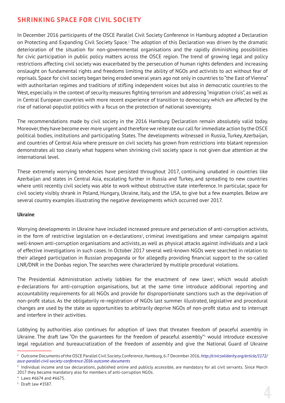### **SHRINKING SPACE FOR CIVIL SOCIETY**

In December 2016 participants of the OSCE Parallel Civil Society Conference in Hamburg adopted a Declaration on Protecting and Expanding Civil Society Space.<sup>2</sup> The adoption of this Declaration was driven by the dramatic deterioration of the situation for non-governmental organisations and the rapidly diminishing possibilities for civic participation in public policy matters across the OSCE region. The trend of growing legal and policy restrictions affecting civil society was exacerbated by the persecution of human rights defenders and increasing onslaught on fundamental rights and freedoms limiting the ability of NGOs and activists to act without fear of reprisals. Space for civil society began being eroded several years ago not only in countries to "the East of Vienna" with authoritarian regimes and traditions of stifing independent voices but also in democratic countries to the West, especially in the context of security measures fghting terrorism and addressing "migration crisis", as well as in Central European countries with more recent experience of transition to democracy which are affected by the rise of national-populist politics with a focus on the protection of national sovereignty.

The recommendations made by civil society in the 2016 Hamburg Declaration remain absolutely valid today. Moreover, they have become ever more urgent and therefore we reiterate our call for immediate action by the OSCE political bodies, institutions and participating States. The developments witnessed in Russia, Turkey, Azerbaijan, and countries of Central Asia where pressure on civil society has grown from restrictions into blatant repression demonstrates all too clearly what happens when shrinking civil society space is not given due attention at the international level.

These extremely worrying tendencies have persisted throughout 2017, continuing unabated in countries like Azerbaijan and states in Central Asia, escalating further in Russia and Turkey, and spreading to new countries where until recently civil society was able to work without obstructive state interference. In particular, space for civil society visibly shrank in Poland, Hungary, Ukraine, Italy, and the USA, to give but a few examples. Below are several country examples illustrating the negative developments which occurred over 2017.

#### **Ukraine**

Worrying developments in Ukraine have included increased pressure and persecution of anti-corruption activists, in the form of restrictive legislation on e-declarations<sup>3</sup>, criminal investigations and smear campaigns against well-known anti-corruption organisations and activists, as well as physical attacks against individuals and a lack of effective investigations in such cases. In October 2017 several well-known NGOs were searched in relation to their alleged participation in Russian propaganda or for allegedly providing fnancial support to the so-called LNR/DNR in the Donbas region. The searches were characterized by multiple procedural violations.

The Presidential Administration actively lobbies for the enactment of new laws<sup>4</sup>, which would abolish e-declarations for anti-corruption organisations, but at the same time introduce additional reporting and accountability requirements for all NGOs and provide for disproportionate sanctions such as the deprivation of non-proft status. As the obligatorily re-registration of NGOs last summer illustrated, legislative and procedural changes are used by the state as opportunities to arbitrarily deprive NGOs of non-proft status and to interrupt and interfere in their activities.

Lobbying by authorities also continues for adoption of laws that threaten freedom of peaceful assembly in Ukraine. The draft law "On the guarantees for the freedom of peaceful assembly"<sup>5</sup> would introduce excessive legal regulation and bureaucratization of the freedom of assembly and give the National Guard of Ukraine

<sup>2</sup> Outcome Documents of the OSCE Parallel Civil Society Conference, Hamburg, 6-7 December 2016, *[http://civicsolidarity.org/article/1172/](http://civicsolidarity.org/article/1172/osce-parallel-civil-society-conference-2016-outcome-documents) [osce-parallel-civil-society-conference-2016-outcome-documents](http://civicsolidarity.org/article/1172/osce-parallel-civil-society-conference-2016-outcome-documents)*

 $3$  Individual income and tax declarations, published online and publicly accessible, are mandatory for all civil servants. Since March 2017 they became mandatory also for members of anti-corruption NGOs.

<sup>4</sup> Laws #6674 and #6675.

<sup>5</sup> Draft law #3587.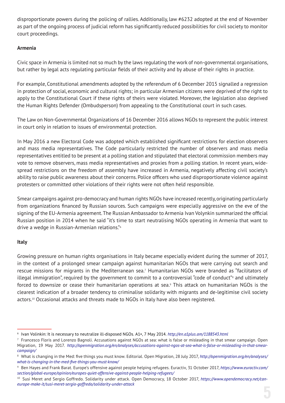disproportionate powers during the policing of rallies. Additionally, law #6232 adopted at the end of November as part of the ongoing process of judicial reform has signifcantly reduced possibilities for civil society to monitor court proceedings.

#### **Armenia**

Civic space in Armenia is limited not so much by the laws regulating the work of non-governmental organisations, but rather by legal acts regulating particular felds of their activity and by abuse of their rights in practice.

For example, Constitutional amendments adopted by the referendum of 6 December 2015 signalled a regression in protection of social, economic and cultural rights; in particular Armenian citizens were deprived of the right to apply to the Constitutional Court if these rights of theirs were violated. Moreover, the legislation also deprived the Human Rights Defender (Ombudsperson) from appealing to the Constitutional court in such cases.

The Law on Non-Governmental Organizations of 16 December 2016 allows NGOs to represent the public interest in court only in relation to issues of environmental protection.

In May 2016 a new Electoral Code was adopted which established signifcant restrictions for election observers and mass media representatives. The Code particularly restricted the number of observers and mass media representatives entitled to be present at a polling station and stipulated that electoral commission members may vote to remove observers, mass media representatives and proxies from a polling station. In recent years, widespread restrictions on the freedom of assembly have increased in Armenia, negatively affecting civil society's ability to raise public awareness about their concerns. Police offcers who used disproportionate violence against protesters or committed other violations of their rights were not often held responsible.

Smear campaigns against pro-democracy and human rights NGOs have increased recently, originating particularly from organizations fnanced by Russian sources. Such campaigns were especially aggressive on the eve of the signing of the EU-Armenia agreement. The Russian Ambassador to Armenia Ivan Volynkin summarized the offcial Russian position in 2014 when he said "it's time to start neutralising NGOs operating in Armenia that want to drive a wedge in Russian-Armenian relations."6

#### **Italy**

Growing pressure on human rights organisations in Italy became especially evident during the summer of 2017, in the context of a prolonged smear campaign against humanitarian NGOs that were carrying out search and rescue missions for migrants in the Mediterranean sea.7 Humanitarian NGOs were branded as "facilitators of illegal immigration", required by the government to commit to a controversial "code of conduct"<sup>8</sup> and ultimately forced to downsize or cease their humanitarian operations at sea.<sup>9</sup> This attack on humanitarian NGOs is the clearest indication of a broader tendency to criminalise solidarity with migrants and de-legitimise civil society actors.10 Occasional attacks and threats made to NGOs in Italy have also been registered.

<sup>6</sup> Ivan Volinkin: It is necessary to neutralize ill-disposed NGOs. A1+, 7 May 2014. *<http://en.a1plus.am/1188543.html>*

 $^7$  Francesco Floris and Lorenzo Bagnoli. Accusations against NGOs at sea: what is false or misleading in that smear campaign. Open Migration, 19 May 2017. *[http://openmigration.org/en/analyses/accusations-against-ngos-at-sea-what-is-false-or-misleading-in-that-smear](http://openmigration.org/en/analyses/accusations-against-ngos-at-sea-what-is-false-or-misleading-in-that-smear-campaign/)[campaign/](http://openmigration.org/en/analyses/accusations-against-ngos-at-sea-what-is-false-or-misleading-in-that-smear-campaign/)*

<sup>8</sup> What is changing in the Med: fve things you must know. Editorial. Open Migration, 28 July 2017, *[http://openmigration.org/en/analyses/](http://openmigration.org/en/analyses/what-is-changing-in-the-med-five-things-you-must-know/) [what-is-changing-in-the-med-fve-things-you-must-know/](http://openmigration.org/en/analyses/what-is-changing-in-the-med-five-things-you-must-know/)* 

<sup>9</sup> Ben Hayes and Frank Barat. Europe's offensive against people helping refugees. Euractiv, 31 October 2017[,](https://www.euractiv.com/section/global-europe/opinion/europes-quiet-offensive-against-people-helping-refugees/) *[https://www.euractiv.com/](https://www.euractiv.com/section/global-europe/opinion/europes-quiet-offensive-against-people-helping-refugees/) [section/global-europe/opinion/europes-quiet-offensive-against-people-helping-refugees/](https://www.euractiv.com/section/global-europe/opinion/europes-quiet-offensive-against-people-helping-refugees/)*

<sup>10</sup> Susi Meret and Sergio Goffredo. Solidarity under attack. Open Democracy, 18 October 2017[,](https://www.opendemocracy.net/can-europe-make-it/susi-meret-sergio-goffredo/solidarity-under-attack) *[https://www.opendemocracy.net/can](https://www.opendemocracy.net/can-europe-make-it/susi-meret-sergio-goffredo/solidarity-under-attack)[europe-make-it/susi-meret-sergio-goffredo/solidarity-under-attack](https://www.opendemocracy.net/can-europe-make-it/susi-meret-sergio-goffredo/solidarity-under-attack)*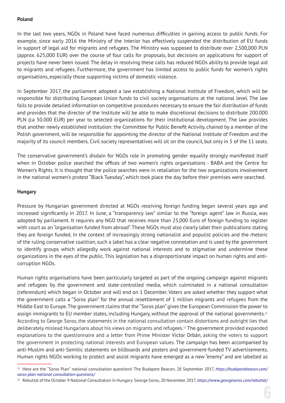#### **Poland**

In the last two years, NGOs in Poland have faced numerous diffculties in gaining access to public funds. For example, since early 2016 the Ministry of the Interior has effectively suspended the distribution of EU funds in support of legal aid for migrants and refugees. The Ministry was supposed to distribute over 2,500,000 PLN (approx. 625,000 EUR) over the course of four calls for proposals, but decisions on applications for support of projects have never been issued. The delay in resolving these calls has reduced NGOs ability to provide legal aid to migrants and refugees. Furthermore, the government has limited access to public funds for women's rights organisations, especially those supporting victims of domestic violence.

In September 2017, the parliament adopted a law establishing a National Institute of Freedom, which will be responsible for distributing European Union funds to civil society organisations at the national level. The law fails to provide detailed information on competitive procedures necessary to ensure the fair distribution of funds and provides that the director of the Institute will be able to make discretional decisions to distribute 200.000 PLN (ca 50.000 EUR) per year to selected organizations for their institutional development. The law provides that another newly established institution: the Committee for Public Beneft Activity, chaired by a member of the Polish government, will be responsible for appointing the director of the National Institute of Freedom and the majority of its council members. Civil society representatives will sit on the council, but only in 5 of the 11 seats.

The conservative government's disdain for NGOs role in promoting gender equality strongly manifested itself when in October police searched the offices of two women's rights organisations - BABA and the Centre for Women's Rights. It is thought that the police searches were in retaliation for the two organizations involvement in the national women's protest "Black Tuesday", which took place the day before their premises were searched.

#### **Hungary**

Pressure by Hungarian government directed at NGOs receiving foreign funding began several years ago and increased signifcantly in 2017. In June, a "transparency law" similar to the "foreign agent" law in Russia, was adopted by parliament. It requires any NGO that receives more than 25,000 Euro of foreign funding to register with court as an "organisation funded from abroad". These NGOs must also clearly label their publications stating they are foreign funded. In the context of increasingly strong nationalist and populist policies and the rhetoric of the ruling conservative coalition, such a label has a clear negative connotation and is used by the government to identify groups which allegedly work against national interests and to stigmatise and undermine these organizations in the eyes of the public. This legislation has a disproportionate impact on human rights and anticorruption NGOs.

Human rights organisations have been particularly targeted as part of the ongoing campaign against migrants and refugees by the government and state-controlled media, which culminated in a national consultation (referendum) which began in October and will end on 1 December. Voters are asked whether they support what the government calls a "Soros plan" for the annual resettlement of 1 million migrants and refugees from the Middle East to Europe. The government claims that the "Soros plan" gives the European Commission the power to assign immigrants to EU member states, including Hungary, without the approval of the national governments.<sup>11</sup> According to George Soros, the statements in the national consultation contain distortions and outright lies that deliberately mislead Hungarians about his views on migrants and refugees.12 The government provided expanded explanations to the questionnaire and a letter from Prime Minister Victor Orbán, asking the voters to support the government in protecting national interests and European values. The campaign has been accompanied by anti-Muslim and anti-Semitic statements on billboards and posters and government-funded TV advertisements. Human rights NGOs working to protect and assist migrants have emerged as a new "enemy" and are labelled as

<sup>11</sup> Here are the "Soros Plan" national consultation questions! The Budapest Beacon, 28 September 2017, *[https://budapestbeacon.com/](https://budapestbeacon.com/soros-plan-national-consultation-questions/) [soros-plan-national-consultation-questions/](https://budapestbeacon.com/soros-plan-national-consultation-questions/)*

<sup>12</sup> Rebuttal of the October 9 National Consultation in Hungary. George Soros, 20 November 2017, *<https://www.georgesoros.com/rebuttal/>*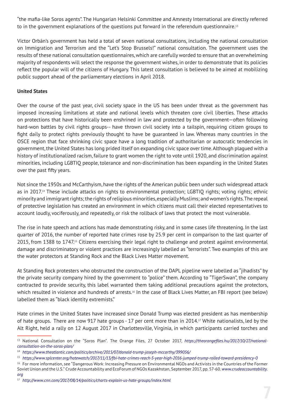"the mafa-like Soros agents". The Hungarian Helsinki Committee and Amnesty International are directly referred to in the government explanations of the questions put forward in the referendum questionnaire.<sup>13</sup>

Victor Orbán's government has held a total of seven national consultations, including the national consultation on Immigration and Terrorism and the "Let's Stop Brussels!" national consultation. The government uses the results of these national consultation questionnaires, which are carefully worded to ensure that an overwhelming majority of respondents will select the response the government wishes, in order to demonstrate that its policies refect the popular will of the citizens of Hungary. This latest consultation is believed to be aimed at mobilizing public support ahead of the parliamentary elections in April 2018.

#### **United States**

*[org](http://www.crudeaccountability.org)*

Over the course of the past year, civil society space in the US has been under threat as the government has imposed increasing limitations at state and national levels which threaten core civil liberties. These attacks on protections that have historically been enshrined in law and protected by the government—often following hard-won battles by civil rights groups-- have thrown civil society into a tailspin, requiring citizen groups to fght daily to protect rights previously thought to have be guaranteed in law. Whereas many countries in the OSCE region that face shrinking civic space have a long tradition of authoritarian or autocratic tendencies in government, the United States has long prided itself on expanding civic space over time. Although plagued with a history of institutionalized racism, failure to grant women the right to vote until 1920, and discrimination against minorities, including LGBTIQ people, tolerance and non-discrimination has been expanding in the United States over the past ffty years.

Not since the 1950s and McCarthyism, have the rights of the American public been under such widespread attack as in 2017.14 These include attacks on rights to environmental protection; LGBTIQ rights; voting rights; ethnic minority and immigrant rights; the rights of religious minorities, especially Muslims; and women's rights. The repeal of protective legislation has created an environment in which citizens must call their elected representatives to account loudly, vociferously, and repeatedly, or risk the rollback of laws that protect the most vulnerable.

The rise in hate speech and actions has made demonstrating risky, and in some cases life threatening. In the last quarter of 2016, the number of reported hate crimes rose by 25.9 per cent in comparison to the last quarter of 2015, from 1388 to 1747.15 Citizens exercising their legal right to challenge and protest against environmental damage and discriminatory or violent practices are increasingly labelled as "terrorists". Two examples of this are the water protectors at Standing Rock and the Black Lives Matter movement.

At Standing Rock protesters who obstructed the construction of the DAPL pipeline were labelled as "jihadists" by the private security company hired by the government to "police" them. According to "TigerSwan", the company contracted to provide security, this label warranted them taking additional precautions against the protectors, which resulted in violence and hundreds of arrests.<sup>16</sup> In the case of Black Lives Matter, an FBI report (see below) labelled them as "black identity extremists."

Hate crimes in the United States have increased since Donald Trump was elected president as has membership of hate groups. There are now 917 hate groups - 17 per cent more than in 2014.17 White nationalists, led by the Alt Right, held a rally on 12 August 2017 in Charlottesville, Virginia, in which participants carried torches and

<sup>16</sup> For more information, see "Dangerous Work: Increasing Pressure on Environmental NGOs and Activists in the Countries of the Former Soviet Union and the U.S." Crude Accountability and EcoForum of NGOs Kazakhstan, September 2017, pp. 57-60. *[www.crudeaccountability.](http://www.crudeaccountability.org)*

<sup>13</sup> National Consultation on the "Soros Plan". The Orange Files, 27 October 2017, *[https://theorangefles.hu/2017/10/27/national](https://theorangefiles.hu/2017/10/27/national-consultation-on-the-soros-plan/)[consultation-on-the-soros-plan/](https://theorangefiles.hu/2017/10/27/national-consultation-on-the-soros-plan/)*

<sup>14</sup> *<https://www.theatlantic.com/politics/archive/2015/07/donald-trump-joseph-mccarthy/399056/>*

<sup>15</sup> *<https://www.splcenter.org/hatewatch/2017/11/13/fbi-hate-crimes-reach-5-year-high-2016-jumped-trump-rolled-toward-presidency-0>*

<sup>17</sup> *<http://www.cnn.com/2017/08/14/politics/charts-explain-us-hate-groups/index.html>*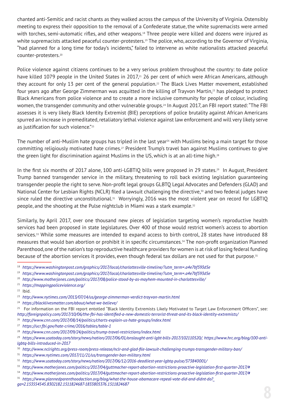chanted anti-Semitic and racist chants as they walked across the campus of the University of Virginia. Ostensibly meeting to express their opposition to the removal of a Confederate statue, the white supremacists were armed with torches, semi-automatic rifles, and other weapons.<sup>18</sup> Three people were killed and dozens were injured as white supremacists attacked peaceful counter-protesters.<sup>19</sup> The police, who, according to the Governor of Virginia, "had planned for a long time for today's incidents," failed to intervene as white nationalists attacked peaceful counter-protesters.20

Police violence against citizens continues to be a very serious problem throughout the country: to date police have killed 1079 people in the United States in 2017,<sup>21</sup> 26 per cent of which were African Americans, although they account for only 13 per cent of the general population.<sup>22</sup> The Black Lives Matter movement, established four years ago after George Zimmerman was acquitted in the killing of Trayvon Martin,<sup>23</sup> has pledged to protect Black Americans from police violence and to create a more inclusive community for people of colour, including women, the transgender community and other vulnerable groups.24 In August 2017, an FBI report stated: "The FBI assesses it is very likely Black Identity Extremist (BIE) perceptions of police brutality against African Americans spurred an increase in premeditated, retaliatory lethal violence against law enforcement and will very likely serve as justification for such violence."25

The number of anti-Muslim hate groups has tripled in the last year<sup>26</sup> with Muslims being a main target for those committing religiously motivated hate crimes.27 President Trump's travel ban against Muslims continues to give the green light for discrimination against Muslims in the US, which is at an all-time high.<sup>28</sup>

In the first six months of 2017 alone, 100 anti-LGBTIQ bills were proposed in 29 states.<sup>29</sup> In August, President Trump banned transgender service in the military, threatening to roll back existing legislation guaranteeing transgender people the right to serve. Non-proft legal groups GLBTQ Legal Advocates and Defenders (GLAD) and National Center for Lesbian Rights (NCLR) filed a lawsuit challenging the directive,<sup>30</sup> and two federal judges have since ruled the directive unconstitutional.<sup>31</sup> Worryingly, 2016 was the most violent year on record for LGBTIQ people, and the shooting at the Pulse nightclub in Miami was a stark example.32

Similarly, by April 2017, over one thousand new pieces of legislation targeting women's reproductive health services had been proposed in state legislatures. Over 400 of those would restrict women's access to abortion services.33 While some measures are intended to expand access to birth control, 28 states have introduced 88 measures that would ban abortion or prohibit it in specifc circumstances.34 The non-proft organization Planned Parenthood, one of the nation's top reproductive healthcare providers for women is at risk of losing federal funding because of the abortion services it provides, even though federal tax dollars are not used for that purpose.<sup>35</sup>

 $22$  Ibid.

- <sup>24</sup> *<https://blacklivesmatter.com/about/what-we-believe/>*
- <sup>25</sup> For information on the FBI report entotled "Black Identity Extremists Likely Motivated to Target Law Enforcement Officers", see: *[http://foreignpolicy.com/2017/10/06/the-fbi-has-identifed-a-new-domestic-terrorist-threat-and-its-black-identity-extremists/](http://foreignpolicy.com/2017/10/06/the-fbi-has-identified-a-new-domestic-terrorist-threat-and-its-black-identity-extremists/)*
- <sup>26</sup> *<http://www.cnn.com/2017/08/14/politics/charts-explain-us-hate-groups/index.html>*
- <sup>27</sup> *<https://ucr.fbi.gov/hate-crime/2016/tables/table-1>*
- <sup>28</sup> *<http://www.cnn.com/2017/09/24/politics/trump-travel-restrictions/index.html>*

- <sup>30</sup> *[http://www.nclrights.org/press-room/press-release/nclr-and-glad-fle-lawsuit-challenging-trumps-transgender-military-ban/](http://www.nclrights.org/press-room/press-release/nclr-and-glad-file-lawsuit-challenging-trumps-transgender-military-ban/)*
- <sup>31</sup> *<https://www.nytimes.com/2017/11/21/us/transgender-ban-military.html>*
- <sup>32</sup> *<https://www.usatoday.com/story/news/nation/2017/06/12/2016-deadliest-year-lgbtq-pulse/373840001/>*
- <sup>33</sup> *[http://www.motherjones.com/politics/2017/04/guttmacher-report-abortion-restrictions-proactive-legislation-frst-quarter-2017/#](http://www.motherjones.com/politics/2017/04/guttmacher-report-abortion-restrictions-proactive-legislation-first-quarter-2017/)*
- <sup>34</sup> *[http://www.motherjones.com/politics/2017/04/guttmacher-report-abortion-restrictions-proactive-legislation-frst-quarter-2017/#](http://www.motherjones.com/politics/2017/04/guttmacher-report-abortion-restrictions-proactive-legislation-first-quarter-2017/)*

<sup>35</sup> *[https://www.plannedparenthoodaction.org/blog/what-the-house-obamacare-repeal-vote-did-and-didnt-do?\\_](https://www.plannedparenthoodaction.org/blog/what-the-house-obamacare-repeal-vote-did-and-didnt-do?_ga=2.153554545.8302182.1511824687-1833805376.1511824687)*

*[ga=2.153554545.8302182.1511824687-1833805376.1511824687](https://www.plannedparenthoodaction.org/blog/what-the-house-obamacare-repeal-vote-did-and-didnt-do?_ga=2.153554545.8302182.1511824687-1833805376.1511824687)*

<sup>18</sup> *[https://www.washingtonpost.com/graphics/2017/local/charlottesville-timeline/?utm\\_term=.a4e7bf593d5e](https://www.washingtonpost.com/graphics/2017/local/charlottesville-timeline/?utm_term=.a4e7bf593d5e)*

<sup>19</sup> *[https://www.washingtonpost.com/graphics/2017/local/charlottesville-timeline/?utm\\_term=.a4e7bf593d5e](https://www.washingtonpost.com/graphics/2017/local/charlottesville-timeline/?utm_term=.a4e7bf593d5e)*

<sup>20</sup> *<http://www.motherjones.com/politics/2017/08/police-stood-by-as-mayhem-mounted-in-charlottesville/>*

<sup>21</sup> *<https://mappingpoliceviolence.org/>*

<sup>23</sup> *<http://www.nytimes.com/2013/07/14/us/george-zimmerman-verdict-trayvon-martin.html>*

<sup>29</sup> *[https://www.usatoday.com/story/news/nation/2017/06/01/onslaught-anti-lgbt-bills-2017/102110520/,](https://www.usatoday.com/story/news/nation/2017/06/01/onslaught-anti-lgbt-bills-2017/102110520/) [https://www.hrc.org/blog/100-anti](https://www.hrc.org/blog/100-anti-lgbtq-bills-introduced-in-2017)[lgbtq-bills-introduced-in-2017](https://www.hrc.org/blog/100-anti-lgbtq-bills-introduced-in-2017)*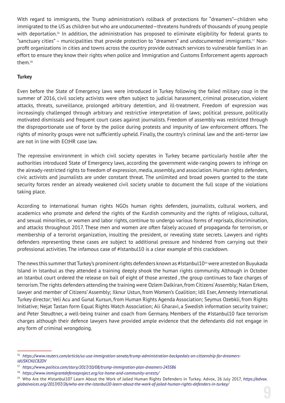With regard to immigrants, the Trump administration's rollback of protections for "dreamers"—children who immigrated to the US as children but who are undocumented—threatens hundreds of thousands of young people with deportation.<sup>36</sup> In addition, the administration has proposed to eliminate eligibility for federal grants to "sanctuary cities" – municipalities that provide protection to "dreamers" and undocumented immigrants.37 Nonproft organizations in cities and towns across the country provide outreach services to vulnerable families in an effort to ensure they know their rights when police and Immigration and Customs Enforcement agents approach them.38

#### **Turkey**

Even before the State of Emergency laws were introduced in Turkey following the failed military coup in the summer of 2016, civil society activists were often subject to judicial harassment, criminal prosecution, violent attacks, threats, surveillance, prolonged arbitrary detention, and ill-treatment. Freedom of expression was increasingly challenged through arbitrary and restrictive interpretation of laws; political pressure, politically motivated dismissals and frequent court cases against journalists. Freedom of assembly was restricted through the disproportionate use of force by the police during protests and impunity of law enforcement offcers. The rights of minority groups were not suffciently upheld. Finally, the country's criminal law and the anti-terror law are not in line with ECtHR case law.

The repressive environment in which civil society operates in Turkey became particularly hostile after the authorities introduced State of Emergency laws, according the government wide-ranging powers to infringe on the already-restricted rights to freedom of expression, media, assembly, and association. Human rights defenders, civic activists and journalists are under constant threat. The unlimited and broad powers granted to the state security forces render an already weakened civil society unable to document the full scope of the violations taking place.

According to international human rights NGOs human rights defenders, journalists, cultural workers, and academics who promote and defend the rights of the Kurdish community and the rights of religious, cultural, and sexual minorities, or women and labor rights, continue to undergo various forms of reprisals, discrimination, and attacks throughout 2017. These men and women are often falsely accused of propaganda for terrorism, or membership of a terrorist organization, insulting the president, or revealing state secrets. Lawyers and rights defenders representing these cases are subject to additional pressure and hindered from carrying out their professional activities. The infamous case of #Istanbul10 is a clear example of this crackdown.

The news this summer that Turkey's prominent rights defenders known as #Istanbul1039 were arrested on Buyukada Island in Istanbul as they attended a training deeply shook the human rights community. Although in October an Istanbul court ordered the release on bail of eight of those arrested , the group continues to face charges of terrorism. The rights defenders attending the training were Ozlem Dalkiran, from Citizens' Assembly; Nalan Erkem, lawyer and member of Citizens' Assembly; Ilknur Ustun, from Women's Coalition; Idil Eser, Amnesty International Turkey director; Veli Acu and Gunal Kursun, from Human Rights Agenda Association; Seymus Ozebkli, from Rights Initiative; Nejat Tastan form Equal Rights Watch Association; Ali Gharavi, a Swedish information security trainer; and Peter Steudtner, a well-being trainer and coach from Germany. Members of the #Istanbul10 face terrorism charges although their defence lawyers have provided ample evidence that the defendants did not engage in any form of criminal wrongdoing.

<sup>36</sup> *[https://www.reuters.com/article/us-usa-immigration-senate/trump-administration-backpedals-on-citizenship-for-dreamers](https://www.reuters.com/article/us-usa-immigration-senate/trump-administration-backpedals-on-citizenship-for-dreamers-idUSKCN1C82DV)[idUSKCN1C82DV](https://www.reuters.com/article/us-usa-immigration-senate/trump-administration-backpedals-on-citizenship-for-dreamers-idUSKCN1C82DV)*

<sup>37</sup> *<https://www.politico.com/story/2017/10/08/trump-immigration-plan-dreamers-243586>*

<sup>38</sup> *<https://www.immigrantdefenseproject.org/ice-home-and-community-arrests/>*

<sup>39</sup> Who Are the #Istanbul10? Learn About the Work of Jailed Human Rights Defenders in Turkey. Advox, 26 July 2017, *[https://advox.](https://advox.globalvoices.org/2017/07/26/who-are-the-istanbul10-learn-about-the-work-of-jailed-human-rights-defenders-in-turkey/) [globalvoices.org/2017/07/26/who-are-the-istanbul10-learn-about-the-work-of-jailed-human-rights-defenders-in-turkey/](https://advox.globalvoices.org/2017/07/26/who-are-the-istanbul10-learn-about-the-work-of-jailed-human-rights-defenders-in-turkey/)*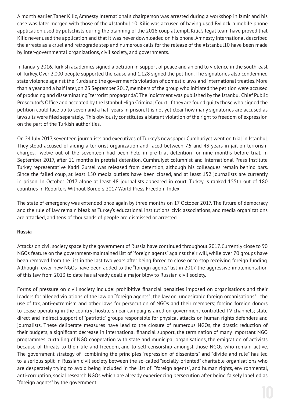A month earlier, Taner Kilic, Amnesty International's chairperson was arrested during a workshop in Izmir and his case was later merged with those of the #Istanbul 10. Kilic was accused of having used ByLock, a mobile phone application used by putschists during the planning of the 2016 coup attempt. Kilic's legal team have proved that Kilic never used the application and that it was never downloaded on his phone. Amnesty International described the arrests as a cruel and retrograde step and numerous calls for the release of the #Istanbul10 have been made by inter-governmental organizations, civil society, and governments.

In January 2016, Turkish academics signed a petition in support of peace and an end to violence in the south-east of Turkey. Over 2,000 people supported the cause and 1,128 signed the petition. The signatories also condemned state violence against the Kurds and the government's violation of domestic laws and international treaties. More than a year and a half later, on 23 September 2017, members of the group who initiated the petition were accused of producing and disseminating "terrorist propaganda". The indictment was published by the Istanbul Chief Public Prosecutor's Office and accepted by the Istanbul High Criminal Court. If they are found quilty those who signed the petition could face up to seven and a half years in prison. It is not yet clear how many signatories are accused as lawsuits were fled separately. This obviously constitutes a blatant violation of the right to freedom of expression on the part of the Turkish authorities.

On 24 July 2017, seventeen journalists and executives of Turkey's newspaper Cumhuriyet went on trial in Istanbul. They stood accused of aiding a terrorist organization and faced between 7.5 and 43 years in jail on terrorism charges. Twelve out of the seventeen had been held in pre-trial detention for nine months before trial. In September 2017, after 11 months in pretrial detention, Cumhruiyet columnist and International Press Institute Turkey representative Kadri Gursel was released from detention, although his colleagues remain behind bars. Since the failed coup, at least 150 media outlets have been closed, and at least 152 journalists are currently in prison. In October 2017 alone at least 48 journalists appeared in court. Turkey is ranked 155th out of 180 countries in Reporters Without Borders 2017 World Press Freedom Index.

The state of emergency was extended once again by three months on 17 October 2017. The future of democracy and the rule of law remain bleak as Turkey's educational institutions, civic associations, and media organizations are attacked, and tens of thousands of people are dismissed or arrested.

#### **Russia**

Attacks on civil society space by the government of Russia have continued throughout 2017. Currently close to 90 NGOs feature on the government-maintained list of "foreign agents" against their will, while over 70 groups have been removed from the list in the last two years after being forced to close or to stop receiving foreign funding. Although fewer new NGOs have been added to the "foreign agents" list in 2017, the aggressive implementation of this law from 2013 to date has already dealt a major blow to Russian civil society.

Forms of pressure on civil society include: prohibitive fnancial penalties imposed on organisations and their leaders for alleged violations of the law on "foreign agents"; the law on "undesirable foreign organisations"; the use of tax, anti-extremism and other laws for persecution of NGOs and their members; forcing foreign donors to cease operating in the country; hostile smear campaigns aired on government-controlled TV channels; state direct and indirect support of "patriotic" groups responsible for physical attacks on human rights defenders and journalists. These deliberate measures have lead to the closure of numerous NGOs, the drastic reduction of their budgets, a signifcant decrease in international fnancial support, the termination of many important NGO programmes, curtailing of NGO cooperation with state and municipal organisations, the emigration of activists because of threats to their life and freedom, and to self-censorship amongst those NGOs who remain active. The government strategy of combining the principles "repression of dissenters" and "divide and rule" has led to a serious split in Russian civil society between the so-called "socially-oriented" charitable organisations who are desperately trying to avoid being included in the list of "foreign agents", and human rights, environmental, anti-corruption, social research NGOs which are already experiencing persecution after being falsely labelled as "foreign agents" by the government.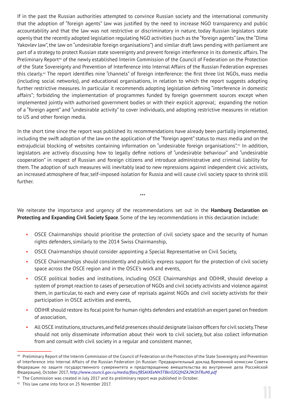If in the past the Russian authorities attempted to convince Russian society and the international community that the adoption of "foreign agents" law was justifed by the need to increase NGO transparency and public accountability and that the law was not restrictive or discriminatory in nature, today Russian legislators state openly that the recently adopted legislation regulating NGO activities (such as the "foreign agents" law, the "Dima Yakovlev law", the law on "undesirable foreign organisations") and similar draft laws pending with parliament are part of a strategy to protect Russian state sovereignty and prevent foreign interference in its domestic affairs. The Preliminary Report<sup>40</sup> of the newly established Interim Commission of the Council of Federation on the Protection of the State Sovereignty and Prevention of Interference into Internal Affairs of the Russian Federation expresses this clearly.41 The report identifes nine "channels" of foreign interference: the frst three list NGOs, mass media (including social networks), and educational organisations, in relation to which the report suggests adopting further restrictive measures. In particular it recommends adopting legislation defning "interference in domestic affairs"; forbidding the implementation of programmes funded by foreign government sources except when implemented jointly with authorised government bodies or with their explicit approval; expanding the notion of a "foreign agent" and "undesirable activity" to cover individuals, and adopting restrictive measures in relation to US and other foreign media.

In the short time since the report was published its recommendations have already been partially implemented, including the swift adoption of the law on the application of the "foreign agent" status to mass media and on the extrajudicial blocking of websites containing information on "undesirable foreign organisations".<sup>42</sup> In addition, legislators are actively discussing how to legally defne notions of "undesirable behaviour" and "undesirable cooperation" in respect of Russian and foreign citizens and introduce administrative and criminal liability for them. The adoption of such measures will inevitably lead to new repressions against independent civic activists, an increased atmosphere of fear, self-imposed isolation for Russia and will cause civil society space to shrink still further.

We reiterate the importance and urgency of the recommendations set out in the **Hamburg Declaration on Protecting and Expanding Civil Society Space**. Some of the key recommendations in this declaration include:

\*\*\*

- **•** OSCE Chairmanships should prioritise the protection of civil society space and the security of human rights defenders, similarly to the 2014 Swiss Chairmanship,
- **•** OSCE Chairmanships should consider appointing a Special Representative on Civil Society,
- **•** OSCE Chairmanships should consistently and publicly express support for the protection of civil society space across the OSCE region and in the OSCE's work and events,
- **•** OSCE political bodies and institutions, including OSCE Chairmanships and ODIHR, should develop a system of prompt reaction to cases of persecution of NGOs and civil society activists and violence against them, in particular, to each and every case of reprisals against NGOs and civil society activists for their participation in OSCE activities and events,
- **•** ODIHR should restore its focal point for human rights defenders and establish an expert panel on freedom of association,
- **•** All OSCE institutions, structures, and feld presences should designate liaison offcers for civil society. These should not only disseminate information about their work to civil society, but also collect information from and consult with civil society in a regular and consistent manner,

<sup>40</sup> Preliminary Report of the Interim Commission of the Council of Federation on the Protection of the State Sovereignty and Prevention of Interference into Internal Affairs of the Russian Federation (in Russian: Предварительный доклад Временной комиссии Совета Федерации по защите государственного суверенитета и предотвращению вмешательства во внутренние дела Российской Федерации), October 2017[,](http://www.council.gov.ru/media/files/f8SAIXEeNH3T8krO2G1fHZA2W2hTRuMJ.pdf) *[http://www.council.gov.ru/media/fles/f8SAIXEeNH3T8krO2G1fHZA2W2hTRuMJ.pdf](http://www.council.gov.ru/media/files/f8SAIXEeNH3T8krO2G1fHZA2W2hTRuMJ.pdf)*

<sup>41</sup> The Commission was created in July 2017 and its preliminary report was published in October.

<sup>&</sup>lt;sup>42</sup> This law came into force on 25 November 2017.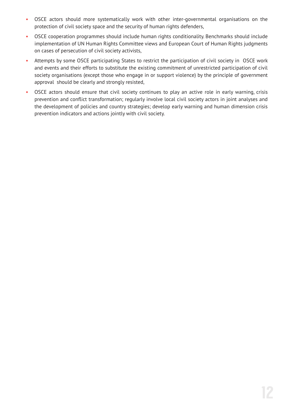- **•** OSCE actors should more systematically work with other inter-governmental organisations on the protection of civil society space and the security of human rights defenders,
- **•** OSCE cooperation programmes should include human rights conditionality. Benchmarks should include implementation of UN Human Rights Committee views and European Court of Human Rights judgments on cases of persecution of civil society activists,
- **•** Attempts by some OSCE participating States to restrict the participation of civil society in OSCE work and events and their efforts to substitute the existing commitment of unrestricted participation of civil society organisations (except those who engage in or support violence) by the principle of government approval should be clearly and strongly resisted,
- **•** OSCE actors should ensure that civil society continues to play an active role in early warning, crisis prevention and confict transformation; regularly involve local civil society actors in joint analyses and the development of policies and country strategies; develop early warning and human dimension crisis prevention indicators and actions jointly with civil society.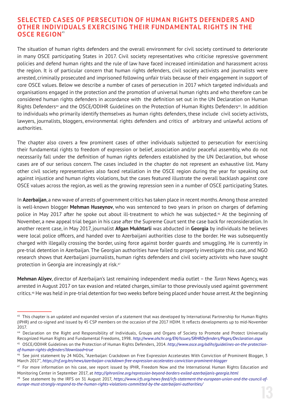#### **SELECTED CASES OF PERSECUTION OF HUMAN RIGHTS DEFENDERS AND OTHER INDIVIDUALS EXERCISING THEIR FUNDAMENTAL RIGHTS IN THE OSCE REGION**<sup>43</sup>

The situation of human rights defenders and the overall environment for civil society continued to deteriorate in many OSCE participating States in 2017. Civil society representatives who criticise repressive government policies and defend human rights and the rule of law have faced increased intimidation and harassment across the region. It is of particular concern that human rights defenders, civil society activists and journalists were arrested, criminally prosecuted and imprisoned following unfair trials because of their engagement in support of core OSCE values. Below we describe a number of cases of persecution in 2017 which targeted individuals and organisations engaged in the protection and the promotion of universal human rights and who therefore can be considered human rights defenders in accordance with the defnition set out in the UN Declaration on Human Rights Defenders<sup>44</sup> and the OSCE/ODIHR Guidelines on the Protection of Human Rights Defenders<sup>45</sup>. In addition to individuals who primarily identify themselves as human rights defenders, these include civil society activists, lawyers, journalists, bloggers, environmental rights defenders and critics of arbitrary and unlawful actions of authorities.

The chapter also covers a few prominent cases of other individuals subjected to persecution for exercising their fundamental rights to freedom of expression or belief, association and/or peaceful assembly, who do not necessarily fall under the defnition of human rights defenders established by the UN Declaration, but whose cases are of our serious concern. The cases included in the chapter do not represent an exhaustive list. Many other civil society representatives also faced retaliation in the OSCE region during the year for speaking out against injustice and human rights violations, but the cases featured illustrate the overall backlash against core OSCE values across the region, as well as the growing repression seen in a number of OSCE participating States.

In **Azerbaijan**, a new wave of arrests of government critics has taken place in recent months. Among those arrested is well-known blogger **Mehman Huseynov**, who was sentenced to two years in prison on charges of defaming police in May 2017 after he spoke out about ill-treatment to which he was subjected.46 At the beginning of November, a new appeal trial began in his case after the Supreme Court sent the case back for reconsideration. In another recent case, in May 2017, journalist **Afgan Mukhtarli** was abducted in **Georgia** by individuals he believes were local police offcers, and handed over to Azerbaijani authorities close to the border. He was subsequently charged with illegally crossing the border, using force against border guards and smuggling. He is currently in pre-trial detention in Azerbaijan. The Georgian authorities have failed to properly investigate this case, and NGO research shows that Azerbaijani journalists, human rights defenders and civil society activists who have sought protection in Georgia are increasingly at risk.47

**Mehman Aliyev**, director of Azerbaijan's last remaining independent media outlet – the *Turan* News Agency, was arrested in August 2017 on tax evasion and related charges, similar to those previously used against government critics.48 He was held in pre-trial detention for two weeks before being placed under house arrest. At the beginning

<sup>&</sup>lt;sup>43</sup> This chapter is an updated and expanded version of a statement that was developed by International Partnership for Human Rights (IPHR) and co-signed and issued by 45 CSP members on the occasion of the 2017 HDIM. It refects developments up to mid-November 2017.

<sup>44</sup> Declaration on the Right and Responsibility of Individuals, Groups and Organs of Society to Promote and Protect Universally Recognized Human Rights and Fundamental Freedoms, 1998. *<http://www.ohchr.org/EN/Issues/SRHRDefenders/Pages/Declaration.aspx>*

<sup>45</sup> OSCE/ODIHR Guidelines on the Protection of Human Rights Defenders, 2014. *[http://www.osce.org/odihr/guidelines-on-the-protection](http://www.osce.org/odihr/guidelines-on-the-protection-of-human-rights-defenders?download=true)[of-human-rights-defenders?download=true](http://www.osce.org/odihr/guidelines-on-the-protection-of-human-rights-defenders?download=true)*

<sup>46</sup> See joint statement by 24 NGOs, "Azerbaijan: Crackdown on Free Expression Accelerates With Conviction of Prominent Blogger, 3 March 2017", *https://rsf.org/en/news/azerbaijan-crackdown-free-expression-accelerates-conviction-prominent-blogger*

<sup>47</sup> For more information on his case, see report issued by IPHR, Freedom Now and the International Human Rights Education and Monitoring Center in September 2017, at *http://iphronline.org/repression-beyond-borders-exiled-azerbaijanis-georgia.html*

<sup>48</sup> See statement by the IRFS on 31 August 2017, *https://www.irfs.org/news-feed/irfs-statement-the-european-union-and-the-council-ofeurope-must-strongly-respond-to-the-human-rights-violations-committed-by-the-azerbaijani-authorities/*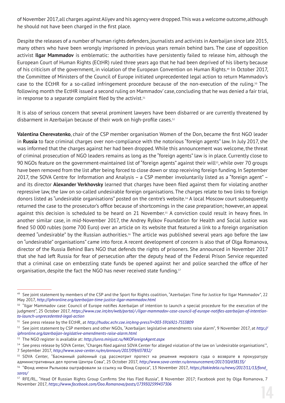of November 2017, all charges against Aliyev and his agency were dropped. This was a welcome outcome, although he should not have been charged in the frst place.

Despite the releases of a number of human rights defenders, journalists and activists in Azerbaijan since late 2015, many others who have been wrongly imprisoned in previous years remain behind bars. The case of opposition activist **Ilgar Mammadov** is emblematic: the authorities have persistently failed to release him, although the European Court of Human Rights (ECtHR) ruled three years ago that he had been deprived of his liberty because of his criticism of the government, in violation of the European Convention on Human Rights.49 In October 2017, the Committee of Ministers of the Council of Europe initiated unprecedented legal action to return Mammadov's case to the ECtHR for a so-called infringement procedure because of the non-execution of the ruling.<sup>50</sup> The following month the EctHR issued a second ruling on Mammadov' case, concluding that he was denied a fair trial, in response to a separate complaint filed by the activist. $51$ 

It is also of serious concern that several prominent lawyers have been disbarred or are currently threatened by disbarment in Azerbaijan because of their work on high-profle cases.<sup>52</sup>

**Valentina Cherevatenko**, chair of the CSP member organisation Women of the Don, became the frst NGO leader in **Russia** to face criminal charges over non-compliance with the notorious "foreign agents" law. In July 2017, she was informed that the charges against her had been dropped. While this announcement was welcome, the threat of criminal prosecution of NGO leaders remains as long as the "foreign agents" law is in place. Currently close to 90 NGOs feature on the government-maintained list of "foreign agents" against their will<sup>53</sup>, while over 70 groups have been removed from the list after being forced to close down or stop receiving foreign funding. In September 2017, the SOVA Centre for Information and Analysis – a CSP member involuntarily listed as a "foreign agent" – and its director **Alexander Verkhovsky** learned that charges have been fled against them for violating another repressive law, the law on so-called undesirable foreign organisations. The charges relate to two links to foreign donors listed as "undesirable organisations" posted on the centre's website.54 A local Moscow court subsequently returned the case to the prosecutor's offce because of shortcomings in the case preparation; however, an appeal against this decision is scheduled to be heard on 21 November.<sup>55</sup> A conviction could result in heavy fines. In another similar case, in mid-November 2017, the Andrey Rylkov Foundation for Health and Social Justice was fned 50 000 rubles (some 700 Euro) over an article on its website that featured a link to a foreign organisation deemed "undesirable" by the Russian authorities.56 The article was published several years ago before the law on "undesirable" organisations" came into force. A recent development of concern is also that of Olga Romanova, director of the Russia Behind Bars NGO that defends the rights of prisoners. She announced in November 2017 that she had left Russia for fear of persecution after the deputy head of the Federal Prison Service requested that a criminal case on embezzling state funds be opened against her and police searched the offce of her organisation, despite the fact the NGO has never received state funding.<sup>57</sup>

<sup>49</sup> See joint statement by members of the CSP and the Sport for Rights coalition, "Azerbaijan: Time for Justice for Ilgar Mammadov", 22 May 2017, *http://iphronline.org/azerbaijan-time-justice-ilgar-mammadov.html*

<sup>&</sup>lt;sup>50</sup> "Ilgar Mammadov case: Council of Europe notifies Azerbaijan of intention to launch a special procedure for the execution of the judgment", 25 October 2017, *https://www.coe.int/en/web/portal/-/ilgar-mammadov-case-council-of-europe-notifes-azerbaijan-of-intentionto-launch-unprecedented-legal-action*

<sup>51</sup> See press release by the ECtHR, at *http://hudoc.echr.coe.int/eng-press?i=003-5916921-7553809*

<sup>52</sup> See joint statement by CSP members and other NGOs, "Azerbaijan: legislative amendments raise alarm", 9 November 2017, at *http:// iphronline.org/azerbaijan-legislative-amendments-raise-alarm.html*

<sup>53</sup> The NGO register is available at: *http://unro.minjust.ru/NKOForeignAgent.aspx*

<sup>54</sup> See press release by SOVA Center, "Charges filed against SOVA Center for alleged violation of the law on 'undesirable organisations'", 7 September 2017, *http://www.sova-center.ru/en/announ/2017/09/d37832/*

<sup>&</sup>lt;sup>55</sup> SOVA Center, "Басманный районный суд рассмотрит протест на решения мирового суда о возврате в прокуратуру административных дел против Центра Сова", 25 October 2017, *http://www.sova-center.ru/announcement/2017/10/d38135/* 

<sup>56</sup> "Фонд имени Рылькова оштрафовали за ссылку на Фонд Сороса", 13 November 2017, *https://takiedela.ru/news/2017/11/13/fond\_ soros/*

<sup>57</sup> RFE/RL, "Head Of Russian Rights Group Confrms She Has Fled Russia", 8 November 2017; Facebook post by Olga Romanova, 7 November 2017, *<https://www.facebook.com/Ooo.Romanova/posts/1739302599437306>*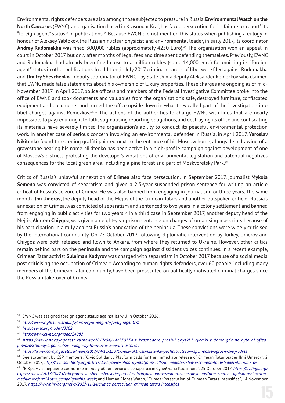Environmental rights defenders are also among those subjected to pressure in Russia. **Environmental Watch on the North Caucasus** (EWNC), an organisation based in Krasnodar Krai, has faced persecution for its failure to "report" its "foreign agent" status<sup>58</sup> in publications.<sup>59</sup> Because EWCN did not mention this status when publishing a eulogy in honour of Aleksey Yablokov, the Russian nuclear physicist and environmental leader, in early 2017, its coordinator Andrey Rudomakha was fined 300,000 rubles (approximately 4250 Euro).<sup>60</sup> The organisation won an appeal in court in October 2017, but only after months of legal fees and time spent defending themselves. Previously, EWNC and Rudomakha had already been fned close to a million rubles (some 14,000 euro) for omitting its "foreign agent" status in other publications. In addition, in July 2017 criminal charges of libel were fled against Rudomakha and **Dmitry Shevchenko**—deputy coordinator of EWNC—by State Duma deputy Aleksander Remezkov who claimed that EWNC made false statements about his ownership of luxury properties. These charges are ongoing as of mid-November 2017. In April 2017, police offcers and members of the Federal Investigative Committee broke into the offce of EWNC and took documents and valuables from the organization's safe, destroyed furniture, confscated equipment and documents, and turned the offce upside down in what they called part of the investigation into libel charges against Remezkov.<sup>61, 62</sup> The actions of the authorities to charge EWNC with fines that are nearly impossible to pay, requiring it to fulfl stigmatising reporting obligations, and destroying its offce and confscating its materials have severely limited the organisation's ability to conduct its peaceful environmental protection work. In another case of serious concern involving an environmental defender in Russia, in April 2017, **Yaroslav Nikitenko** found threatening graffti painted next to the entrance of his Moscow home, alongside a drawing of a gravestone bearing his name. Nikitenko has been active in a high-profle campaign against development of one of Moscow's districts, protesting the developer's violations of environmental legislation and potential negatives consequences for the local green area, including a pine forest and part of Moskvoretsky Park.63

Critics of Russia's unlawful annexation of **Crimea** also face persecution. In September 2017, journalist **Mykola Semena** was convicted of separatism and given a 2.5-year suspended prison sentence for writing an article critical of Russia's seizure of Crimea. He was also banned from engaging in journalism for three years. The same month **Ilmi Umerov**, the deputy head of the Mejlis of the Crimean Tatars and another outspoken critic of Russia's annexation of Crimea, was convicted of separatism and sentenced to two years in a colony settlement and banned from engaging in public activities for two years.<sup>64</sup> In a third case in September 2017, another deputy head of the Mejlis, **Akhtem Chiygoz**, was given an eight-year prison sentence on charges of organising mass riots because of his participation in a rally against Russia's annexation of the peninsula. These convictions were widely criticised by the international community. On 25 October 2017, following diplomatic intervention by Turkey, Umerov and Chiygoz were both released and fown to Ankara, from where they returned to Ukraine. However, other critics remain behind bars on the peninsula and the campaign against dissident voices continues. In a recent example, Crimean Tatar activist **Suleiman Kadyrov** was charged with separatism in October 2017 because of a social media post criticising the occupation of Crimea.<sup>65</sup> According to human rights defenders, over 60 people, including many members of the Crimean Tatar community, have been prosecuted on politically motivated criminal charges since the Russian take-over of Crimea.

<sup>58</sup> EWNC was assigned foreign agent status against its will in October 2016.

<sup>59</sup> *http://www.rightsinrussia.info/hro-org-in-english/foreignagents-1*

<sup>60</sup> *http://ewnc.org/node/23702*

<sup>61</sup> *http://www.ewnc.org/node/24082*

<sup>62</sup> *https://www.novayagazeta.ru/news/2017/04/14/130734-v-krasnodare-proshli-obyski-i-vyemki-v-dome-gde-ne-bylo-ni-ofisapravozaschitnoy-organizatsii-ni-kogo-by-to-ni-bylo-iz-ee-uchastnikov*

<sup>63</sup> *https://www.novayagazeta.ru/news/2017/04/13/130700-eko-aktivist-nikitenko-pozhalovalsya-v-spch-posle-ugroz-v-svoy-adres*

<sup>64</sup> See statement by CSP members, "Civic Solidarity Platform calls for the immediate release of Crimean Tatar leader Ilmi Umerov", 2 October 2017, *http://civicsolidarity.org/article/1503/civic-solidarity-platform-calls-immediate-release-crimean-tatar-leader-ilmi-umerov*

<sup>65</sup> "В Крыму завершено следствие по делу обвиняемого в сепаратизме Сулеймана Кадырова", 25 October 2017, *https://ovdinfo.org/ express-news/2017/10/25/v-krymu-zaversheno-sledstvie-po-delu-obvinyaemogo-v-separatizme-suleymana?utm\_source=rightsinrussia&utm\_ medium=referral&utm\_campaign=this\_week*; and Human Rights Watch, "Crimea: Persecution of Crimean Tatars Intensifes", 14 November 2017, *https://www.hrw.org/news/2017/11/14/crimea-persecution-crimean-tatars-intensifes*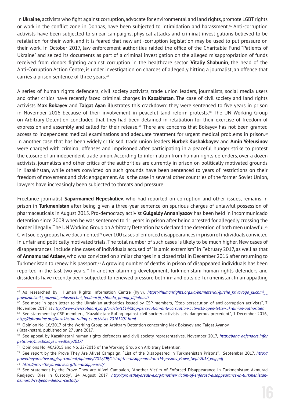In **Ukraine**, activists who fght against corruption, advocate for environmental and land rights, promote LGBT rights or work in the confict zone in Donbas, have been subjected to intimidation and harassment.66 Anti-corruption activists have been subjected to smear campaigns, physical attacks and criminal investigations believed to be retaliation for their work, and it is feared that new anti-corruption legislation may be used to put pressure on their work. In October 2017, law enforcement authorities raided the offce of the Charitable Fund "Patients of Ukraine" and seized its documents as part of a criminal investigation on the alleged misappropriation of funds received from donors fghting against corruption in the healthcare sector. **Vitaliy Shabunin**, the head of the Anti-Corruption Action Centre, is under investigation on charges of allegedly hitting a journalist, an offence that carries a prison sentence of three years.<sup>67</sup>

A series of human rights defenders, civil society activists, trade union leaders, journalists, social media users and other critics have recently faced criminal charges in **Kazakhstan**. The case of civil society and land rights activists **Max Bokayev** and **Talgat Ayan** illustrates this crackdown: they were sentenced to fve years in prison in November 2016 because of their involvement in peaceful land reform protests.<sup>68</sup> The UN Working Group on Arbitrary Detention concluded that they had been detained in retaliation for their exercise of freedom of expression and assembly and called for their release.<sup>69</sup> There are concerns that Bokayev has not been granted access to independent medical examinations and adequate treatment for urgent medical problems in prison.<sup>70</sup> In another case that has been widely criticised, trade union leaders **Nurbek Kushakbayev** and **Amin Yeleusinov** were charged with criminal offenses and imprisoned after participating in a peaceful hunger strike to protest the closure of an independent trade union. According to information from human rights defenders, over a dozen activists, journalists and other critics of the authorities are currently in prison on politically motivated grounds in Kazakhstan, while others convicted on such grounds have been sentenced to years of restrictions on their freedom of movement and civic engagement. As is the case in several other countries of the former Soviet Union, lawyers have increasingly been subjected to threats and pressure.

Freelance journalist **Saparmamed Nepeskuliev**, who had reported on corruption and other issues, remains in prison in **Turkmenistan** after being given a three-year sentence on spurious charges of unlawful possession of pharmaceuticals in August 2015. Pro-democracy activist **Gulgeldy Annaniyazov** has been held in incommunicado detention since 2008 when he was sentenced to 11 years in prison after being arrested for allegedly crossing the border illegally. The UN Working Group on Arbitrary Detention has declared the detention of both men unlawful.<sup>71</sup> Civil society groups have documented72 over 100 cases of enforced disappearances in prison of individuals convicted in unfair and politically motivated trials. The total number of such cases is likely to be much higher. New cases of disappearances include nine cases of individuals accused of "Islamic extremism" in February 2017, as well as that of **Annamurad Atdaev**, who was convicted on similar charges in a closed trial in December 2016 after returning to Turkmenistan to renew his passport.73 A growing number of deaths in prison of disappeared individuals has been reported in the last two years.74 In another alarming development, Turkmenistani human rights defenders and dissidents have recently been subjected to renewed pressure both in- and outside Turkmenistan. In an appalling

*http://iphronline.org/kazakhstan-ruling-cs-activists-20161201.html*

<sup>73</sup> *http://provetheyarealive.org/the-disappeared/*

<sup>&</sup>lt;sup>66</sup> As researched by Human Rights Information Centre (Kyiv), *https://humanrights.org.ua/en/material/girshe krivavogo kuchmi [pravozahisniki\\_nazvali\\_nebezpechni\\_tendenciji\\_shhodo\\_jihnoji\\_dijialnosti](https://humanrights.org.ua/en/material/girshe_krivavogo_kuchmi__pravozahisniki_nazvali_nebezpechni_tendenciji_shhodo_jihnoji_dijialnosti)*

<sup>&</sup>lt;sup>67</sup> See more in open letter to the Ukrainian authorities issued by CSP members, "Stop persecution of anti-corruption activists", 7 November 2017, at *http://www.civicsolidarity.org/article/1514/stop-persecution-anti-corruption-activists-open-letter-ukrainian-authorities* <sup>68</sup> See statement by CSP members, "Kazakhstan: Ruling against civil society activists sets dangerous precedent", 1 December 2016,

<sup>69</sup> Opinion No. 16/2017 of the Working Group on Arbitrary Detention concerning Max Bokayev and Talgat Ayanov (Kazakhstan), published on 27 June 2017.

<sup>70</sup> See appeal by Kazakhstani human rights defenders and civil society representatives, November 2017, *http://pana-defenders.info/ petitions/maxbokayevneedhelp2017/*

<sup>&</sup>lt;sup>71</sup> Opinions No. 40/2015 and No. 22/2013 of the Working Group on Arbitrary Detention.

<sup>72</sup> See report by the Prove They Are Alive! Campaign, "List of the Disappeared in Turkmenistan Prisons", September 2017, *http:// provetheyarealive.org/wp-content/uploads/2017/09/List-of-the-disappeared-in-TM-prisons\_Prove\_Sept-2017\_eng.pdf*

<sup>74</sup> See statement by the Prove They are Alive! Campaign, "Another Victim of Enforced Disappearance in Turkmenistan: Akmurad Redjepov Dies in Custody", 24 August 2017, *http://provetheyarealive.org/another-victim-of-enforced-disappearance-in-turkmenistanakmurad-redjepov-dies-in-custody/*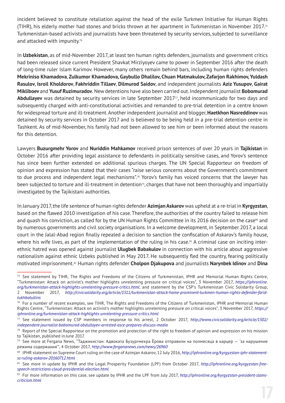incident believed to constitute retaliation against the head of the exile Turkmen Initiative for Human Rights (TIHR), his elderly mother had stones and bricks thrown at her apartment in Turkmenistan in November 2017.75 Turkmenistan-based activists and journalists have been threatened by security services, subjected to surveillance and attacked with impunity.<sup>76</sup>

In **Uzbekistan**, as of mid-November 2017, at least ten human rights defenders, journalists and government critics had been released since current President Shavkat Mirziyoyev came to power in September 2016 after the death of long-time ruler Islam Karimov. However, many others remain behind bars, including human rights defenders **Mekriniso Khamadova**, **Zulkumor Khamadova, Gaybullo Dhalilov, Chuan Matmakulov, Zafarjon Rakhimov, Yuldash Rasulov**, **Isroil Kholdorov**, **Fakhriddin Tillaev**, **Dilmurod Saidov**, and independent journalists **Aziz Yusupov**, **Gairat Mikliboev** and **Yusuf Ruzimuradov**. New detentions have also been carried out. Independent journalist **Bobomurad**  Abdullayev was detained by security services in late September 2017<sup>77</sup>, held incommunicado for two days and subsequently charged with anti-constitutional activities and remanded to pre-trial detention in a centre known for widespread torture and ill-treatment. Another independent journalist and blogger, **Haetkhon Nasreddinov** was detained by security services in October 2017 and is believed to be being held in a pre-trial detention centre in Tashkent. As of mid-November, his family had not been allowed to see him or been informed about the reasons for this detention.

Lawyers **Buzurgmehr Yorov** and **Nuriddin Mahkamov** received prison sentences of over 20 years in **Tajikistan** in October 2016 after providing legal assistance to defendants in politically sensitive cases, and Yorov's sentence has since been further extended on additional spurious charges. The UN Special Rapporteur on freedom of opinion and expression has stated that their cases "raise serious concerns about the Government's commitment to due process and independent legal mechanisms".78 Yorov's family has voiced concerns that the lawyer has been subjected to torture and ill-treatment in detention<sup>79</sup>, charges that have not been thoroughly and impartially investigated by the Tajikistani authorities.

In January 2017, the life sentence of human rights defender **Azimjan Askarov** was upheld at a re-trial in **Kyrgyzstan**, based on the fawed 2010 investigation of his case. Therefore, the authorities of the country failed to release him and quash his conviction, as called for by the UN Human Rights Committee in its 2016 decision on the case<sup>80</sup> and by numerous governments and civil society organisations. In a welcome development, in September 2017, a local court in the Jalal-Abad region fnally repealed a decision to sanction the confscation of Askarov's family house, where his wife lives, as part of the implementation of the ruling in his case. $81$  A criminal case on inciting interethnic hatred was opened against journalist **Ulugbek Babakulov** in connection with his article about aggressive nationalism against ethnic Uzbeks published in May 2017. He subsequently fed the country, fearing politically motivated imprisonment.82 Human rights defender **Cholpon Djakupova** and journalists **Narynbek Idinov** and **Dina** 

<sup>&</sup>lt;sup>75</sup> See statement by TIHR, The Rights and Freedoms of the Citizens of Turkmenistan, IPHR and Memorial Human Rights Centre, "Turkmenistan: Attack on activist's mother highlights unrelenting pressure on critical voices", 3 November 2017, *[https://iphronline.](https://iphronline.org/turkmenistan-attack-highlights-unrelenting-pressure-critics.html) [org/turkmenistan-attack-highlights-unrelenting-pressure-critics.html](https://iphronline.org/turkmenistan-attack-highlights-unrelenting-pressure-critics.html)*; and statement by the CSP's Turkmenistan Civic Solidarity Group, 2 November 2017, *http://civicsolidarity.org/article/1511/turkmenistan-attack-home-prominent-turkmen-human-rights-defender-faridtukhbatullins*

<sup>&</sup>lt;sup>76</sup> For a number of recent examples, see TIHR, The Rights and Freedoms of the Citizens of Turkmenistan, IPHR and Memorial Human Rights Centre, "Turkmenistan: Attack on activist's mother highlights unrelenting pressure on critical voices", 3 November 2017, *[https://](https://iphronline.org/turkmenistan-attack-highlights-unrelenting-pressure-critics.html) [iphronline.org/turkmenistan-attack-highlights-unrelenting-pressure-critics.html](https://iphronline.org/turkmenistan-attack-highlights-unrelenting-pressure-critics.html)*

<sup>77</sup> See statement issued by CSP members in response to his arrest, 2 October 2017, *http://www.civicsolidarity.org/article/1502/ independent-journalist-bobomurod-abdullayev-arrested-osce-prepares-discuss-media*

 $78$  Report of the Special Rapporteur on the promotion and protection of the right to freedom of opinion and expression on his mission to Tajikistan, published in June 2017.

 $79$  See more at Fergana News, "Таджикистан: Адвоката Бузургмехра Ёрова отправили на полмесяца в карцер – 'за нарушение режима содержания'", 4 October 2017, *http://www.fergananews.com/news/26960*

<sup>80</sup> IPHR statement on Supreme Court ruling on the case of Azimjan Askarov, 12 July 2016, *http://iphronline.org/kyrgyzstan-iphr-statementsc-ruling-askarov-20160712.html*

<sup>81</sup> See more in update by IPHR and the Legal Prosperity Foundation (LPF) from October 2017, *http://iphronline.org/kyrgyzstan-freespeech-restrictions-cloud-presidential-election.html*

<sup>82</sup> For more information on this case, see update by IPHR and the LPF from July 2017, http://iphronline.org/kyrgyzstan-president-slams*criticism.html*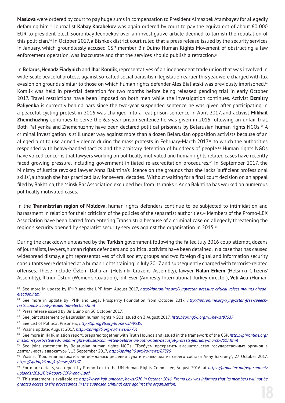**Maslova** were ordered by court to pay huge sums in compensation to President Almazbek Atambayev for allegedly defaming him.83 Journalist **Kabay Karabekov** was again ordered by court to pay the equivalent of about 60 000 EUR to president elect Sooronbay Jeenbekov over an investigative article deemed to tarnish the reputation of this politician.<sup>84</sup> In October 2017, a Bishkek district court ruled that a press release issued by the security services in January, which groundlessly accused CSP member Bir Duino Human Rights Movement of obstructing a law enforcement operation, was inaccurate and that the services should publish a retraction.<sup>85</sup>

In **Belarus, Henadz Fiadynich** and **Ihar Komlik**, representatives of an independent trade union that was involved in wide-scale peaceful protests against so-called social parasitism legislation earlier this year, were charged with tax evasion on grounds similar to those on which human rights defender Ales Bialiatski was previously imprisoned.<sup>86</sup> Komlik was held in pre-trial detention for two months before being released pending trial in early October 2017. Travel restrictions have been imposed on both men while the investigation continues. Activist **Dzmitry Paliyenka** is currently behind bars since the two-year suspended sentence he was given after participating in a peaceful cycling protest in 2016 was changed into a real prison sentence in April 2017, and activist **Mikhail Zhemchuzhny** continues to serve the 6.5-year prison sentence he was given in 2015 following an unfair trial. Both Paliyenka and Zhemchuzhny have been declared political prisoners by Belarusian human rights NGOs.87 A criminal investigation is still under way against more than a dozen Belarusian opposition activists because of an alleged plot to use armed violence during the mass protests in February-March 2017<sup>88</sup>, to which the authorities responded with heavy-handed tactics and the arbitrary detention of hundreds of people.<sup>89</sup> Human rights NGOs have voiced concerns that lawyers working on politically motivated and human rights related cases have recently faced growing pressure, including government-initiated re-accreditation procedures.<sup>90</sup> In September 2017, the Ministry of Justice revoked lawyer Anna Bakhtina's licence on the grounds that she lacks "suffcient professional skills", although she has practiced law for several decades. Without waiting for a fnal court decision on an appeal filed by Bakhtina, the Minsk Bar Association excluded her from its ranks.<sup>91</sup> Anna Bakhtina has worked on numerous politically motivated cases.

In the **Transnistrian region of Moldova**, human rights defenders continue to be subjected to intimidation and harassment in relation for their criticism of the policies of the separatist authorities.<sup>92</sup> Members of the Promo-LEX Association have been barred from entering Transnistria because of a criminal case on allegedly threatening the region's security opened by separatist security services against the organisation in 2015.93

During the crackdown unleashed by the **Turkish** government following the failed July 2016 coup attempt, dozens of journalists, lawyers, human rights defenders and political activists have been detained. In a case that has caused widespread dismay, eight representatives of civil society groups and two foreign digital and information security consultants were detained at a human rights training in July 2017 and subsequently charged with terrorist-related offenses. These include Özlem Dalkıran (Helsinki Citizens' Assembly), lawyer **Nalan Erkem** (Helsinki Citizens' Assembly), İlknur Üstün (Women's Coalition), İdil Eser (Amnesty International Turkey director), **Veli Acu** (Human

- 85 Press release issued by Bir Duino on 30 October 2017.
- <sup>86</sup> See joint statement by Belarusian human rights NGOs issued on 3 August 2017, *http://spring96.org/ru/news/87537*
- <sup>87</sup> See List of Political Prisoners, *http://spring96.org/en/news/49539.*
- <sup>88</sup> Viasna update, August 2017, *http://spring96.org/ru/news/87731*

<sup>93</sup> This statement is available at: *<http://www.kgb-pmr.com/news/370> In October 2016, Promo Lex was informed that its members will not be granted access to the proceedings in the supposed criminal case against the organisation.*

<sup>83</sup> See more in update by IPHR and the LPF from August 2017, http://iphronline.org/kyrgyzstan-pressure-critical-voices-mounts-ahead*election.html*

<sup>84</sup> See more in update by IPHR and Legal Prosperity Foundation from October 2017, http://iphronline.org/kyrgyzstan-free-speech*restrictions-cloud-presidential-election.html*

<sup>89</sup> See more in IPHR mission report, prepared together with Truth Hounds and issued in the framework of the CSP, *http://iphronline.org/ mission-report-released-human-rights-abuses-committed-belarusian-authorities-peaceful-protests-february-march-2017.html*

<sup>&</sup>lt;sup>90</sup> See joint statement by Belarusian human rights NGOs, "Требуем прекратить вмешательство государственных органов в деятельность адвокатуры", 13 September 2017, *<http://spring96.org/ru/news/87826>*

<sup>91</sup> Viasna, "Коллегия адвокатов не дождалась решения суда и исключила из своего состава Анну Бахтину", 27 October 2017, *<https://spring96.org/ru/news/88167>*

<sup>92</sup> For more details, see report by Promo-Lex to the UN Human Rights Committee, August 2016, at *https://promolex.md/wp-content/ uploads/2016/09/Raport-CCPR-eng-1.pdf*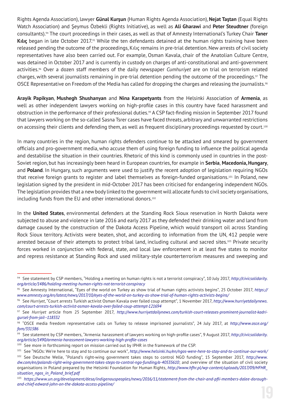Rights Agenda Association), lawyer **Günal Kurşun** (Human Rights Agenda Association), **Nejat Taştan** (Equal Rights Watch Association) and Şeymus Özbekli (Rights Initiative), as well as **Ali Gharawi** and **Peter Steudtner** (foreign consultants).94 The court proceedings in their cases, as well as that of Amnesty International's Turkey Chair **Taner Kılıç** began in late October 2017.95 While the ten defendants detained at the human rights training have been released pending the outcome of the proceedings, Kılıç remains in pre-trial detention. New arrests of civil society representatives have also been carried out. For example, Osman Kavala, chair of the Anatolian Culture Centre, was detained in October 2017 and is currently in custody on charges of anti-constitutional and anti-government activities.96 Over a dozen staff members of the daily newspaper *Cumhuriyet* are on trial on terrorism related charges, with several journalists remaining in pre-trial detention pending the outcome of the proceedings.97 The OSCE Representative on Freedom of the Media has called for dropping the charges and releasing the journalists.<sup>98</sup>

**Arayik Papikyan**, **Mushegh Shushanyan** and **Nina Karapetyants** from the Helsinki Association of **Armenia**, as well as other independent lawyers working on high-profle cases in this country have faced harassment and obstruction in the performance of their professional duties.99 A CSP fact-fnding mission in September 2017 found that lawyers working on the so-called Sasna Tsrer cases have faced threats, arbitrary and unwarranted restrictions on accessing their clients and defending them, as well as frequent disciplinary proceedings requested by court.<sup>100</sup>

In many countries in the region, human rights defenders continue to be attacked and smeared by government offcials and pro-government media, who accuse them of using foreign funding to infuence the political agenda and destabilise the situation in their countries. Rhetoric of this kind is commonly used in countries in the post-Soviet region, but has increasingly been heard in European countries, for example in **Serbia**, **Macedonia, Hungary**, and **Poland**. In Hungary, such arguments were used to justify the recent adoption of legislation requiring NGOs that receive foreign grants to register and label themselves as foreign-funded organisations.101 In Poland, new legislation signed by the president in mid-October 2017 has been criticised for endangering independent NGOs. The legislation provides that a new body linked to the government will allocate funds to civil society organisations, including funds from the EU and other international donors.<sup>102</sup>

In the **United States**, environmental defenders at the Standing Rock Sioux reservation in North Dakota were subjected to abuse and violence in late 2016 and early 2017 as they defended their drinking water and land from damage caused by the construction of the Dakota Access Pipeline, which would transport oil across Standing Rock Sioux territory. Activists were beaten, shot, and according to information from the UN, 412 people were arrested because of their attempts to protect tribal land, including cultural and sacred sites.103 Private security forces worked in conjunction with federal, state, and local law enforcement in at least fve states to monitor and repress resistance at Standing Rock and used military-style counterterrorism measures and sweeping and

<sup>94</sup> See statement by CSP members, "Holding a meeting on human rights is not a terrorist conspiracy", 10 July 2017, *[http://civicsolidarity.](http://civicsolidarity.org/article/1486/holding-meeting-human-rights-not-terrorist-conspiracy) [org/article/1486/holding-meeting-human-rights-not-terrorist-conspiracy](http://civicsolidarity.org/article/1486/holding-meeting-human-rights-not-terrorist-conspiracy)*

<sup>95</sup> See Amnesty International, "Eyes of the world on Turkey as show trial of human rights activists begins", 25 October 2017, *https:// www.amnesty.org/en/latest/news/2017/10/eyes-of-the-world-on-turkey-as-show-trial-of-human-rights-activists-begins/*

<sup>96</sup> See *Hurriyet*, "Court arrests Turkish activist Osman Kavala over failed coup attempt", 1 November 2017, *http://www.hurriyetdailynews. com/court-arrests-turkish-activist-osman-kavala-over-failed-coup-attempt-121694*

<sup>97</sup> See *Hurriyet* article from 25 September 2017, *http://www.hurriyetdailynews.com/turkish-court-releases-prominent-journalist-kadrigursel-from-jail--118332*

<sup>98</sup> "OSCE media freedom representative calls on Turkey to release imprisoned journalists", 24 July 2017, at *http://www.osce.org/ fom/331586*

<sup>99</sup> See statement by CSP members, "Armenia: harassment of lawyers working on high-profle cases", 9 August 2017, *http://civicsolidarity. org/article/1490/armenia-harassment-lawyers-working-high-profle-cases*

<sup>&</sup>lt;sup>100</sup> See more in forthcoming report on mission carried out by IPHR in the framework of the CSP.

<sup>101</sup> See "NGOs: We're here to stay and to continue our work", *http://www.helsinki.hu/en/ngos-were-here-to-stay-and-to-continue-our-work/* <sup>102</sup> See Deutsche Welle, "Poland's right-wing government takes steps to control NGO funding", 15 September 2017, *[http://www.](http://www.dw.com/en/polands-right-wing-government-takes-steps-to-control-ngo-funding/a-40535610) [dw.com/en/polands-right-wing-government-takes-steps-to-control-ngo-funding/a-40535610](http://www.dw.com/en/polands-right-wing-government-takes-steps-to-control-ngo-funding/a-40535610)*; and overview of the situation of civil society organisations in Poland prepared by the Helsinki Foundation for Human Rights, *http://www.hfhr.pl/wp-content/uploads/2017/09/HFHR\_ situation\_ngos\_in\_Poland\_brief.pdf*

<sup>103</sup> *https://www.un.org/development/desa/indigenouspeoples/news/2016/11/statement-from-the-chair-and-pfi-members-dalee-doroughand-chief-edward-john-on-the-dakota-access-pipeline/*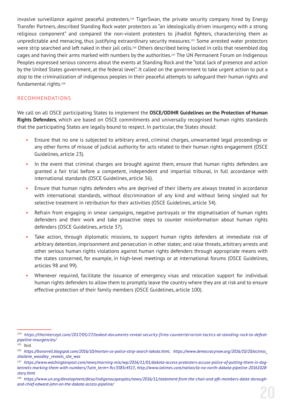invasive surveillance against peaceful protesters.104 TigerSwan, the private security company hired by Energy Transfer Partners, described Standing Rock water protectors as "an ideologically driven insurgency with a strong religious component" and compared the non-violent protesters to jihadist fghters, characterizing them as unpredictable and menacing, thus justifying extraordinary security measures.105 Some arrested water protectors were strip searched and left naked in their jail cells.<sup>106</sup> Others described being locked in cells that resembled dog cages and having their arms marked with numbers by the authorities.107 The UN Permanent Forum on Indigenous Peoples expressed serious concerns about the events at Standing Rock and the "total lack of presence and action by the United States government, at the federal level". It called on the government to take urgent action to put a stop to the criminalization of indigenous peoples in their peaceful attempts to safeguard their human rights and fundamental rights.108

#### RECOMMENDATIONS

We call on all OSCE participating States to implement the **OSCE/ODIHR Guidelines on the Protection of Human Rights Defenders**, which are based on OSCE commitments and universally recognised human rights standards that the participating States are legally bound to respect. In particular, the States should:

- **•** Ensure that no one is subjected to arbitrary arrest, criminal charges, unwarranted legal proceedings or any other forms of misuse of judicial authority for acts related to their human rights engagement (OSCE Guidelines, article 23).
- **•** In the event that criminal charges are brought against them, ensure that human rights defenders are granted a fair trial before a competent, independent and impartial tribunal, in full accordance with international standards (OSCE Guidelines, article 36).
- **•** Ensure that human rights defenders who are deprived of their liberty are always treated in accordance with international standards, without discrimination of any kind and without being singled out for selective treatment in retribution for their activities (OSCE Guidelines, article 34).
- **•** Refrain from engaging in smear campaigns, negative portrayals or the stigmatisation of human rights defenders and their work and take proactive steps to counter misinformation about human rights defenders (OSCE Guidelines, article 37).
- **•** Take action, through diplomatic missions, to support human rights defenders at immediate risk of arbitrary detention, imprisonment and persecution in other states; and raise threats, arbitrary arrests and other serious human rights violations against human rights defenders through appropriate means with the states concerned, for example, in high-level meetings or at international forums (OSCE Guidelines, articles 98 and 99).
- **•** Whenever required, facilitate the issuance of emergency visas and relocation support for individual human rights defenders to allow them to promptly leave the country where they are at risk and to ensure effective protection of their family members (OSCE Guidelines, article 100).

<sup>104</sup> *https://theintercept.com/2017/05/27/leaked-documents-reveal-security-firms-counterterrorism-tactics-at-standing-rock-to-defeatpipeline-insurgencies/*

 $105$  Ibid.

<sup>106</sup> *<https://bsnorrell.blogspot.com/2016/10/morton-co-police-strip-search-lakota.html>*, *https://www.democracynow.org/2016/10/20/actress\_ shailene\_woodley\_reveals\_she\_was*

<sup>107</sup> *[https://www.washingtonpost.com/news/morning-mix/wp/2016/11/01/dakota-access-protesters-accuse-police-of-putting-them-in-dog](https://www.washingtonpost.com/news/morning-mix/wp/2016/11/01/dakota-access-protesters-accuse-police-of-putting-them-in-dog-kennels-marking-them-with-numbers/?utm_term=.9cc3585c4513)[kennels-marking-them-with-numbers/?utm\\_term=.9cc3585c4513](https://www.washingtonpost.com/news/morning-mix/wp/2016/11/01/dakota-access-protesters-accuse-police-of-putting-them-in-dog-kennels-marking-them-with-numbers/?utm_term=.9cc3585c4513)*,.*http://www.latimes.com/nation/la-na-north-dakota-pipeline-20161028 story.html*

<sup>108</sup> *https://www.un.org/development/desa/indigenouspeoples/news/2016/11/statement-from-the-chair-and-pfi-members-dalee-doroughand-chief-edward-john-on-the-dakota-access-pipeline/*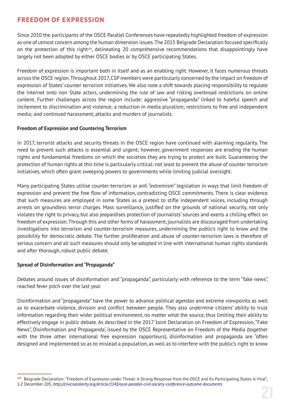### **FREEDOM OF EXPRESSION**

Since 2010 the participants of the OSCE Parallel Conferences have repeatedly highlighted freedom of expression as one of utmost concern among the human dimension issues. The 2015 Belgrade Declaration focused specifcally on the protection of this right<sup>109</sup>, delineating 20 comprehensive recommendations that disappointingly have largely not been adopted by either OSCE bodies or by OSCE participating States.

Freedom of expression is important both in itself and as an enabling right. However, it faces numerous threats across the OSCE region. Throughout 2017, CSP members were particularly concerned by the impact on freedom of expression of States' counter terrorism initiatives. We also note a shift towards placing responsibility to regulate the Internet onto non State actors, undermining the rule of law and risking overbroad restrictions on online content. Further challenges across the region include: aggressive "propaganda" linked to hateful speech and incitement to discrimination and violence; a reduction in media pluralism; restrictions to free and independent media; and continued harassment, attacks and murders of journalists.

#### **Freedom of Expression and Countering Terrorism**

In 2017, terrorist attacks and security threats in the OSCE region have continued with alarming regularity. The need to prevent such attacks is essential and urgent; however, government responses are eroding the human rights and fundamental freedoms on which the societies they are trying to protect are built. Guaranteeing the protection of human rights at this time is particularly critical: not least to prevent the abuse of counter terrorism initiatives, which often grant sweeping powers to governments while limiting judicial oversight.

Many participating States utilise counter-terrorism or anti "extremism" legislation in ways that limit freedom of expression and prevent the free fow of information, contradicting OSCE commitments. There is clear evidence that such measures are employed in some States as a pretext to stife independent voices, including through arrests on groundless terror charges. Mass surveillance, justifed on the grounds of national security, not only violates the right to privacy, but also jeopardises protection of journalists' sources and exerts a chilling effect on freedom of expression. Through this and other forms of harassment, journalists are discouraged from undertaking investigations into terrorism and counter-terrorism measures, undermining the public's right to know and the possibility for democratic debate. The further proliferation and abuse of counter-terrorism laws is therefore of serious concern and all such measures should only be adopted in line with international human rights standards and after thorough, robust public debate.

#### **Spread of Disinformation and "Propaganda"**

Debates around issues of disinformation and "propaganda", particularly with reference to the term "fake news", reached fever pitch over the last year.

Disinformation and "propaganda" have the power to advance political agendas and extreme viewpoints as well as to exacerbate violence, division and confict between people. They also undermine citizens' ability to trust information regarding their wider political environment, no matter what the source, thus limiting their ability to effectively engage in public debate. As described in the 2017 'Joint Declaration on Freedom of Expression, "Fake News", Disinformation and Propaganda', issued by the OSCE Representative on Freedom of the Media (together with the three other international free expression rapporteurs), disinformation and propaganda are "often designed and implemented so as to mislead a population, as well as to interfere with the public's right to know

<sup>&</sup>lt;sup>109</sup> Belgrade Declaration: "Freedom of Expression under Threat: A Strong Response from the OSCE and Its Participating States Is Vital",

<sup>1-2</sup> December 205, *<http://civicsolidarity.org/article/1143/osce-parallel-civil-society-conference-outcome-documents>*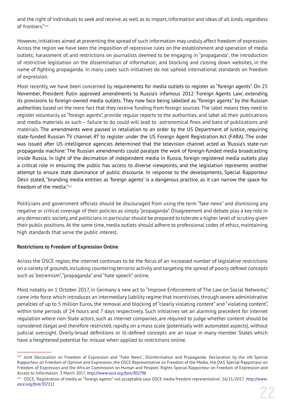and the right of individuals to seek and receive, as well as to impart, information and ideas of all kinds, regardless of frontiers."110

However, initiatives aimed at preventing the spread of such information may unduly affect freedom of expression. Across the region we have seen the imposition of repressive rules on the establishment and operation of media outlets; harassment of, and restrictions on journalists deemed to be engaging in ''propaganda'; the introduction of restrictive legislation on the dissemination of information; and blocking and closing down websites, in the name of fghting propaganda. In many cases such initiatives do not uphold international standards on freedom of expression.

Most recently, we have been concerned by requirements for media outlets to register as "foreign agents". On 25 November, President Putin approved amendments to Russia's infamous 2012 'Foreign Agents Law', extending its provisions to foreign-owned media outlets. They now face being labelled as "foreign agents" by the Russian authorities based on the mere fact that they receive funding from foreign sources. The label means they need to register voluntarily as "foreign agents", provide regular reports to the authorities, and label all their publications and media materials as such – failure to do could will lead to astronomical fnes and bans of publications and materials. The amendments were passed in retaliation to an order by the US Department of Justice, requiring state-funded Russian TV channel *RT* to register under the US Foreign Agent Registration Act (FARA). The order was issued after US intelligence agencies determined that the television channel acted as 'Russia's state-run propaganda machine.' The Russian amendments could paralyze the work of foreign-funded media broadcasting inside Russia. In light of the decimation of independent media in Russia, foreign registered media outlets play a critical role in ensuring the public has access to diverse viewpoints, and the legislation represents another attempt to ensure state dominance of public discourse. In response to the developments, Special Rapporteur Désir stated, "branding media entities as 'foreign agents' is a dangerous practice, as it can narrow the space for freedom of the media $"111"$ 

Politicians and government offcials should be discouraged from using the term "fake news" and dismissing any negative or critical coverage of their policies as simply "propaganda". Disagreement and debate play a key role in any democratic society, and politicians in particular should be prepared to tolerate a higher level of scrutiny given their public positions. At the same time, media outlets should adhere to professional codes of ethics, maintaining high standards that serve the public interest.

#### **Restrictions to Freedom of Expression Online**

Across the OSCE region, the internet continues to be the focus of an increased number of legislative restrictions on a variety of grounds, including countering terrorist activity and targeting the spread of poorly defned concepts such as "extremism", "propaganda" and "hate speech" online.

Most notably on 1 October 2017, in Germany a new act to "Improve Enforcement of The Law on Social Networks," came into force which introduces an intermediary liability regime that incentivises, through severe administrative penalties of up to 5 million Euros, the removal and blocking of "clearly violating content" and "violating content", within time periods of 24 hours and 7 days respectively. Such initiatives set an alarming precedent for internet regulation where non-State actors, such as internet companies, are required to judge whether content should be considered illegal and therefore restricted, rapidly, on a mass scale (potentially with automated aspects), without judicial oversight. Overly-broad defnitions or ill-defned concepts are an issue in many member States which have a heightened potential for misuse when applied to restrictions online.

<sup>110</sup> Joint Declaration on Freedom of Expression and "Fake News", Disinformation and Propaganda. Declaration by the UN Special Rapporteur on Freedom of Opinion and Expression, the OSCE Representative on Freedom of the Media, the OAS Special Rapporteur on Freedom of Expression and the African Commission on Human and Peoples' Rights Special Rapporteur on Freedom of Expression and Access to Information. 3 March 2017, *<http://www.osce.org/fom/302796>*

<sup>111</sup> OSCE, 'Registration of media as "foreign agents" not acceptable says OSCE media freedom representative', 16/11/2017 *[http://www.](http://www.osce.org/fom/357111) [osce.org/fom/357111](http://www.osce.org/fom/357111)*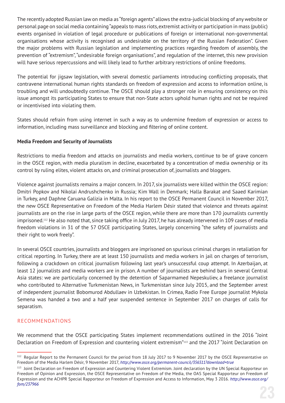The recently adopted Russian law on media as "foreign agents" allows the extra-judicial blocking of any website or personal page on social media containing "appeals to mass riots, extremist activity or participation in mass (public) events organised in violation of legal procedure or publications of foreign or international non-governmental organisations whose activity is recognised as undesirable on the territory of the Russian Federation". Given the major problems with Russian legislation and implementing practices regarding freedom of assembly, the prevention of "extremism", "undesirable foreign organisations", and regulation of the internet, this new provision will have serious repercussions and will likely lead to further arbitrary restrictions of online freedoms.

The potential for jigsaw legislation, with several domestic parliaments introducing conficting proposals, that contravene international human rights standards on freedom of expression and access to information online, is troubling and will undoubtedly continue. The OSCE should play a stronger role in ensuring consistency on this issue amongst its participating States to ensure that non-State actors uphold human rights and not be required or incentivised into violating them.

States should refrain from using internet in such a way as to undermine freedom of expression or access to information, including mass surveillance and blocking and fltering of online content.

#### **Media Freedom and Security of Journalists**

Restrictions to media freedom and attacks on journalists and media workers, continue to be of grave concern in the OSCE region, with media pluralism in decline, exacerbated by a concentration of media ownership or its control by ruling elites, violent attacks on, and criminal prosecution of, journalists and bloggers.

Violence against journalists remains a major concern. In 2017, six journalists were killed within the OSCE region: Dmitri Popkov and Nikolai Andrushchenko in Russia; Kim Wall in Denmark; Halla Barakat and Saaed Karimian in Turkey, and Daphne Caruana Galizia in Malta. In his report to the OSCE Permanent Council in November 2017, the new OSCE Representative on Freedom of the Media Harlem Désir stated that violence and threats against journalists are on the rise in large parts of the OSCE region, while there are more than 170 journalists currently imprisoned.112 He also noted that, since taking offce in July 2017, he has already intervened in 109 cases of media freedom violations in 31 of the 57 OSCE participating States, largely concerning "the safety of journalists and their right to work freely".

In several OSCE countries, journalists and bloggers are imprisoned on spurious criminal charges in retaliation for critical reporting. In Turkey, there are at least 150 journalists and media workers in jail on charges of terrorism, following a crackdown on critical journalism following last year's unsuccessful coup attempt. In Azerbaijan, at least 12 journalists and media workers are in prison. A number of journalists are behind bars in several Central Asia states: we are particularly concerned by the detention of Saparmamed Nepeskuliev, a freelance journalist who contributed to Alternative Turkmenistan News, in Turkmenistan since July 2015, and the September arrest of independent journalist Bobomurod Abdullaev in Uzbekistan. In Crimea, Radio Free Europe journalist Mykola Semena was handed a two and a half year suspended sentence in September 2017 on charges of calls for separatism.

#### RECOMMENDATIONS

We recommend that the OSCE participating States implement recommendations outlined in the 2016 "Joint Declaration on Freedom of Expression and countering violent extremism"113 and the 2017 "Joint Declaration on

<sup>&</sup>lt;sup>112</sup> Regular Report to the Permanent Council for the period from 18 July 2017 to 9 November 2017 by the OSCE Representative on Freedom of the Media Harlem Désir, 9 November 2017, *http://www.osce.org/permanent-council/356511?download=true*

<sup>113</sup> Joint Declaration on Freedom of Expression and Countering Violent Extremism. Joint declaration by the UN Special Rapporteur on Freedom of Opinion and Expression, the OSCE Representative on Freedom of the Media, the OAS Special Rapporteur on Freedom of Expression and the ACHPR Special Rapporteur on Freedom of Expression and Access to Information, May 3 2016. *[http://www.osce.org/](http://www.osce.org/fom/237966) [fom/237966](http://www.osce.org/fom/237966)*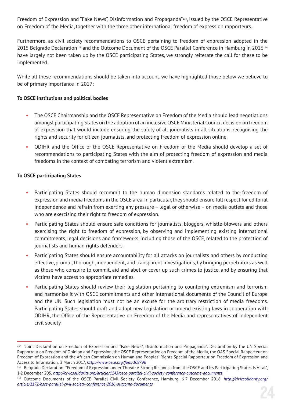Freedom of Expression and "Fake News", Disinformation and Propaganda"114, issued by the OSCE Representative on Freedom of the Media, together with the three other international freedom of expression rapporteurs.

Furthermore, as civil society recommendations to OSCE pertaining to freedom of expression adopted in the 2015 Belgrade Declaration<sup>115</sup> and the Outcome Document of the OSCE Parallel Conference in Hamburg in 2016<sup>116</sup> have largely not been taken up by the OSCE participating States, we strongly reiterate the call for these to be implemented.

While all these recommendations should be taken into account, we have highlighted those below we believe to be of primary importance in 2017:

#### **To OSCE institutions and political bodies**

- **•** The OSCE Chairmanship and the OSCE Representative on Freedom of the Media should lead negotiations amongst participating States on the adoption of an inclusive OSCE Ministerial Council decision on freedom of expression that would include ensuring the safety of all journalists in all situations, recognising the rights and security for citizen journalists, and protecting freedom of expression online.
- **•** ODIHR and the Offce of the OSCE Representative on Freedom of the Media should develop a set of recommendations to participating States with the aim of protecting freedom of expression and media freedoms in the context of combating terrorism and violent extremism.

#### **To OSCE participating States**

- **•** Participating States should recommit to the human dimension standards related to the freedom of expression and media freedoms in the OSCE area. In particular, they should ensure full respect for editorial independence and refrain from exerting any pressure – legal or otherwise – on media outlets and those who are exercising their right to freedom of expression.
- **•** Participating States should ensure safe conditions for journalists, bloggers, whistle-blowers and others exercising the right to freedom of expression, by observing and implementing existing international commitments, legal decisions and frameworks, including those of the OSCE, related to the protection of journalists and human rights defenders.
- **•** Participating States should ensure accountability for all attacks on journalists and others by conducting effective, prompt, thorough, independent, and transparent investigations, by bringing perpetrators as well as those who conspire to commit, aid and abet or cover up such crimes to justice, and by ensuring that victims have access to appropriate remedies.
- **•** Participating States should review their legislation pertaining to countering extremism and terrorism and harmonise it with OSCE commitments and other international documents of the Council of Europe and the UN. Such legislation must not be an excuse for the arbitrary restriction of media freedoms. Participating States should draft and adopt new legislation or amend existing laws in cooperation with ODIHR, the Offce of the Representative on Freedom of the Media and representatives of independent civil society.

<sup>114</sup> "Joint Declaration on Freedom of Expression and "Fake News", Disinformation and Propaganda". Declaration by the UN Special Rapporteur on Freedom of Opinion and Expression, the OSCE Representative on Freedom of the Media, the OAS Special Rapporteur on Freedom of Expression and the African Commission on Human and Peoples' Rights Special Rapporteur on Freedom of Expression and Access to Information. 3 March 2017, *<http://www.osce.org/fom/302796>*

<sup>115</sup> Belgrade Declaration: "Freedom of Expression under Threat: A Strong Response from the OSCE and Its Participating States Is Vital", 1-2 December 205, *<http://civicsolidarity.org/article/1143/osce-parallel-civil-society-conference-outcome-documents>*

<sup>116</sup> Outcome Documents of the OSCE Parallel Civil Society Conference, Hamburg, 6-7 December 2016, *http://civicsolidarity.org/ article/1172/osce-parallel-civil-society-conference-2016-outcome-documents*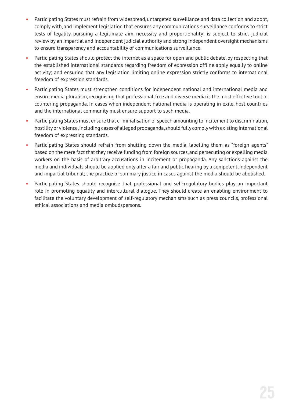- **•** Participating States must refrain from widespread, untargeted surveillance and data collection and adopt, comply with, and implement legislation that ensures any communications surveillance conforms to strict tests of legality, pursuing a legitimate aim, necessity and proportionality; is subject to strict judicial review by an impartial and independent judicial authority and strong independent oversight mechanisms to ensure transparency and accountability of communications surveillance.
- **•** Participating States should protect the internet as a space for open and public debate, by respecting that the established international standards regarding freedom of expression offine apply equally to online activity; and ensuring that any legislation limiting online expression strictly conforms to international freedom of expression standards.
- **•** Participating States must strengthen conditions for independent national and international media and ensure media pluralism, recognising that professional, free and diverse media is the most effective tool in countering propaganda. In cases when independent national media is operating in exile, host countries and the international community must ensure support to such media.
- **•** Participating States must ensure that criminalisation of speech amounting to incitement to discrimination, hostility or violence, including cases of alleged propaganda, should fully comply with existing international freedom of expressing standards.
- **•** Participating States should refrain from shutting down the media, labelling them as "foreign agents" based on the mere fact that they receive funding from foreign sources, and persecuting or expelling media workers on the basis of arbitrary accusations in incitement or propaganda. Any sanctions against the media and individuals should be applied only after a fair and public hearing by a competent, independent and impartial tribunal; the practice of summary justice in cases against the media should be abolished.
- **•** Participating States should recognise that professional and self-regulatory bodies play an important role in promoting equality and intercultural dialogue. They should create an enabling environment to facilitate the voluntary development of self-regulatory mechanisms such as press councils, professional ethical associations and media ombudspersons.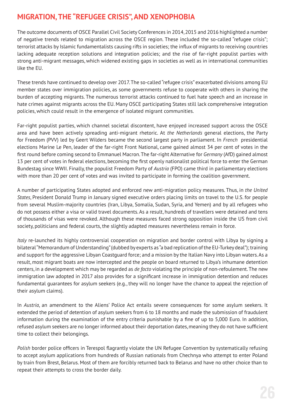## **MIGRATION, THE "REFUGEE CRISIS", AND XENOPHOBIA**

The outcome documents of OSCE Parallel Civil Society Conferences in 2014, 2015 and 2016 highlighted a number of negative trends related to migration across the OSCE region. These included the so-called "refugee crisis"; terrorist attacks by Islamic fundamentalists causing rifts in societies; the infux of migrants to receiving countries lacking adequate reception solutions and integration policies; and the rise of far-right populist parties with strong anti-migrant messages, which widened existing gaps in societies as well as in international communities like the EU.

These trends have continued to develop over 2017. The so-called "refugee crisis" exacerbated divisions among EU member states over immigration policies, as some governments refuse to cooperate with others in sharing the burden of accepting migrants. The numerous terrorist attacks continued to fuel hate speech and an increase in hate crimes against migrants across the EU. Many OSCE participating States still lack comprehensive integration policies, which could result in the emergence of isolated migrant communities.

Far-right populist parties, which channel societal discontent, have enjoyed increased support across the OSCE area and have been actively spreading anti-migrant rhetoric. At *the Netherlands* general elections, the Party for Freedom (PVV) led by Geert Wilders became the second largest party in parliament. In *French* presidential elections Marine Le Pen, leader of the far-right Front National, came gained almost 34 per cent of votes in the frst round before coming second to Emmanuel Macron. The far-right Alternative for *Germany* (AfD) gained almost 13 per cent of votes in federal elections, becoming the frst openly nationalist political force to enter the German Bundestag since WWII. Finally, the populist Freedom Party of *Austria* (FPO) came third in parliamentary elections with more than 20 per cent of votes and was invited to participate in forming the coalition government.

A number of participating States adopted and enforced new anti-migration policy measures. Thus, in *the United States*, President Donald Trump in January signed executive orders placing limits on travel to the U.S. for people from several Muslim-majority countries (Iran, Libya, Somalia, Sudan, Syria, and Yemen) and by all refugees who do not possess either a visa or valid travel documents. As a result, hundreds of travellers were detained and tens of thousands of visas were revoked. Although these measures faced strong opposition inside the US from civil society, politicians and federal courts, the slightly adapted measures nevertheless remain in force.

*Italy* re-launched its highly controversial cooperation on migration and border control with Libya by signing a bilateral "Memorandum of Understanding" (dubbed by experts as "a bad replication of the EU-Turkey deal"); training and support for the aggressive Libyan Coastguard force; and a mission by the Italian Navy into Libyan waters. As a result, most migrant boats are now intercepted and the people on board returned to Libya's inhumane detention centers, in a development which may be regarded as *de facto* violating the principle of non-refoulement. The new immigration law adopted in 2017 also provides for a signifcant increase in immigration detention and reduces fundamental guarantees for asylum seekers (e.g., they will no longer have the chance to appeal the rejection of their asylum claims).

In *Austria*, an amendment to the Aliens' Police Act entails severe consequences for some asylum seekers. It extended the period of detention of asylum seekers from 6 to 18 months and made the submission of fraudulent information during the examination of the entry criteria punishable by a fine of up to 5,000 Euro. In addition, refused asylum seekers are no longer informed about their deportation dates, meaning they do not have suffcient time to collect their belongings.

*Polish* border police officers in Terespol flagrantly violate the UN Refugee Convention by systematically refusing to accept asylum applications from hundreds of Russian nationals from Chechnya who attempt to enter Poland by train from Brest, Belarus. Most of them are forcibly returned back to Belarus and have no other choice than to repeat their attempts to cross the border daily.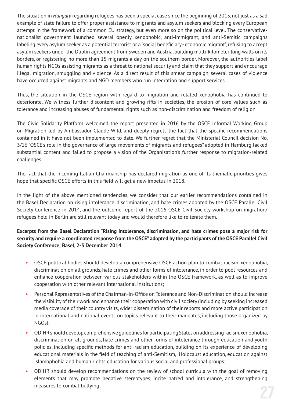The situation in *Hungary* regarding refugees has been a special case since the beginning of 2015, not just as a sad example of state failure to offer proper assistance to migrants and asylum seekers and blocking every European attempt in the framework of a common EU strategy, but even more so on the political level. The conservativenationalist government launched several openly xenophobic, anti-immigrant, and anti-Semitic campaigns labeling every asylum seeker as a potential terrorist or a "social benefciary - economic migrant", refusing to accept asylum seekers under the Dublin agreement from Sweden and Austria, building multi-kilometer long walls on its borders, or registering no more than 15 migrants a day on the southern border. Moreover, the authorities label human rights NGOs assisting migrants as a threat to national security and claim that they support and encourage illegal migration, smuggling and violence. As a direct result of this smear campaign, several cases of violence have occurred against migrants and NGO members who run integration and support services.

Thus, the situation in the OSCE region with regard to migration and related xenophobia has continued to deteriorate. We witness further discontent and growing rifts in societies, the erosion of core values such as tolerance and increasing abuses of fundamental rights such as non-discrimination and freedom of religion.

The Civic Solidarity Platform welcomed the report presented in 2016 by the OSCE Informal Working Group on Migration led by Ambassador Claude Wild, and deeply regrets the fact that the specifc recommendations contained in it have not been implemented to date. We further regret that the Ministerial Council decision No. 3/16 "OSCE's role in the governance of large movements of migrants and refugees" adopted in Hamburg lacked substantial content and failed to propose a vision of the Organisation's further response to migration-related challenges.

The fact that the incoming Italian Chairmanship has declared migration as one of its thematic priorities gives hope that specifc OSCE efforts in this feld will get a new impetus in 2018.

In the light of the above mentioned tendencies, we consider that our earlier recommendations contained in the Basel Declaration on rising intolerance, discrimination, and hate crimes adopted by the OSCE Parallel Civil Society Conference in 2014, and the outcome report of the 2016 OSCE Civil Society workshop on migration/ refugees held in Berlin are still relevant today and would therefore like to reiterate them.

#### **Excerpts from the Basel Declaration "Rising intolerance, discrimination, and hate crimes pose a major risk for security and require a coordinated response from the OSCE" adopted by the participants of the OSCE Parallel Civil Society Conference, Basel, 2-3 December 2014**

- **•** OSCE political bodies should develop a comprehensive OSCE action plan to combat racism, xenophobia, discrimination on all grounds, hate crimes and other forms of intolerance, in order to pool resources and enhance cooperation between various stakeholders within the OSCE framework, as well as to improve cooperation with other relevant international institutions;
- **•** Personal Representatives of the Chairman-in-Offce on Tolerance and Non-Discrimination should increase the visibility of their work and enhance their cooperation with civil society (including by seeking increased media coverage of their country visits, wider dissemination of their reports and more active participation in international and national events on topics relevant to their mandates, including those organized by NGOs);
- **•** ODIHR should develop comprehensive guidelines for participating States on addressing racism, xenophobia, discrimination on all grounds, hate crimes and other forms of intolerance through education and youth policies, including specifc methods for anti-racism education, building on its experience of developing educational materials in the feld of teaching of anti-Semitism, Holocaust education, education against Islamophobia and human rights education for various social and professional groups;
- **•** ODIHR should develop recommendations on the review of school curricula with the goal of removing elements that may promote negative stereotypes, incite hatred and intolerance, and strengthening measures to combat bullying;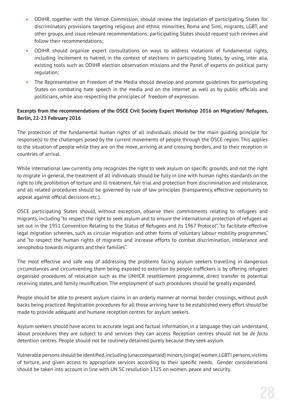- **•** ODIHR, together with the Venice Commission, should review the legislation of participating States for discriminatory provisions targeting religious and ethnic minorities, Roma and Sinti, migrants, LGBT, and other groups, and issue relevant recommendations; participating States should request such reviews and follow their recommendations;
- **•** ODIHR should organize expert consultations on ways to address violations of fundamental rights, including incitement to hatred, in the context of elections in participating States, by using, inter alia, existing tools such as ODIHR election observation missions and the Panel of experts on political party regulation;
- **•** The Representative on Freedom of the Media should develop and promote guidelines for participating States on combating hate speech in the media and on the internet as well as by public offcials and politicians, while also respecting the principles of freedom of expression.

#### **Excerpts from the recommendations of the OSCE Civil Society Expert Workshop 2016 on Migration/ Refugees, Berlin, 22-23 February 2016**

The protection of the fundamental human rights of all individuals should be the main guiding principle for response(s) to the challenges posed by the current movements of people through the OSCE region. This applies to the situation of people while they are on the move, arriving at and crossing borders, and to their reception in countries of arrival.

While international law currently only recognizes the right to seek asylum on specifc grounds, and not the right to migrate in general, the treatment of all individuals should be fully in line with human rights standards on the right to life, prohibition of torture and ill-treatment, fair trial and protection from discrimination and intolerance, and all related procedures should be governed by rule of law principles (transparency, effective opportunity to appeal against offcial decisions etc.).

OSCE participating States should, without exception, observe their commitments relating to refugees and migrants, including "to respect the right to seek asylum and to ensure the international protection of refugees as set out in the 1951 Convention Relating to the Status of Refugees and its 1967 Protocol", "to facilitate effective legal migration schemes, such as circular migration and other forms of voluntary labour mobility programmes," and "to respect the human rights of migrants and increase efforts to combat discrimination, intolerance and xenophobia towards migrants and their families".

The most effective and safe way of addressing the problems facing asylum seekers travelling in dangerous circumstances and circumventing them being exposed to extortion by people traffckers is by offering refugees organised procedures of relocation such as the UNHCR resettlement programme, direct transfer to potential receiving states, and family reunifcation. The employment of such procedures should be greatly expanded.

People should be able to present asylum claims in an orderly manner at normal border crossings, without push backs being practiced. Registration procedures for all those arriving have to be established every effort should be made to provide adequate and humane reception centres for asylum seekers.

Asylum seekers should have access to accurate legal and factual information, in a language they can understand, about procedures they are subject to and services they can access. Reception centres should not be *de facto* detention centres. People should not be routinely detained purely because they seek asylum.

Vulnerable persons should be identifed, including (unaccompanied) minors, (single) women, LGBTI persons, victims of torture, and given access to appropriate services according to their specifc needs. Gender considerations should be taken into account in line with UN SC resolution 1325 on women, peace and security.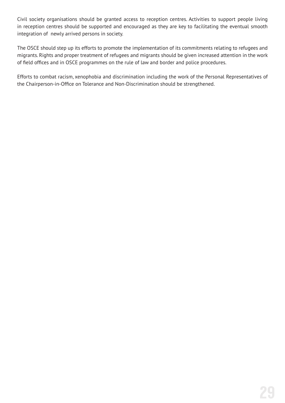Civil society organisations should be granted access to reception centres. Activities to support people living in reception centres should be supported and encouraged as they are key to facilitating the eventual smooth integration of newly arrived persons in society.

The OSCE should step up its efforts to promote the implementation of its commitments relating to refugees and migrants. Rights and proper treatment of refugees and migrants should be given increased attention in the work of feld offces and in OSCE programmes on the rule of law and border and police procedures.

Efforts to combat racism, xenophobia and discrimination including the work of the Personal Representatives of the Chairperson-in-Offce on Tolerance and Non-Discrimination should be strengthened.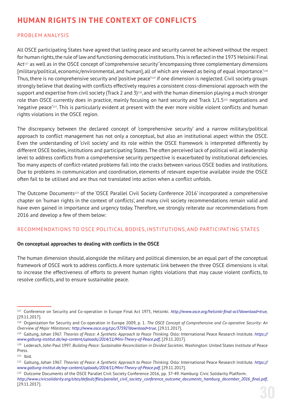## **HUMAN RIGHTS IN THE CONTEXT OF CONFLICTS**

#### PROBLEM ANALYSIS

All OSCE participating States have agreed that lasting peace and security cannot be achieved without the respect for human rights, the rule of law and functioning democratic institutions. This is refected in the 1975 Helsinki Final  $Act<sup>117</sup>$  as well as in the OSCE concept of 'comprehensive security' encompassing three complementary dimensions [military/political, economic/environmental, and human], all of which are viewed as being of equal importance.<sup>'118</sup> Thus, there is no comprehensive security and 'positive peace'<sup>119</sup> if one dimension is neglected. Civil society groups strongly believe that dealing with conficts effectively requires a consistent cross-dimensional approach with the support and expertise from civil society (Track 2 and 3)<sup>120</sup>, and with the human dimension playing a much stronger role than OSCE currently does in practice, mainly focusing on hard security and Track 1/1.5121 negotiations and 'negative peace'122. This is particularly evident at present with the ever more visible violent conficts and human rights violations in the OSCE region.

The discrepancy between the declared concept of 'comprehensive security' and a narrow military/political approach to confict management has not only a conceptual, but also an institutional aspect within the OSCE. Even the understanding of 'civil society' and its role within the OSCE framework is interpreted differently by different OSCE bodies, institutions and participating States. The often perceived lack of political will at leadership level to address conficts from a comprehensive security perspective is exacerbated by institutional defciencies. Too many aspects of confict-related problems fall into the cracks between various OSCE bodies and institutions. Due to problems in communication and coordination, elements of relevant expertise available inside the OSCE often fail to be utilised and are thus not translated into action when a confict unfolds.

The Outcome Documents<sup>123</sup> of the 'OSCE Parallel Civil Society Conference 2016' incorporated a comprehensive chapter on 'human rights in the context of conficts', and many civil society recommendations remain valid and have even gained in importance and urgency today. Therefore, we strongly reiterate our recommendations from 2016 and develop a few of them below:

#### RECOMMENDATIONS TO OSCE POLITICAL BODIES, INSTITUTIONS, AND PARTICIPATING STATES

#### **On conceptual approaches to dealing with conficts in the OSCE**

The human dimension should, alongside the military and political dimension, be an equal part of the conceptual framework of OSCE work to address conficts. A more systematic link between the three OSCE dimensions is vital to increase the effectiveness of efforts to prevent human rights violations that may cause violent conficts, to resolve conficts, and to ensure sustainable peace.

<sup>117</sup> Conference on Security and Co-operation in Europe Final Act 1975, Helsinki. *[http://www.osce.org/helsinki-fnal-act?download=true](http://www.osce.org/helsinki-final-act?download=true),* [29.11.2017].

<sup>118</sup> Organization for Security and Co-operation in Europe 2009, p. 1. *The OSCE Concept of Comprehensive and Co-operative Security: An Overview of Major Milestones*: *<http://www.osce.org/cpc/37592?download=true>,* [29.11.2017].

<sup>119</sup> Galtung, Johan 1967. *Theories of Peace: A Synthetic Approach to Peace Thinking*. Oslo: International Peace Research Institute. *[https://](https://www.galtung-institut.de/wp-content/uploads/2014/11/Mini-Theory-of-Peace.pdf) [www.galtung-institut.de/wp-content/uploads/2014/11/Mini-Theory-of-Peace.pdf](https://www.galtung-institut.de/wp-content/uploads/2014/11/Mini-Theory-of-Peace.pdf),* [29.11.2017].

<sup>120</sup> Lederach, John Paul 1997. *Building Peace: Sustainable Reconciliation in Divided Societies*. Washington: United States Institute of Peace Press.

 $121$  Ibid.

<sup>122</sup> Galtung, Johan 1967. *Theories of Peace: A Synthetic Approach to Peace Thinking*. Oslo: International Peace Research Institute. *[https://](https://www.galtung-institut.de/wp-content/uploads/2014/11/Mini-Theory-of-Peace.pdf) [www.galtung-institut.de/wp-content/uploads/2014/11/Mini-Theory-of-Peace.pdf](https://www.galtung-institut.de/wp-content/uploads/2014/11/Mini-Theory-of-Peace.pdf),* [29.11.2017].

<sup>123</sup> Outcome Documents of the OSCE Parallel Civil Society Conference 2016, pp. 37-49. Hamburg: Civic Solidarity Platform. *[http://www.civicsolidarity.org/sites/default/fles/parallel\\_civil\\_society\\_conference\\_outcome\\_documents\\_hamburg\\_december\\_2016\\_fnal.pdf](http://www.civicsolidarity.org/sites/default/files/parallel_civil_society_conference_outcome_documents_hamburg_december_2016_final.pdf),* [29.11.2017].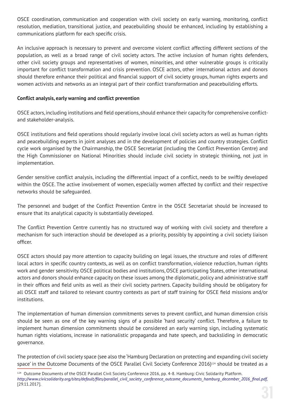OSCE coordination, communication and cooperation with civil society on early warning, monitoring, confict resolution, mediation, transitional justice, and peacebuilding should be enhanced, including by establishing a communications platform for each specifc crisis.

An inclusive approach is necessary to prevent and overcome violent confict affecting different sections of the population, as well as a broad range of civil society actors. The active inclusion of human rights defenders, other civil society groups and representatives of women, minorities, and other vulnerable groups is critically important for confict transformation and crisis prevention. OSCE actors, other international actors and donors should therefore enhance their political and fnancial support of civil society groups, human rights experts and women activists and networks as an integral part of their confict transformation and peacebuilding efforts.

#### **Confict analysis, early warning and confict prevention**

OSCE actors, including institutions and feld operations, should enhance their capacity for comprehensive confictand stakeholder-analysis.

OSCE institutions and feld operations should regularly involve local civil society actors as well as human rights and peacebuilding experts in joint analyses and in the development of policies and country strategies. Confict cycle work organised by the Chairmanship, the OSCE Secretariat (including the Confict Prevention Centre) and the High Commissioner on National Minorities should include civil society in strategic thinking, not just in implementation.

Gender sensitive confict analysis, including the differential impact of a confict, needs to be swiftly developed within the OSCE. The active involvement of women, especially women affected by confict and their respective networks should be safeguarded.

The personnel and budget of the Confict Prevention Centre in the OSCE Secretariat should be increased to ensure that its analytical capacity is substantially developed.

The Confict Prevention Centre currently has no structured way of working with civil society and therefore a mechanism for such interaction should be developed as a priority, possibly by appointing a civil society liaison offcer.

OSCE actors should pay more attention to capacity building on legal issues, the structure and roles of different local actors in specifc country contexts, as well as on confict transformation, violence reduction, human rights work and gender sensitivity. OSCE political bodies and institutions, OSCE participating States, other international actors and donors should enhance capacity on these issues among the diplomatic, policy and administrative staff in their offces and feld units as well as their civil society partners. Capacity building should be obligatory for all OSCE staff and tailored to relevant country contexts as part of staff training for OSCE feld missions and/or institutions.

The implementation of human dimension commitments serves to prevent confict, and human dimension crisis should be seen as one of the key warning signs of a possible 'hard security' confict. Therefore, a failure to implement human dimension commitments should be considered an early warning sign, including systematic human rights violations, increase in nationalistic propaganda and hate speech, and backsliding in democratic governance.

The protection of civil society space (see also the 'Hamburg Declaration on protecting and expanding civil society space' in the Outcome Documents of the OSCE Parallel Civil Society Conference 2016)<sup>124</sup> should be treated as a

<sup>124</sup> Outcome Documents of the OSCE Parallel Civil Society Conference 2016, pp. 4-8. Hamburg: Civic Solidarity Platform. *[http://www.civicsolidarity.org/sites/default/fles/parallel\\_civil\\_society\\_conference\\_outcome\\_documents\\_hamburg\\_december\\_2016\\_fnal.pdf](http://www.civicsolidarity.org/sites/default/files/parallel_civil_society_conference_outcome_documents_hamburg_december_2016_final.pdf),* [29.11.2017].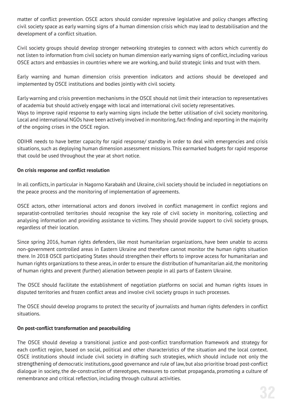matter of confict prevention. OSCE actors should consider repressive legislative and policy changes affecting civil society space as early warning signs of a human dimension crisis which may lead to destabilisation and the development of a confict situation.

Civil society groups should develop stronger networking strategies to connect with actors which currently do not listen to information from civil society on human dimension early warning signs of confict, including various OSCE actors and embassies in countries where we are working, and build strategic links and trust with them.

Early warning and human dimension crisis prevention indicators and actions should be developed and implemented by OSCE institutions and bodies jointly with civil society.

Early warning and crisis prevention mechanisms in the OSCE should not limit their interaction to representatives of academia but should actively engage with local and international civil society representatives. Ways to improve rapid response to early warning signs include the better utilisation of civil society monitoring. Local and international NGOs have been actively involved in monitoring, fact-fnding and reporting in the majority of the ongoing crises in the OSCE region.

ODIHR needs to have better capacity for rapid response/ standby in order to deal with emergencies and crisis situations, such as deploying human dimension assessment missions. This earmarked budgets for rapid response that could be used throughout the year at short notice.

#### **On crisis response and confict resolution**

In all conficts, in particular in Nagorno Karabakh and Ukraine, civil society should be included in negotiations on the peace process and the monitoring of implementation of agreements.

OSCE actors, other international actors and donors involved in confict management in confict regions and separatist-controlled territories should recognise the key role of civil society in monitoring, collecting and analysing information and providing assistance to victims. They should provide support to civil society groups, regardless of their location.

Since spring 2016, human rights defenders, like most humanitarian organizations, have been unable to access non-government controlled areas in Eastern Ukraine and therefore cannot monitor the human rights situation there. In 2018 OSCE participating States should strengthen their efforts to improve access for humanitarian and human rights organizations to these areas, in order to ensure the distribution of humanitarian aid, the monitoring of human rights and prevent (further) alienation between people in all parts of Eastern Ukraine.

The OSCE should facilitate the establishment of negotiation platforms on social and human rights issues in disputed territories and frozen confict areas and involve civil society groups in such processes.

The OSCE should develop programs to protect the security of journalists and human rights defenders in confict situations.

#### **On post-confict transformation and peacebuilding**

The OSCE should develop a transitional justice and post-confict transformation framework and strategy for each confict region, based on social, political and other characteristics of the situation and the local context. OSCE institutions should include civil society in drafting such strategies, which should include not only the strengthening of democratic institutions, good governance and rule of law, but also prioritise broad post-confict dialogue in society, the de-construction of stereotypes, measures to combat propaganda, promoting a culture of remembrance and critical refection, including through cultural activities.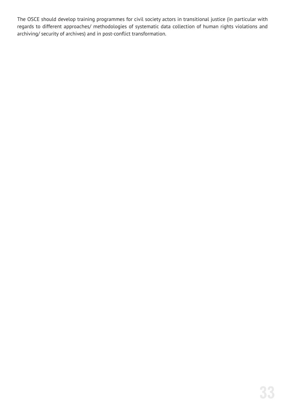The OSCE should develop training programmes for civil society actors in transitional justice (in particular with regards to different approaches/ methodologies of systematic data collection of human rights violations and archiving/ security of archives) and in post-confict transformation.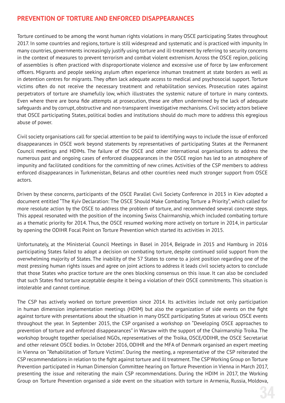#### **PREVENTION OF TORTURE AND ENFORCED DISAPPEARANCES**

Torture continued to be among the worst human rights violations in many OSCE participating States throughout 2017. In some countries and regions, torture is still widespread and systematic and is practiced with impunity. In many countries, governments increasingly justify using torture and ill-treatment by referring to security concerns in the context of measures to prevent terrorism and combat violent extremism. Across the OSCE region, policing of assemblies is often practiced with disproportionate violence and excessive use of force by law enforcement offcers. Migrants and people seeking asylum often experience inhuman treatment at state borders as well as in detention centres for migrants. They often lack adequate access to medical and psychosocial support. Torture victims often do not receive the necessary treatment and rehabilitation services. Prosecution rates against perpetrators of torture are shamefully low, which illustrates the systemic nature of torture in many contexts. Even where there are bona fde attempts at prosecution, these are often undermined by the lack of adequate safeguards and by corrupt, obstructive and non-transparent investigative mechanisms. Civil society actors believe that OSCE participating States, political bodies and institutions should do much more to address this egregious abuse of power.

Civil society organisations call for special attention to be paid to identifying ways to include the issue of enforced disappearances in OSCE work beyond statements by representatives of participating States at the Permanent Council meetings and HDIMs. The failure of the OSCE and other international organisations to address the numerous past and ongoing cases of enforced disappearances in the OSCE region has led to an atmosphere of impunity and facilitated conditions for the committing of new crimes. Activities of the CSP members to address enforced disappearances in Turkmenistan, Belarus and other countries need much stronger support from OSCE actors.

Driven by these concerns, participants of the OSCE Parallel Civil Society Conference in 2013 in Kiev adopted a document entitled "The Kyiv Declaration: The OSCE Should Make Combating Torture a Priority", which called for more resolute action by the OSCE to address the problem of torture, and recommended several concrete steps. This appeal resonated with the position of the incoming Swiss Chairmanship, which included combating torture as a thematic priority for 2014. Thus, the OSCE resumed working more actively on torture in 2014, in particular by opening the ODIHR Focal Point on Torture Prevention which started its activities in 2015.

Unfortunately, at the Ministerial Council Meetings in Basel in 2014, Belgrade in 2015 and Hamburg in 2016 participating States failed to adopt a decision on combating torture, despite continued solid support from the overwhelming majority of States. The inability of the 57 States to come to a joint position regarding one of the most pressing human rights issues and agree on joint actions to address it leads civil society actors to conclude that those States who practice torture are the ones blocking consensus on this issue. It can also be concluded that such States fnd torture acceptable despite it being a violation of their OSCE commitments. This situation is intolerable and cannot continue.

The CSP has actively worked on torture prevention since 2014. Its activities include not only participation in human dimension implementation meetings (HDIM) but also the organization of side events on the fght against torture with presentations about the situation in many OSCE participating States at various OSCE events throughout the year. In September 2015, the CSP organised a workshop on "Developing OSCE approaches to prevention of torture and enforced disappearances" in Warsaw with the support of the Chairmanship Troika. The workshop brought together specialised NGOs, representatives of the Troika, OSCE/ODIHR, the OSCE Secretariat and other relevant OSCE bodies. In October 2016, ODIHR and the MFA of Denmark organised an expert meeting in Vienna on "Rehabilitation of Torture Victims". During the meeting, a representative of the CSP reiterated the CSP recommendations in relation to the fght against torture and ill treatment. The CSP Working Group on Torture Prevention participated in Human Dimension Committee hearing on Torture Prevention in Vienna in March 2017, presenting the issue and reiterating the main CSP recommendations. During the HDIM in 2017, the Working Group on Torture Prevention organised a side event on the situation with torture in Armenia, Russia, Moldova,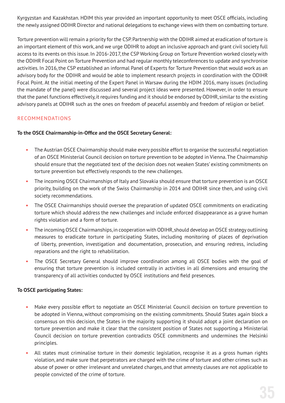Kyrgyzstan and Kazakhstan. HDIM this year provided an important opportunity to meet OSCE offcials, including the newly assigned ODIHR Director and national delegations to exchange views with them on combatting torture.

Torture prevention will remain a priority for the CSP. Partnership with the ODIHR aimed at eradication of torture is an important element of this work, and we urge ODIHR to adopt an inclusive approach and grant civil society full access to its events on this issue. In 2016-2017, the CSP Working Group on Torture Prevention worked closely with the ODIHR Focal Point on Torture Prevention and had regular monthly teleconferences to update and synchronise activities. In 2016, the CSP established an informal Panel of Experts for Torture Prevention that would work as an advisory body for the ODIHR and would be able to implement research projects in coordination with the ODIHR Focal Point. At the initial meeting of the Expert Panel in Warsaw during the HDIM 2016, many issues (including the mandate of the panel) were discussed and several project ideas were presented. However, in order to ensure that the panel functions effectively, it requires funding and it should be endorsed by ODIHR, similar to the existing advisory panels at ODIHR such as the ones on freedom of peaceful assembly and freedom of religion or belief.

#### RECOMMENDATIONS

#### **To the OSCE Chairmanship-in-Offce and the OSCE Secretary General:**

- **•** The Austrian OSCE Chairmanship should make every possible effort to organise the successful negotiation of an OSCE Ministerial Council decision on torture prevention to be adopted in Vienna. The Chairmanship should ensure that the negotiated text of the decision does not weaken States' existing commitments on torture prevention but effectively responds to the new challenges.
- **•** The incoming OSCE Chairmanships of Italy and Slovakia should ensure that torture prevention is an OSCE priority, building on the work of the Swiss Chairmanship in 2014 and ODIHR since then, and using civil society recommendations.
- **•** The OSCE Chairmanships should oversee the preparation of updated OSCE commitments on eradicating torture which should address the new challenges and include enforced disappearance as a grave human rights violation and a form of torture.
- **•** The incoming OSCE Chairmanships, in cooperation with ODIHR, should develop an OSCE strategy outlining measures to eradicate torture in participating States, including monitoring of places of deprivation of liberty, prevention, investigation and documentation, prosecution, and ensuring redress, including reparations and the right to rehabilitation.
- **•** The OSCE Secretary General should improve coordination among all OSCE bodies with the goal of ensuring that torture prevention is included centrally in activities in all dimensions and ensuring the transparency of all activities conducted by OSCE institutions and feld presences.

#### **To OSCE participating States:**

- **•** Make every possible effort to negotiate an OSCE Ministerial Council decision on torture prevention to be adopted in Vienna, without compromising on the existing commitments. Should States again block a consensus on this decision, the States in the majority supporting it should adopt a joint declaration on torture prevention and make it clear that the consistent position of States not supporting a Ministerial Council decision on torture prevention contradicts OSCE commitments and undermines the Helsinki principles.
- **•** All states must criminalise torture in their domestic legislation, recognise it as a gross human rights violation, and make sure that perpetrators are charged with the crime of torture and other crimes such as abuse of power or other irrelevant and unrelated charges, and that amnesty clauses are not applicable to people convicted of the crime of torture.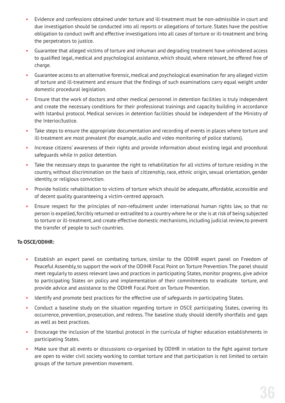- **•** Evidence and confessions obtained under torture and ill-treatment must be non-admissible in court and due investigation should be conducted into all reports or allegations of torture. States have the positive obligation to conduct swift and effective investigations into all cases of torture or ill-treatment and bring the perpetrators to justice.
- **•** Guarantee that alleged victims of torture and inhuman and degrading treatment have unhindered access to qualifed legal, medical and psychological assistance, which should, where relevant, be offered free of charge.
- **•** Guarantee access to an alternative forensic, medical and psychological examination for any alleged victim of torture and ill-treatment and ensure that the fndings of such examinations carry equal weight under domestic procedural legislation.
- **•** Ensure that the work of doctors and other medical personnel in detention facilities is truly independent and create the necessary conditions for their professional trainings and capacity building in accordance with Istanbul protocol. Medical services in detention facilities should be independent of the Ministry of the Interior/Justice.
- **•** Take steps to ensure the appropriate documentation and recording of events in places where torture and ill-treatment are most prevalent (for example, audio and video monitoring of police stations).
- **•** Increase citizens' awareness of their rights and provide information about existing legal and procedural safeguards while in police detention.
- **•** Take the necessary steps to guarantee the right to rehabilitation for all victims of torture residing in the country, without discrimination on the basis of citizenship, race, ethnic origin, sexual orientation, gender identity, or religious conviction.
- **•** Provide holistic rehabilitation to victims of torture which should be adequate, affordable, accessible and of decent quality guaranteeing a victim-centred approach.
- **•** Ensure respect for the principles of non-refoulment under international human rights law, so that no person is expelled, forcibly returned or extradited to a country where he or she is at risk of being subjected to torture or ill-treatment, and create effective domestic mechanisms, including judicial review, to prevent the transfer of people to such countries.

# **To OSCE/ODIHR:**

- **•** Establish an expert panel on combating torture, similar to the ODIHR expert panel on Freedom of Peaceful Assembly, to support the work of the ODIHR Focal Point on Torture Prevention. The panel should meet regularly to assess relevant laws and practices in participating States, monitor progress, give advice to participating States on policy and implementation of their commitments to eradicate torture, and provide advice and assistance to the ODIHR Focal Point on Torture Prevention.
- **•** Identify and promote best practices for the effective use of safeguards in participating States.
- **•** Conduct a baseline study on the situation regarding torture in OSCE participating States, covering its occurrence, prevention, prosecution, and redress. The baseline study should identify shortfalls and gaps as well as best practices.
- **•** Encourage the inclusion of the Istanbul protocol in the curricula of higher education establishments in participating States.
- **•** Make sure that all events or discussions co-organised by ODIHR in relation to the fght against torture are open to wider civil society working to combat torture and that participation is not limited to certain groups of the torture prevention movement.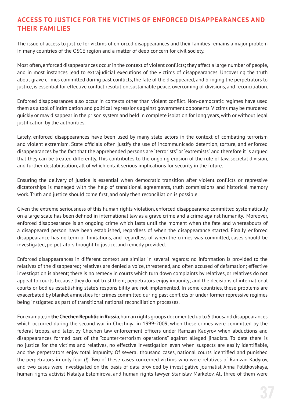# **ACCESS TO JUSTICE FOR THE VICTIMS OF ENFORCED DISAPPEARANCES AND THEIR FAMILIES**

The issue of access to justice for victims of enforced disappearances and their families remains a major problem in many countries of the OSCE region and a matter of deep concern for civil society.

Most often, enforced disappearances occur in the context of violent conficts; they affect a large number of people, and in most instances lead to extrajudicial executions of the victims of disappearances. Uncovering the truth about grave crimes committed during past conficts, the fate of the disappeared, and bringing the perpetrators to justice, is essential for effective confict resolution, sustainable peace, overcoming of divisions, and reconciliation.

Enforced disappearances also occur in contexts other than violent confict. Non-democratic regimes have used them as a tool of intimidation and political repressions against government opponents. Victims may be murdered quickly or may disappear in the prison system and held in complete isolation for long years, with or without legal justifcation by the authorities.

Lately, enforced disappearances have been used by many state actors in the context of combating terrorism and violent extremism. State offcials often justify the use of incommunicado detention, torture, and enforced disappearances by the fact that the apprehended persons are "terrorists" or "extremists" and therefore it is argued that they can be treated differently. This contributes to the ongoing erosion of the rule of law, societal division, and further destabilisation, all of which entail serious implications for security in the future.

Ensuring the delivery of justice is essential when democratic transition after violent conficts or repressive dictatorships is managed with the help of transitional agreements, truth commissions and historical memory work. Truth and justice should come frst, and only then reconciliation is possible.

Given the extreme seriousness of this human rights violation, enforced disappearance committed systematically on a large scale has been defned in international law as a grave crime and a crime against humanity. Moreover, enforced disappearance is an ongoing crime which lasts until the moment when the fate and whereabouts of a disappeared person have been established, regardless of when the disappearance started. Finally, enforced disappearance has no term of limitations, and regardless of when the crimes was committed, cases should be investigated, perpetrators brought to justice, and remedy provided.

Enforced disappearances in different context are similar in several regards: no information is provided to the relatives of the disappeared; relatives are denied a voice, threatened, and often accused of defamation; effective investigation is absent; there is no remedy in courts which turn down complaints by relatives, or relatives do not appeal to courts because they do not trust them; perpetrators enjoy impunity; and the decisions of international courts or bodies establishing state's responsibility are not implemented. In some countries, these problems are exacerbated by blanket amnesties for crimes committed during past conficts or under former repressive regimes being instigated as part of transitional national reconciliation processes.

For example, in **the Chechen Republic in Russia**, human rights groups documented up to 5 thousand disappearances which occurred during the second war in Chechnya in 1999-2009, when these crimes were committed by the federal troops, and later, by Chechen law enforcement offcers under Ramzan Kadyrov when abductions and disappearances formed part of the "counter-terrorism operations" against alleged jihadists. To date there is no justice for the victims and relatives, no effective investigation even when suspects are easily identifable, and the perpetrators enjoy total impunity. Of several thousand cases, national courts identifed and punished the perpetrators in only four (!). Two of these cases concerned victims who were relatives of Ramzan Kadyrov, and two cases were investigated on the basis of data provided by investigative journalist Anna Politkovskaya, human rights activist Natalya Estemirova, and human rights lawyer Stanislav Markelov. All three of them were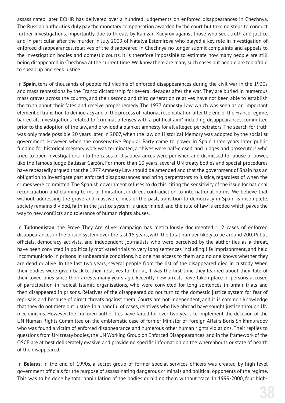assassinated later. ECtHR has delivered over a hundred judgements on enforced disappearances in Chechnya. The Russian authorities duly pay the monetary compensation awarded by the court but take no steps to conduct further investigations. Importantly, due to threats by Ramzan Kadyrov against those who seek truth and justice and in particular after the murder in July 2009 of Natalya Estemirova who played a key role in investigation of enforced disappearances, relatives of the disappeared in Chechnya no longer submit complaints and appeals to the investigation bodies and domestic courts. It is therefore impossible to estimate how many people are still being disappeared in Chechnya at the current time. We know there are many such cases but people are too afraid to speak up and seek justice.

In **Spain**, tens of thousands of people fell victims of enforced disappearances during the civil war in the 1930s and mass repressions by the Franco dictatorship for several decades after the war. They are buried in numerous mass graves across the country, and their second and third generation relatives have not been able to establish the truth about their fates and receive proper remedy. The 1977 Amnesty Law, which was seen as an important element of transition to democracy and of the process of national reconciliation after the end of the Franco regime, barred all investigations related to "criminal offenses with a political aim", including disappearances, committed prior to the adoption of the law, and provided a blanket amnesty for all alleged perpetrators. The search for truth was only made possible 20 years later, in 2007, when the law on Historical Memory was adopted by the socialist government. However, when the conservative Popular Party came to power in Spain three years later, public funding for historical memory work was terminated, archives were half-closed, and judges and prosecutors who tried to open investigations into the cases of disappearances were punished and dismissed for abuse of power, like the famous judge Baltasar Garzón. For more than 10 years, several UN treaty bodies and special procedures have repeatedly argued that the 1977 Amnesty Law should be amended and that the government of Spain has an obligation to investigate past enforced disappearances and bring perpetrators to justice, regardless of when the crimes were committed. The Spanish government refuses to do this, citing the sensitivity of the issue for national reconciliation and claiming terms of limitation, in direct contradiction to international norms. We believe that without addressing the grave and massive crimes of the past, transition to democracy in Spain is incomplete, society remains divided, faith in the justice system is undermined, and the rule of law is eroded which paves the way to new conficts and tolerance of human rights abuses.

In **Turkmenistan**, the Prove They Are Alive! campaign has meticulously documented 112 cases of enforced disappearances in the prison system over the last 15 years, with the total number likely to be around 200. Public offcials, democracy activists, and independent journalists who were perceived by the authorities as a threat, have been convicted in politically motivated trials to very long sentences including life imprisonment, and held incommunicado in prisons in unbearable conditions. No one has access to them and no one knows whether they are dead or alive. In the last two years, several people from the list of the disappeared died in custody. When their bodies were given back to their relatives for burial, it was the frst time they learned about their fate of their loved ones since their arrests many years ago. Recently, new arrests have taken place of persons accused of participation in radical Islamic organisations, who were convicted for long sentences in unfair trials and then disappeared in prisons. Relatives of the disappeared do not turn to the domestic justice system for fear of reprisals and because of direct threats against them. Courts are not independent, and it is common knowledge that they do not mete out justice. In a handful of cases, relatives who live abroad have sought justice through UN mechanisms. However, the Turkmen authorities have failed for over two years to implement the decision of the UN Human Rights Committee on the emblematic case of former Minister of Foreign Affairs Boris Shikhmuradov who was found a victim of enforced disappearance and numerous other human rights violations. Their replies to questions from UN treaty bodies, the UN Working Group on Enforced Disappearances, and in the framework of the OSCE are at best deliberately evasive and provide no specifc information on the whereabouts or state of health of the disappeared.

In **Belarus**, in the end of 1990s, a secret group of former special services offcers was created by high-level government offcials for the purpose of assassinating dangerous criminals and political opponents of the regime. This was to be done by total annihilation of the bodies or hiding them without trace. In 1999-2000, four high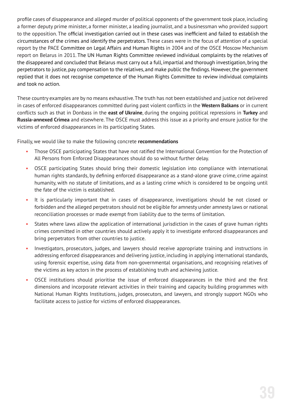profle cases of disappearance and alleged murder of political opponents of the government took place, including a former deputy prime minister, a former minister, a leading journalist, and a businessman who provided support to the opposition. The offcial investigation carried out in these cases was ineffcient and failed to establish the circumstances of the crimes and identify the perpetrators. These cases were in the focus of attention of a special report by the PACE Committee on Legal Affairs and Human Rights in 2004 and of the OSCE Moscow Mechanism report on Belarus in 2011. The UN Human Rights Committee reviewed individual complaints by the relatives of the disappeared and concluded that Belarus must carry out a full, impartial and thorough investigation, bring the perpetrators to justice, pay compensation to the relatives, and make public the fndings. However, the government replied that it does not recognise competence of the Human Rights Committee to review individual complaints and took no action.

These country examples are by no means exhaustive. The truth has not been established and justice not delivered in cases of enforced disappearances committed during past violent conficts in the **Western Balkans** or in current conficts such as that in Donbass in the **east of Ukraine**, during the ongoing political repressions in **Turkey** and **Russia-annexed Crimea** and elsewhere. The OSCE must address this issue as a priority and ensure justice for the victims of enforced disappearances in its participating States.

Finally, we would like to make the following concrete **recommendations**

- **•** Those OSCE participating States that have not ratifed the International Convention for the Protection of All Persons from Enforced Disappearances should do so without further delay.
- **•** OSCE participating States should bring their domestic legislation into compliance with international human rights standards, by defning enforced disappearance as a stand-alone grave crime, crime against humanity, with no statute of limitations, and as a lasting crime which is considered to be ongoing until the fate of the victim is established.
- **•** It is particularly important that in cases of disappearance, investigations should be not closed or forbidden and the alleged perpetrators should not be eligible for amnesty under amnesty laws or national reconciliation processes or made exempt from liability due to the terms of limitation.
- **•** States where laws allow the application of international jurisdiction in the cases of grave human rights crimes committed in other countries should actively apply it to investigate enforced disappearances and bring perpetrators from other countries to justice.
- **•** Investigators, prosecutors, judges, and lawyers should receive appropriate training and instructions in addressing enforced disappearances and delivering justice, including in applying international standards, using forensic expertise, using data from non-governmental organisations, and recognising relatives of the victims as key actors in the process of establishing truth and achieving justice.
- **•** OSCE institutions should prioritise the issue of enforced disappearances in the third and the frst dimensions and incorporate relevant activities in their training and capacity building programmes with National Human Rights Institutions, judges, prosecutors, and lawyers, and strongly support NGOs who facilitate access to justice for victims of enforced disappearances.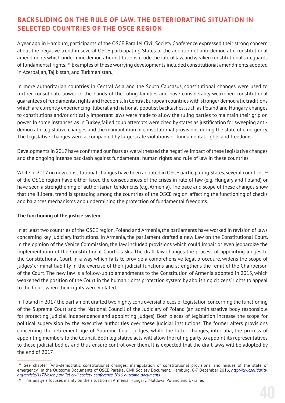# **BACKSLIDING ON THE RULE OF LAW: THE DETERIORATING SITUATION IN SELECTED COUNTRIES OF THE OSCE REGION**

A year ago in Hamburg, participants of the OSCE Parallel Civil Society Conference expressed their strong concern about the negative trend in several OSCE participating States of the adoption of anti-democratic constitutional amendments which undermine democratic institutions, erode the rule of law, and weaken constitutional safeguards of fundamental rights.125 Examples of these worrying developments included constitutional amendments adopted in Azerbaijan, Tajikistan, and Turkmenistan.

In more authoritarian countries in Central Asia and the South Caucasus, constitutional changes were used to further consolidate power in the hands of the ruling families and have considerably weakened constitutional guarantees of fundamental rights and freedoms. In Central European countries with stronger democratic traditions which are currently experiencing illiberal and national-populist backlashes, such as Poland and Hungary, changes to constitutions and/or critically important laws were made to allow the ruling parties to maintain their grip on power. In some instances, as in Turkey, failed coup attempts were cited by states as justifcation for sweeping antidemocratic legislative changes and the manipulation of constitutional provisions during the state of emergency. The legislative changes were accompanied by large-scale violations of fundamental rights and freedoms.

Developments in 2017 have confrmed our fears as we witnessed the negative impact of these legislative changes and the ongoing intense backlash against fundamental human rights and rule of law in these countries.

While in 2017 no new constitutional changes have been adopted in OSCE participating States, several countries<sup>126</sup> of the OSCE region have either faced the consequences of the crises in rule of law (e.g. Hungary and Poland) or have seen a strengthening of authoritarian tendencies (e.g. Armenia). The pace and scope of these changes show that the illiberal trend is spreading among the countries of the OSCE region, affecting the functioning of checks and balances mechanisms and undermining the protection of fundamental freedoms.

# **The functioning of the justice system**

In at least two countries of the OSCE region, Poland and Armenia, the parliaments have worked in revision of laws concerning key judiciary institutions. In Armenia, the parliament drafted a new Law on the Constitutional Court. In the opinion of the Venice Commission, the law included provisions which could impair or even jeopardize the implementation of the Constitutional Court's tasks. The draft law changes the process of appointing judges to the Constitutional Court in a way which fails to provide a comprehensive legal procedure, widens the scope of judges' criminal liability in the exercise of their judicial functions and strengthens the remit of the Chairperson of the Court. The new law is a follow-up to amendments to the Constitution of Armenia adopted in 2015, which weakened the position of the Court in the human rights protection system by abolishing citizens' rights to appeal to the Court when their rights were violated.

In Poland in 2017, the parliament drafted two highly controversial pieces of legislation concerning the functioning of the Supreme Court and the National Council of the Judiciary of Poland (an administrative body responsible for protecting judicial independence and appointing judges). Both pieces of legislation increase the scope for political supervision by the executive authorities over these judicial institutions. The former alters provisions concerning the retirement age of Supreme Court judges, while the latter changes, inter alia, the process of appointing members to the Council. Both legislative acts will allow the ruling party to appoint its representatives to these judicial bodies and thus ensure control over them. It is expected that the draft laws will be adopted by the end of 2017.

<sup>&</sup>lt;sup>125</sup> See chapter "Anti-democratic constitutional changes, manipulation of constitutional provisions, and misuse of the state of emergency" in the Outcome Documents of OSCE Parallel Civil Society Document, Hamburg, 6-7 December 2016, *[http://civicsolidarity.](http://civicsolidarity.org/article/1172/osce-parallel-civil-society-conference-2016-outcome-documents) [org/article/1172/osce-parallel-civil-society-conference-2016-outcome-documents](http://civicsolidarity.org/article/1172/osce-parallel-civil-society-conference-2016-outcome-documents)*

<sup>&</sup>lt;sup>126</sup> This analysis focuses mainly on the situation in Armenia, Hungary, Moldova, Poland and Ukraine.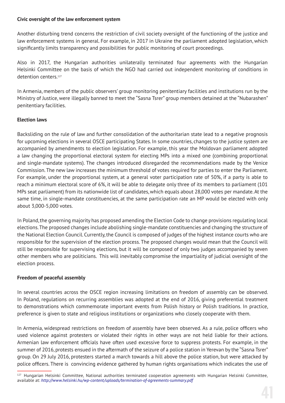### **Civic oversight of the law enforcement system**

Another disturbing trend concerns the restriction of civil society oversight of the functioning of the justice and law enforcement systems in general. For example, in 2017 in Ukraine the parliament adopted legislation, which signifcantly limits transparency and possibilities for public monitoring of court proceedings.

Also in 2017, the Hungarian authorities unilaterally terminated four agreements with the Hungarian Helsinki Committee on the basis of which the NGO had carried out independent monitoring of conditions in detention centers.<sup>127</sup>

In Armenia, members of the public observers' group monitoring penitentiary facilities and institutions run by the Ministry of Justice, were illegally banned to meet the "Sasna Tsrer" group members detained at the "Nubarashen" penitentiary facilities.

# **Election laws**

Backsliding on the rule of law and further consolidation of the authoritarian state lead to a negative prognosis for upcoming elections in several OSCE participating States. In some countries, changes to the justice system are accompanied by amendments to election legislation. For example, this year the Moldovan parliament adopted a law changing the proportional electoral system for electing MPs into a mixed one (combining proportional and single-mandate systems). The changes introduced disregarded the recommendations made by the Venice Commission. The new law increases the minimum threshold of votes required for parties to enter the Parliament. For example, under the proportional system, at a general voter participation rate of 50%, if a party is able to reach a minimum electoral score of 6%, it will be able to delegate only three of its members to parliament (101 MPs seat parliament) from its nationwide list of candidates, which equals about 28,000 votes per mandate. At the same time, in single-mandate constituencies, at the same participation rate an MP would be elected with only about 3,000-5,000 votes.

In Poland, the governing majority has proposed amending the Election Code to change provisions regulating local elections. The proposed changes include abolishing single-mandate constituencies and changing the structure of the National Election Council. Currently, the Council is composed of judges of the highest instance courts who are responsible for the supervision of the election process. The proposed changes would mean that the Council will still be responsible for supervising elections, but it will be composed of only two judges accompanied by seven other members who are politicians. This will inevitably compromise the impartiality of judicial oversight of the election process.

# **Freedom of peaceful assembly**

In several countries across the OSCE region increasing limitations on freedom of assembly can be observed. In Poland, regulations on recurring assemblies was adopted at the end of 2016, giving preferential treatment to demonstrations which commemorate important events from Polish history or Polish traditions. In practice, preference is given to state and religious institutions or organizations who closely cooperate with them.

In Armenia, widespread restrictions on freedom of assembly have been observed. As a rule, police offcers who used violence against protesters or violated their rights in other ways are not held liable for their actions. Armenian law enforcement offcials have often used excessive force to suppress protests. For example, in the summer of 2016, protests ensued in the aftermath of the seizure of a police station in Yerevan by the "Sasna Tsrer" group. On 29 July 2016, protesters started a march towards a hill above the police station, but were attacked by police offcers. There is convincing evidence gathered by human rights organisations which indicates the use of

<sup>&</sup>lt;sup>127</sup> Hungarian Helsinki Committee, National authorities terminated cooperation agreements with Hungarian Helsinki Committee, available at: *<http://www.helsinki.hu/wp-content/uploads/termination-of-agreements-summary.pdf>*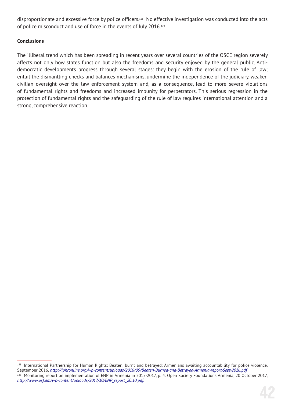disproportionate and excessive force by police officers.<sup>128</sup> No effective investigation was conducted into the acts of police misconduct and use of force in the events of July 2016.<sup>129</sup>

# **Conclusions**

The illiberal trend which has been spreading in recent years over several countries of the OSCE region severely affects not only how states function but also the freedoms and security enjoyed by the general public. Antidemocratic developments progress through several stages: they begin with the erosion of the rule of law; entail the dismantling checks and balances mechanisms, undermine the independence of the judiciary, weaken civilian oversight over the law enforcement system and, as a consequence, lead to more severe violations of fundamental rights and freedoms and increased impunity for perpetrators. This serious regression in the protection of fundamental rights and the safeguarding of the rule of law requires international attention and a strong, comprehensive reaction.

<sup>128</sup> International Partnership for Human Rights: Beaten, burnt and betrayed: Armenians awaiting accountability for police violence, September 2016, *<http://iphronline.org/wp-content/uploads/2016/09/Beaten-Burned-and-Betrayed-Armenia-report-Sept-2016.pdf>* <sup>129</sup> Monitoring report on implementation of ENP in Armenia in 2015-2017, p. 4. Open Society Foundations Armenia, 20 October 2017, *[http://www.osf.am/wp-content/uploads/2017/10/ENP\\_report\\_20.10.pdf](http://www.osf.am/wp-content/uploads/2017/10/ENP_report_20.10.pdf).*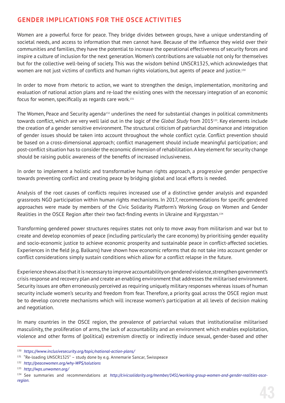# **GENDER IMPLICATIONS FOR THE OSCE ACTIVITIES**

Women are a powerful force for peace. They bridge divides between groups, have a unique understanding of societal needs, and access to information that men cannot have. Because of the infuence they wield over their communities and families, they have the potential to increase the operational effectiveness of security forces and inspire a culture of inclusion for the next generation. Women's contributions are valuable not only for themselves but for the collective well-being of society. This was the wisdom behind UNSCR1325, which acknowledges that women are not just victims of conflicts and human rights violations, but agents of peace and justice.<sup>130</sup>

In order to move from rhetoric to action, we want to strengthen the design, implementation, monitoring and evaluation of national action plans and re-load the existing ones with the necessary integration of an economic focus for women, specifcally as regards care work.<sup>131</sup>

The Women, Peace and Security agenda132 underlines the need for substantial changes in political commitments towards confict, which are very well laid out in the logic of the *Global Study* from 2015133. Key elements include the creation of a gender sensitive environment. The structural criticism of patriarchal dominance and integration of gender issues should be taken into account throughout the whole confict cycle. Confict prevention should be based on a cross-dimensional approach; confict management should include meaningful participation; and post-confict situation has to consider the economic dimension of rehabilitation. A key element for security change should be raising public awareness of the benefts of increased inclusiveness.

In order to implement a holistic and transformative human rights approach, a progressive gender perspective towards preventing confict and creating peace by bridging global and local efforts is needed.

Analysis of the root causes of conficts requires increased use of a distinctive gender analysis and expanded grassroots NGO participation within human rights mechanisms. In 2017, recommendations for specifc gendered approaches were made by members of the Civic Solidarity Platform's Working Group on Women and Gender Realities in the OSCE Region after their two fact-fnding events in Ukraine and Kyrgyzstan.<sup>134</sup>

Transforming gendered power structures requires states not only to move away from militarism and war but to create and develop economies of peace (including particularly the care economy) by prioritising gender equality and socio-economic justice to achieve economic prosperity and sustainable peace in confict-affected societies. Experiences in the feld (e.g. Balkans) have shown how economic reforms that do not take into account gender or confict considerations simply sustain conditions which allow for a confict relapse in the future.

Experience shows also that it is necessary to improve accountability on gendered violence, strengthen government's crisis response and recovery plan and create an enabling environment that addresses the militarised environment. Security issues are often erroneously perceived as requiring uniquely military responses whereas issues of human security include women's security and freedom from fear. Therefore, a priority goal across the OSCE region must be to develop concrete mechanisms which will increase women's participation at all levels of decision making and negotiation.

In many countries in the OSCE region, the prevalence of patriarchal values that institutionalise militarised masculinity, the proliferation of arms, the lack of accountability and an environment which enables exploitation, violence and other forms of (political) extremism directly or indirectly induce sexual, gender-based and other

<sup>130</sup> *<https://www.inclusivesecurity.org/topic/national-action-plans/>*

<sup>131</sup> "Re-loading UNSCR1325" – study done by e.g. Annemarie Sancar, Swisspeace

<sup>132</sup> *<http://peacewomen.org/why-WPS/solutions>*

<sup>133</sup> *<http://wps.unwomen.org/>*

<sup>134</sup> See summaries and recommendations at *[http://civicsolidarity.org/member/1451/working-group-women-and-gender-realities-osce](http://civicsolidarity.org/member/1451/working-group-women-and-gender-realities-osce-region)[region.](http://civicsolidarity.org/member/1451/working-group-women-and-gender-realities-osce-region)*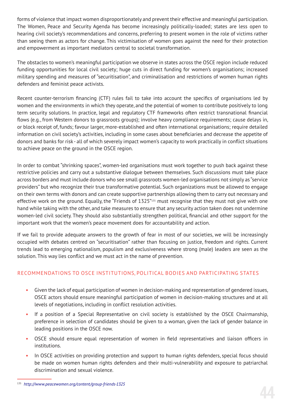forms of violence that impact women disproportionately and prevent their effective and meaningful participation. The Women, Peace and Security Agenda has become increasingly politically-loaded; states are less open to hearing civil society's recommendations and concerns, preferring to present women in the role of victims rather than seeing them as actors for change. This victimisation of women goes against the need for their protection and empowerment as important mediators central to societal transformation.

The obstacles to women's meaningful participation we observe in states across the OSCE region include reduced funding opportunities for local civil society; huge cuts in direct funding for women's organisations; increased military spending and measures of "securitisation", and criminalisation and restrictions of women human rights defenders and feminist peace activists.

Recent counter-terrorism fnancing (CTF) rules fail to take into account the specifcs of organisations led by women and the environments in which they operate, and the potential of women to contribute positively to long term security solutions. In practice, legal and regulatory CTF frameworks often restrict transnational fnancial flows (e.g., from Western donors to grassroots groups); involve heavy compliance requirements; cause delays in, or block receipt of, funds; favour larger, more-established and often international organisations; require detailed information on civil society's activities, including in some cases about benefciaries and decrease the appetite of donors and banks for risk - all of which severely impact women's capacity to work practically in confict situations to achieve peace on the ground in the OSCE region.

In order to combat "shrinking spaces", women-led organisations must work together to push back against these restrictive policies and carry out a substantive dialogue between themselves. Such discussions must take place across borders and must include donors who see small grassroots women-led organisations not simply as "service providers" but who recognize their true transformative potential. Such organizations must be allowed to engage on their own terms with donors and can create supportive partnerships allowing them to carry out necessary and effective work on the ground. Equally, the "Friends of 1325"<sup>135</sup> must recognise that they must not give with one hand while taking with the other, and take measures to ensure that any security action taken does not undermine women-led civil society. They should also substantially strengthen political, fnancial and other support for the important work that the women's peace movement does for accountability and action.

If we fail to provide adequate answers to the growth of fear in most of our societies, we will be increasingly occupied with debates centred on "securitisation" rather than focusing on justice, freedom and rights. Current trends lead to emerging nationalism, populism and exclusiveness where strong (male) leaders are seen as the solution. This way lies confict and we must act in the name of prevention.

# RECOMMENDATIONS TO OSCE INSTITUTIONS, POLITICAL BODIES AND PARTICIPATING STATES

- **•** Given the lack of equal participation of women in decision-making and representation of gendered issues, OSCE actors should ensure meaningful participation of women in decision-making structures and at all levels of negotiations, including in confict resolution activities.
- **•** If a position of a Special Representative on civil society is established by the OSCE Chairmanship, preference in selection of candidates should be given to a woman, given the lack of gender balance in leading positions in the OSCE now.
- **•** OSCE should ensure equal representation of women in feld representatives and liaison offcers in institutions.
- **•** In OSCE activities on providing protection and support to human rights defenders, special focus should be made on women human rights defenders and their multi-vulnerability and exposure to patriarchal discrimination and sexual violence.

<sup>135</sup> *<http://www.peacewomen.org/content/group-friends-1325>*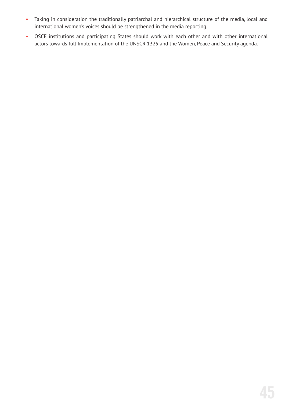- **•** Taking in consideration the traditionally patriarchal and hierarchical structure of the media, local and international women's voices should be strengthened in the media reporting.
- **•** OSCE institutions and participating States should work with each other and with other international actors towards full Implementation of the UNSCR 1325 and the Women, Peace and Security agenda.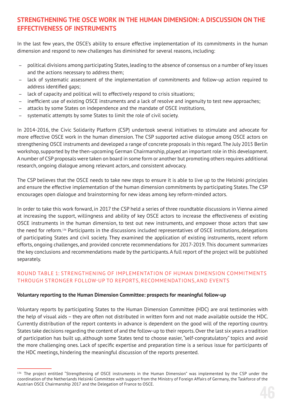# **STRENGTHENING THE OSCE WORK IN THE HUMAN DIMENSION: A DISCUSSION ON THE EFFECTIVENESS OF INSTRUMENTS**

In the last few years, the OSCE's ability to ensure effective implementation of its commitments in the human dimension and respond to new challenges has diminished for several reasons, including:

- political divisions among participating States, leading to the absence of consensus on a number of key issues and the actions necessary to address them;
- lack of systematic assessment of the implementation of commitments and follow-up action required to address identifed gaps;
- lack of capacity and political will to effectively respond to crisis situations;
- inefficient use of existing OSCE instruments and a lack of resolve and ingenuity to test new approaches;
- attacks by some States on independence and the mandate of OSCE institutions,
- systematic attempts by some States to limit the role of civil society.

In 2014-2016, the Civic Solidarity Platform (CSP) undertook several initiatives to stimulate and advocate for more effective OSCE work in the human dimension. The CSP supported active dialogue among OSCE actors on strengthening OSCE instruments and developed a range of concrete proposals in this regard. The July 2015 Berlin workshop, supported by the then-upcoming German Chairmanship, played an important role in this development. A number of CSP proposals were taken on board in some form or another but promoting others requires additional research, ongoing dialogue among relevant actors, and consistent advocacy.

The CSP believes that the OSCE needs to take new steps to ensure it is able to live up to the Helsinki principles and ensure the effective implementation of the human dimension commitments by participating States. The CSP encourages open dialogue and brainstorming for new ideas among key reform-minded actors.

In order to take this work forward, in 2017 the CSP held a series of three roundtable discussions in Vienna aimed at increasing the support, willingness and ability of key OSCE actors to increase the effectiveness of existing OSCE instruments in the human dimension, to test out new instruments, and empower those actors that saw the need for reform.136 Participants in the discussions included representatives of OSCE institutions, delegations of participating States and civil society. They examined the application of existing instruments, recent reform efforts, ongoing challenges, and provided concrete recommendations for 2017-2019. This document summarizes the key conclusions and recommendations made by the participants. A full report of the project will be published separately.

# ROUND TABLE 1: STRENGTHENING OF IMPLEMENTATION OF HUMAN DIMENSION COMMITMENTS THROUGH STRONGER FOLLOW-UP TO REPORTS, RECOMMENDATIONS, AND EVENTS

# **Voluntary reporting to the Human Dimension Committee: prospects for meaningful follow-up**

Voluntary reports by participating States to the Human Dimension Committee (HDC) are oral testimonies with the help of visual aids – they are often not distributed in written form and not made available outside the HDC. Currently distribution of the report contents in advance is dependent on the good will of the reporting country. States take decisions regarding the content of and the follow-up to their reports. Over the last six years a tradition of participation has built up, although some States tend to choose easier, "self-congratulatory" topics and avoid the more challenging ones. Lack of specifc expertise and preparation time is a serious issue for participants of the HDC meetings, hindering the meaningful discussion of the reports presented.

<sup>136</sup> The project entitled "Strengthening of OSCE instruments in the Human Dimension" was implemented by the CSP under the coordination of the Netherlands Helsinki Committee with support from the Ministry of Foreign Affairs of Germany, the Taskforce of the Austrian OSCE Chairmanship 2017 and the Delegation of France to OSCE.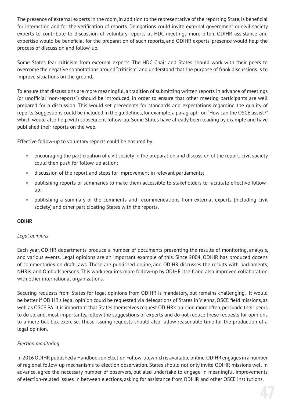The presence of external experts in the room, in addition to the representative of the reporting State, is benefcial for interaction and for the verifcation of reports. Delegations could invite external government or civil society experts to contribute to discussion of voluntary reports at HDC meetings more often. ODIHR assistance and expertise would be benefcial for the preparation of such reports, and ODIHR experts' presence would help the process of discussion and follow-up.

Some States fear criticism from external experts. The HDC Chair and States should work with their peers to overcome the negative connotations around "criticism" and understand that the purpose of frank discussions is to improve situations on the ground.

To ensure that discussions are more meaningful, a tradition of submitting written reports in advance of meetings (or unoffcial "non-reports") should be introduced, in order to ensure that other meeting participants are well prepared for a discussion. This would set precedents for standards and expectations regarding the quality of reports. Suggestions could be included in the guidelines, for example, a paragraph on "How can the OSCE assist?" which would also help with subsequent follow-up. Some States have already been leading by example and have published their reports on the web.

Effective follow-up to voluntary reports could be ensured by:

- **•** encouraging the participation of civil society in the preparation and discussion of the report; civil society could then push for follow-up action;
- **•** discussion of the report and steps for improvement in relevant parliaments;
- **•** publishing reports or summaries to make them accessible to stakeholders to facilitate effective followup;
- **•** publishing a summary of the comments and recommendations from external experts (including civil society) and other participating States with the reports.

# **ODIHR**

# *Legal opinions*

Each year, ODIHR departments produce a number of documents presenting the results of monitoring, analysis, and various events. Legal opinions are an important example of this. Since 2004, ODIHR has produced dozens of commentaries on draft laws. These are published online, and ODIHR discusses the results with parliaments, NHRIs, and Ombudspersons. This work requires more follow-up by ODIHR itself, and also improved collaboration with other international organizations.

Securing requests from States for legal opinions from ODIHR is mandatory, but remains challenging. It would be better if ODIHR's legal opinion could be requested via delegations of States in Vienna, OSCE feld missions, as well as OSCE PA. It is important that States themselves request ODIHR's opinion more often, persuade their peers to do so, and, most importantly, follow the suggestions of experts and do not reduce these requests for opinions to a mere tick-box exercise. Those issuing requests should also allow reasonable time for the production of a legal opinion.

# *Election monitoring*

In 2016 ODIHR published a Handbook on Election Follow-up, which is available online. ODIHR engages in a number of regional follow-up mechanisms to election observation. States should not only invite ODIHR missions well in advance, agree the necessary number of observers, but also undertake to engage in meaningful improvements of election-related issues in between elections, asking for assistance from ODIHR and other OSCE institutions.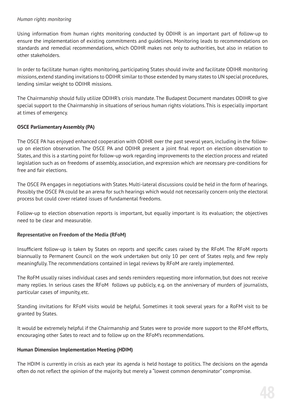### *Human rights monitoring*

Using information from human rights monitoring conducted by ODIHR is an important part of follow-up to ensure the implementation of existing commitments and guidelines. Monitoring leads to recommendations on standards and remedial recommendations, which ODIHR makes not only to authorities, but also in relation to other stakeholders.

In order to facilitate human rights monitoring, participating States should invite and facilitate ODIHR monitoring missions, extend standing invitations to ODIHR similar to those extended by many states to UN special procedures, lending similar weight to ODIHR missions.

The Chairmanship should fully utilize ODIHR's crisis mandate. The Budapest Document mandates ODIHR to give special support to the Chairmanship in situations of serious human rights violations. This is especially important at times of emergency.

# **OSCE Parliamentary Assembly (PA)**

The OSCE PA has enjoyed enhanced cooperation with ODIHR over the past several years, including in the followup on election observation. The OSCE PA and ODIHR present a joint fnal report on election observation to States, and this is a starting point for follow-up work regarding improvements to the election process and related legislation such as on freedoms of assembly, association, and expression which are necessary pre-conditions for free and fair elections.

The OSCE PA engages in negotiations with States. Multi-lateral discussions could be held in the form of hearings. Possibly the OSCE PA could be an arena for such hearings which would not necessarily concern only the electoral process but could cover related issues of fundamental freedoms.

Follow-up to election observation reports is important, but equally important is its evaluation; the objectives need to be clear and measurable.

# **Representative on Freedom of the Media (RFoM)**

Insuffcient follow-up is taken by States on reports and specifc cases raised by the RFoM. The RFoM reports biannually to Permanent Council on the work undertaken but only 10 per cent of States reply, and few reply meaningfully. The recommendations contained in legal reviews by RFoM are rarely implemented.

The RoFM usually raises individual cases and sends reminders requesting more information, but does not receive many replies. In serious cases the RFoM follows up publicly, e.g. on the anniversary of murders of journalists, particular cases of impunity, etc.

Standing invitations for RFoM visits would be helpful. Sometimes it took several years for a RoFM visit to be granted by States.

It would be extremely helpful if the Chairmanship and States were to provide more support to the RFoM efforts, encouraging other Sates to react and to follow up on the RFoM's recommendations.

# **Human Dimension Implementation Meeting (HDIM)**

The HDIM is currently in crisis as each year its agenda is held hostage to politics. The decisions on the agenda often do not refect the opinion of the majority but merely a "lowest common denominator" compromise.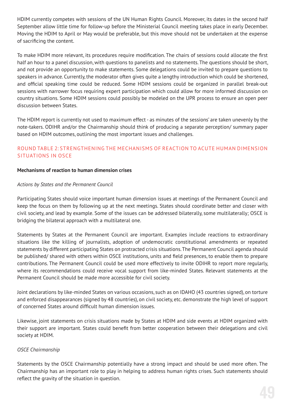HDIM currently competes with sessions of the UN Human Rights Council. Moreover, its dates in the second half September allow little time for follow-up before the Ministerial Council meeting takes place in early December. Moving the HDIM to April or May would be preferable, but this move should not be undertaken at the expense of sacrifcing the content.

To make HDIM more relevant, its procedures require modifcation. The chairs of sessions could allocate the frst half an hour to a panel discussion, with questions to panelists and no statements. The questions should be short, and not provide an opportunity to make statements. Some delegations could be invited to prepare questions to speakers in advance. Currently, the moderator often gives quite a lengthy introduction which could be shortened, and offcial speaking time could be reduced. Some HDIM sessions could be organized in parallel break-out sessions with narrower focus requiring expert participation which could allow for more informed discussion on country situations. Some HDIM sessions could possibly be modeled on the UPR process to ensure an open peer discussion between States.

The HDIM report is currently not used to maximum effect - as minutes of the sessions' are taken unevenly by the note-takers. ODIHR and/or the Chairmanship should think of producing a separate perception/ summary paper based on HDIM outcomes, outlining the most important issues and challenges.

# ROUND TABLE 2: STRENGTHENING THE MECHANISMS OF REACTION TO ACUTE HUMAN DIMENSION SITUATIONS IN OSCE

# **Mechanisms of reaction to human dimension crises**

### *Actions by States and the Permanent Council*

Participating States should voice important human dimension issues at meetings of the Permanent Council and keep the focus on them by following up at the next meetings. States should coordinate better and closer with civil society, and lead by example. Some of the issues can be addressed bilaterally, some multilaterally; OSCE is bridging the bilateral approach with a multilateral one.

Statements by States at the Permanent Council are important. Examples include reactions to extraordinary situations like the killing of journalists, adoption of undemocratic constitutional amendments or repeated statements by different participating States on protracted crisis situations. The Permanent Council agenda should be published/ shared with others within OSCE institutions, units and feld presences, to enable them to prepare contributions. The Permanent Council could be used more effectively to invite ODIHR to report more regularly, where its recommendations could receive vocal support from like-minded States. Relevant statements at the Permanent Council should be made more accessible for civil society.

Joint declarations by like-minded States on various occasions, such as on IDAHO (43 countries signed), on torture and enforced disappearances (signed by 48 countries), on civil society, etc. demonstrate the high level of support of concerned States around diffcult human dimension issues.

Likewise, joint statements on crisis situations made by States at HDIM and side events at HDIM organized with their support are important. States could beneft from better cooperation between their delegations and civil society at HDIM.

# *OSCE Chairmanship*

Statements by the OSCE Chairmanship potentially have a strong impact and should be used more often. The Chairmanship has an important role to play in helping to address human rights crises. Such statements should refect the gravity of the situation in question.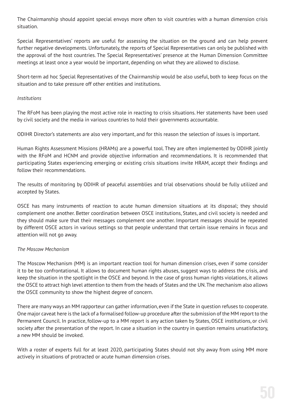The Chairmanship should appoint special envoys more often to visit countries with a human dimension crisis situation.

Special Representatives' reports are useful for assessing the situation on the ground and can help prevent further negative developments. Unfortunately, the reports of Special Representatives can only be published with the approval of the host countries. The Special Representatives' presence at the Human Dimension Committee meetings at least once a year would be important, depending on what they are allowed to disclose.

Short-term ad hoc Special Representatives of the Chairmanship would be also useful, both to keep focus on the situation and to take pressure off other entities and institutions.

# *Institutions*

The RFoM has been playing the most active role in reacting to crisis situations. Her statements have been used by civil society and the media in various countries to hold their governments accountable.

ODIHR Director's statements are also very important, and for this reason the selection of issues is important.

Human Rights Assessment Missions (HRAMs) are a powerful tool. They are often implemented by ODIHR jointly with the RFoM and HCNM and provide objective information and recommendations. It is recommended that participating States experiencing emerging or existing crisis situations invite HRAM, accept their fndings and follow their recommendations.

The results of monitoring by ODIHR of peaceful assemblies and trial observations should be fully utilized and accepted by States.

OSCE has many instruments of reaction to acute human dimension situations at its disposal; they should complement one another. Better coordination between OSCE institutions, States, and civil society is needed and they should make sure that their messages complement one another. Important messages should be repeated by different OSCE actors in various settings so that people understand that certain issue remains in focus and attention will not go away.

# *The Moscow Mechanism*

The Moscow Mechanism (MM) is an important reaction tool for human dimension crises, even if some consider it to be too confrontational. It allows to document human rights abuses, suggest ways to address the crisis, and keep the situation in the spotlight in the OSCE and beyond. In the case of gross human rights violations, it allows the OSCE to attract high level attention to them from the heads of States and the UN. The mechanism also allows the OSCE community to show the highest degree of concern.

There are many ways an MM rapporteur can gather information, even if the State in question refuses to cooperate. One major caveat here is the lack of a formalised follow-up procedure after the submission of the MM report to the Permanent Council. In practice, follow-up to a MM report is any action taken by States, OSCE institutions, or civil society after the presentation of the report. In case a situation in the country in question remains unsatisfactory, a new MM should be invoked.

With a roster of experts full for at least 2020, participating States should not shy away from using MM more actively in situations of protracted or acute human dimension crises.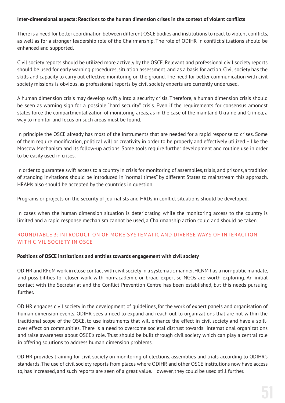### **Inter-dimensional aspects: Reactions to the human dimension crises in the context of violent conficts**

There is a need for better coordination between different OSCE bodies and institutions to react to violent conficts, as well as for a stronger leadership role of the Chairmanship. The role of ODIHR in confict situations should be enhanced and supported.

Civil society reports should be utilized more actively by the OSCE. Relevant and professional civil society reports should be used for early warning procedures, situation assessment, and as a basis for action. Civil society has the skills and capacity to carry out effective monitoring on the ground. The need for better communication with civil society missions is obvious, as professional reports by civil society experts are currently underused.

A human dimension crisis may develop swiftly into a security crisis. Therefore, a human dimension crisis should be seen as warning sign for a possible "hard security" crisis. Even if the requirements for consensus amongst states force the compartmentalization of monitoring areas, as in the case of the mainland Ukraine and Crimea, a way to monitor and focus on such areas must be found.

In principle the OSCE already has most of the instruments that are needed for a rapid response to crises. Some of them require modifcation, political will or creativity in order to be properly and effectively utilized – like the Moscow Mechanism and its follow-up actions. Some tools require further development and routine use in order to be easily used in crises.

In order to guarantee swift access to a country in crisis for monitoring of assemblies, trials, and prisons, a tradition of standing invitations should be introduced in "normal times" by different States to mainstream this approach. HRAMs also should be accepted by the countries in question.

Programs or projects on the security of journalists and HRDs in confict situations should be developed.

In cases when the human dimension situation is deteriorating while the monitoring access to the country is limited and a rapid response mechanism cannot be used, a Chairmanship action could and should be taken.

# ROUNDTABLE 3: INTRODUCTION OF MORE SYSTEMATIC AND DIVERSE WAYS OF INTERACTION WITH CIVIL SOCIETY IN OSCE

# **Positions of OSCE institutions and entities towards engagement with civil society**

ODIHR and RFoM work in close contact with civil society in a systematic manner. HCNM has a non-public mandate, and possibilities for closer work with non-academic or broad expertise NGOs are worth exploring. An initial contact with the Secretariat and the Confict Prevention Centre has been established, but this needs pursuing further.

ODIHR engages civil society in the development of guidelines, for the work of expert panels and organisation of human dimension events. ODIHR sees a need to expand and reach out to organizations that are not within the traditional scope of the OSCE, to use instruments that will enhance the effect in civil society and have a spillover effect on communities. There is a need to overcome societal distrust towards international organizations and raise awareness about OSCE's role. Trust should be built through civil society, which can play a central role in offering solutions to address human dimension problems.

ODIHR provides training for civil society on monitoring of elections, assemblies and trials according to ODIHR's standards. The use of civil society reports from places where ODIHR and other OSCE institutions now have access to, has increased, and such reports are seen of a great value. However, they could be used still further.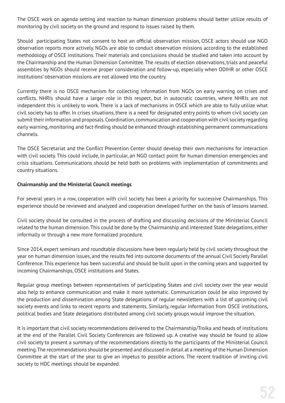The OSCE work on agenda setting and reaction to human dimension problems should better utilize results of monitoring by civil society on the ground and respond to issues raised by them.

Should participating States not consent to host an offcial observation mission, OSCE actors should use NGO observation reports more actively. NGOs are able to conduct observation missions according to the established methodology of OSCE institutions. Their materials and conclusions should be studied and taken into account by the Chairmanship and the Human Dimension Committee. The results of election observations, trials and peaceful assemblies by NGOs should receive proper consideration and follow-up, especially when ODIHR or other OSCE institutions' observation missions are not allowed into the country.

Currently there is no OSCE mechanism for collecting information from NGOs on early warning on crises and conficts. NHRIs should have a larger role in this respect, but in autocratic countries, where NHRIs are not independent this is unlikely to work. There is a lack of mechanisms in OSCE which are able to fully utilize what civil society has to offer. In crises situations, there is a need for designated entry points to whom civil society can submit their information and proposals. Coordination, communication and cooperation with civil society regarding early warning, monitoring and fact-fnding should be enhanced through establishing permanent communications channels.

The OSCE Secretariat and the Confict Prevention Center should develop their own mechanisms for interaction with civil society. This could include, in particular, an NGO contact point for human dimension emergencies and crisis situations. Communications should be held both on problems with implementation of commitments and country situations.

# **Chairmanship and the Ministerial Council meetings**

For several years in a row, cooperation with civil society has been a priority for successive Chairmanships. This experience should be reviewed and analyzed and cooperation developed further on the basis of lessons learned.

Civil society should be consulted in the process of drafting and discussing decisions of the Ministerial Council related to the human dimension. This could be done by the Chairmanship and interested State delegations, either informally or through a new more formalized procedure.

Since 2014, expert seminars and roundtable discussions have been regularly held by civil society throughout the year on human dimension issues, and the results fed into outcome documents of the annual Civil Society Parallel Conference. This experience has been successful and should be built upon in the coming years and supported by incoming Chairmanships, OSCE institutions and States.

Regular group meetings between representatives of participating States and civil society over the year would also help to enhance communication and make it more systematic. Communication could be also improved by the production and dissemination among State delegations of regular newsletters with a list of upcoming civil society events and links to recent reports and statements. Similarly, regular information from OSCE institutions, political bodies and State delegations distributed among civil society groups would improve the situation.

It is important that civil society recommendations delivered to the Chairmanship/Troika and heads of institutions at the end of the Parallel Civil Society Conferences are followed up. A creative way should be found to allow civil society to present a summary of the recommendations directly to the participants of the Ministerial Council meeting. The recommendations should be presented and discussed in detail at a meeting of the Human Dimension Committee at the start of the year to give an impetus to possible actions. The recent tradition of inviting civil society to HDC meetings should be expanded.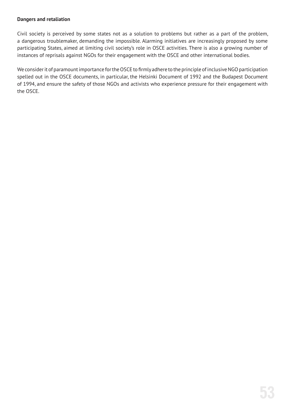### **Dangers and retaliation**

Civil society is perceived by some states not as a solution to problems but rather as a part of the problem, a dangerous troublemaker, demanding the impossible. Alarming initiatives are increasingly proposed by some participating States, aimed at limiting civil society's role in OSCE activities. There is also a growing number of instances of reprisals against NGOs for their engagement with the OSCE and other international bodies.

We consider it of paramount importance for the OSCE to frmly adhere to the principle of inclusive NGO participation spelled out in the OSCE documents, in particular, the Helsinki Document of 1992 and the Budapest Document of 1994, and ensure the safety of those NGOs and activists who experience pressure for their engagement with the OSCE.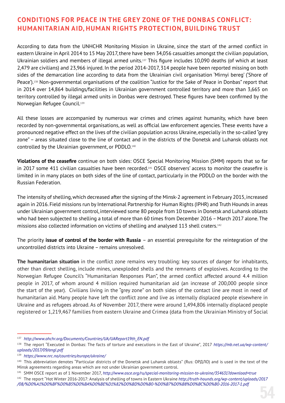# **CONDITIONS FOR PEACE IN THE GREY ZONE OF THE DONBAS CONFLICT: HUMANITARIAN AID, HUMAN RIGHTS PROTECTION, BUILDING TRUST**

According to data from the UNHCHR Monitoring Mission in Ukraine, since the start of the armed confict in eastern Ukraine in April 2014 to 15 May 2017, there have been 34,056 casualties amongst the civilian population, Ukrainian soldiers and members of illegal armed units.137 This fgure includes 10,090 deaths (of which at least 2,479 are civilians) and 23,966 injured. In the period 2014-2017, 314 people have been reported missing on both sides of the demarcation line according to data from the Ukrainian civil organisation 'Mirnyi bereg' ('Shore of Peace').138 Non-governmental organisations of the coalition "Justice for the Sake of Peace in Donbas" report that in 2014 over 14,864 buildings/facilities in Ukrainian government controlled territory and more than 3,665 on territory controlled by illegal armed units in Donbas were destroyed. These fgures have been confrmed by the Norwegian Refugee Council.139

All these losses are accompanied by numerous war crimes and crimes against humanity, which have been recorded by non-governmental organisations, as well as offcial law enforcement agencies. These events have a pronounced negative effect on the lives of the civilian population across Ukraine, especially in the so-called "grey zone" – areas situated close to the line of contact and in the districts of the Donetsk and Luhansk oblasts not controlled by the Ukrainian government, or PDDLO.140

**Violations of the ceasefre** continue on both sides: OSCE Special Monitoring Mission (SMM) reports that so far in 2017 some 411 civilian casualties have been recorded.<sup>141</sup> OSCE observers' access to monitor the ceasefire is limited in in many places on both sides of the line of contact, particularly in the PDDLO on the border with the Russian Federation.

The intensity of shelling, which decreased after the signing of the Minsk-2 agreement in February 2015, increased again in 2016. Field missions run by International Partnership for Human Rights (IPHR) and Truth Hounds in areas under Ukrainian government control, interviewed some 80 people from 10 towns in Donetsk and Luhansk oblasts who had been subjected to shelling a total of more than 60 times from December 2016 – March 2017 alone. The missions also collected information on victims of shelling and analysed 113 shell craters.<sup>142</sup>

The priority **issue of control of the border with Russia** – an essential prerequisite for the reintegration of the uncontrolled districts into Ukraine – remains unresolved.

**The humanitarian situation** in the confict zone remains very troubling: key sources of danger for inhabitants, other than direct shelling, include mines, unexploded shells and the remnants of explosives. According to the Norwegian Refugee Council's "Humanitarian Responses Plan", the armed confict affected around 4.4 million people in 2017, of whom around 4 million required humanitarian aid (an increase of 200,000 people since the start of the year). Civilians living in the "grey zone" on both sides of the contact line are most in need of humanitarian aid. Many people have left the confict zone and live as internally displaced people elsewhere in Ukraine and as refugees abroad. As of November 2017, there were around 1,494,806 internally displaced people registered or 1,219,467 families from eastern Ukraine and Crimea (data from the Ukrainian Ministry of Social

<sup>137</sup> *http://www.ohchr.org/Documents/Countries/UA/UAReport19th\_EN.pdf*

<sup>138</sup> The report "Executed in Donbas: The facts of torture and executions in the East of Ukraine", 2017 *https://mb.net.ua/wp-content/ uploads/2017/09/angl.pdf*

<sup>139</sup> *https://www.nrc.no/countries/europe/ukraine/*

<sup>140</sup> This abbreviation denotes "Particular districts of the Donetsk and Luhansk oblasts" (Rus: ОРДЛО) and is used in the text of the Minsk agreements regarding areas which are not under Ukrainian government control.

<sup>141</sup> SMM OSCE report as of 1 November 2017, *http://www.osce.org/ru/special-monitoring-mission-to-ukraine/354631?download=true*

<sup>142</sup> The report "Hot Winter 2016-2017: Analysis of shelling of towns in Eastern Ukraine *http://truth-hounds.org/wp-content/uploads/2017 /08/%D0%A1%D0%BF%D0%B5%D0%BA%D0%BE%D1%82%D0%BD%D0%B0-%D0%B7%D0%B8%D0%BC%D0%B0-2016-2017-1.pdf*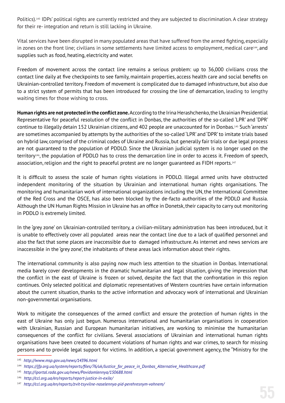Politics).143 IDPs' political rights are currently restricted and they are subjected to discrimination. A clear strategy for their re- integration and return is still lacking in Ukraine.

Vital services have been disrupted in many populated areas that have suffered from the armed fghting, especially in zones on the front line; civilians in some settlements have limited access to employment, medical care<sup>144</sup>, and supplies such as food, heating, electricity and water.

Freedom of movement across the contact line remains a serious problem: up to 36,000 civilians cross the contact line daily at fve checkpoints to see family, maintain properties, access health care and social benefts on Ukrainian-controlled territory. Freedom of movement is complicated due to damaged infrastructure, but also due to a strict system of permits that has been introduced for crossing the line of demarcation, leading to lengthy waiting times for those wishing to cross.

**Human rights are not protected in the confict zone.** According to the Irina Herashchenko, the Ukrainian Presidential Representative for peaceful resolution of the confict in Donbas, the authorities of the so-called 'LPR' and 'DPR' continue to illegally detain 152 Ukrainian citizens, and 402 people are unaccounted for in Donbas.145 Such 'arrests' are sometimes accompanied by attempts by the authorities of the so-called 'LPR' and 'DPR' to imitate trials based on hybrid law, comprised of the criminal codes of Ukraine and Russia, but generally fair trials or due legal process are not guaranteed to the population of PDDLO. Since the Ukrainian judicial system is no longer used on the territory<sup>146</sup>, the population of PDDLO has to cross the demarcation line in order to access it. Freedom of speech, association, religion and the right to peaceful protest are no longer quaranteed as FIDH reports.<sup>147</sup>

It is diffcult to assess the scale of human rights violations in PDDLO. Illegal armed units have obstructed independent monitoring of the situation by Ukrainian and international human rights organisations. The monitoring and humanitarian work of international organizations including the UN, the International Committee of the Red Cross and the OSCE, has also been blocked by the de-facto authorities of the PDDLO and Russia. Although the UN Human Rights Mission in Ukraine has an offce in Donetsk, their capacity to carry out monitoring in PDDLO is extremely limited.

In the 'grey zone' on Ukrainian-controlled territory, a civilian-military administration has been introduced, but it is unable to effectively cover all populated areas near the contact line due to a lack of qualifed personnel and also the fact that some places are inaccessible due to damaged infrastructure. As internet and news services are inaccessible in the 'grey zone', the inhabitants of these areas lack information about their rights.

The international community is also paying now much less attention to the situation in Donbas. International media barely cover developments in the dramatic humanitarian and legal situation, giving the impression that the confict in the east of Ukraine is frozen or solved, despite the fact that the confrontation in this region continues. Only selected political and diplomatic representatives of Western countries have certain information about the current situation, thanks to the active information and advocacy work of international and Ukrainian non-governmental organisations.

Work to mitigate the consequences of the armed confict and ensure the protection of human rights in the east of Ukraine has only just begun. Numerous international and humanitarian organisations in cooperation with Ukrainian, Russian and European humanitarian initiatives, are working to minimise the humanitarian consequences of the confict for civilians. Several associations of Ukrainian and international human rights organisations have been created to document violations of human rights and war crimes, to search for missing persons and to provide legal support for victims. In addition, a special government agency, the "Ministry for the

<sup>143</sup> *http://www.msp.gov.ua/news/14396.html*

<sup>144</sup> https://jfp.org.ua/system/reports/files/76/uk/Justice\_for\_peace\_in\_Donbas\_Alternative\_Healthcare.pdf

<sup>145</sup> *http://iportal.rada.gov.ua/news/Povidomlennya/150688.html*

<sup>146</sup> *http://ccl.org.ua/en/reports/report-justice-in-exile/*

<sup>147</sup> *http://ccl.org.ua/en/reports/zvit-tsyvilne-naselennya-pid-perehresnym-vohnem/*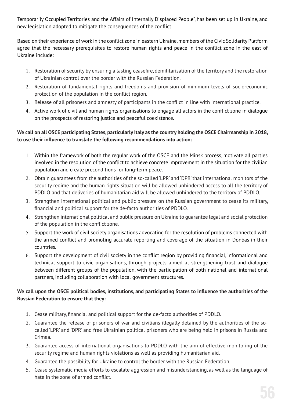Temporarily Occupied Territories and the Affairs of Internally Displaced People", has been set up in Ukraine, and new legislation adopted to mitigate the consequences of the confict.

Based on their experience of work in the confict zone in eastern Ukraine, members of the Civic Solidarity Platform agree that the necessary prerequisites to restore human rights and peace in the confict zone in the east of Ukraine include:

- 1. Restoration of security by ensuring a lasting ceasefre, demilitarisation of the territory and the restoration of Ukrainian control over the border with the Russian Federation.
- 2. Restoration of fundamental rights and freedoms and provision of minimum levels of socio-economic protection of the population in the confict region.
- 3. Release of all prisoners and amnesty of participants in the confict in line with international practice.
- 4. Active work of civil and human rights organisations to engage all actors in the confict zone in dialogue on the prospects of restoring justice and peaceful coexistence.

# **We call on all OSCE participating States, particularly Italy as the country holding the OSCE Chairmanship in 2018, to use their infuence to translate the following recommendations into action:**

- 1. Within the framework of both the regular work of the OSCE and the Minsk process, motivate all parties involved in the resolution of the confict to achieve concrete improvement in the situation for the civilian population and create preconditions for long-term peace.
- 2. Obtain guarantees from the authorities of the so-called 'LPR' and 'DPR' that international monitors of the security regime and the human rights situation will be allowed unhindered access to all the territory of PDDLO and that deliveries of humanitarian aid will be allowed unhindered to the territory of PDDLO.
- 3. Strengthen international political and public pressure on the Russian government to cease its military, fnancial and political support for the de-facto authorities of PDDLO.
- 4. Strengthen international political and public pressure on Ukraine to guarantee legal and social protection of the population in the confict zone.
- 5. Support the work of civil society organisations advocating for the resolution of problems connected with the armed confict and promoting accurate reporting and coverage of the situation in Donbas in their countries.
- 6. Support the development of civil society in the confict region by providing fnancial, informational and technical support to civic organisations, through projects aimed at strengthening trust and dialogue between different groups of the population, with the participation of both national and international partners, including collaboration with local government structures.

# **We call upon the OSCE political bodies, institutions, and participating States to infuence the authorities of the Russian Federation to ensure that they:**

- 1. Cease military, fnancial and political support for the de-facto authorities of PDDLO.
- 2. Guarantee the release of prisoners of war and civilians illegally detained by the authorities of the socalled 'LPR' and 'DPR' and free Ukrainian political prisoners who are being held in prisons in Russia and Crimea.
- 3. Guarantee access of international organisations to PDDLO with the aim of effective monitoring of the security regime and human rights violations as well as providing humanitarian aid.
- 4. Guarantee the possibility for Ukraine to control the border with the Russian Federation.
- 5. Cease systematic media efforts to escalate aggression and misunderstanding, as well as the language of hate in the zone of armed confict.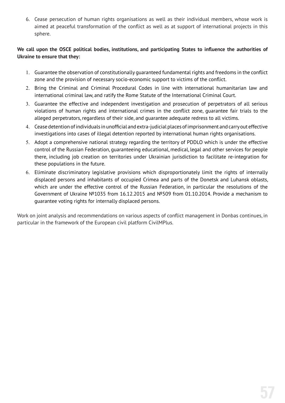6. Cease persecution of human rights organisations as well as their individual members, whose work is aimed at peaceful transformation of the confict as well as at support of international projects in this sphere.

# **We call upon the OSCE political bodies, institutions, and participating States to infuence the authorities of Ukraine to ensure that they:**

- 1. Guarantee the observation of constitutionally guaranteed fundamental rights and freedoms in the confict zone and the provision of necessary socio-economic support to victims of the confict.
- 2. Bring the Criminal and Criminal Procedural Codes in line with international humanitarian law and international criminal law, and ratify the Rome Statute of the International Criminal Court.
- 3. Guarantee the effective and independent investigation and prosecution of perpetrators of all serious violations of human rights and international crimes in the confict zone, guarantee fair trials to the alleged perpetrators, regardless of their side, and guarantee adequate redress to all victims.
- 4. Cease detention of individuals in unoffcial and extra-judicial places of imprisonment and carry out effective investigations into cases of illegal detention reported by international human rights organisations.
- 5. Adopt a comprehensive national strategy regarding the territory of PDDLO which is under the effective control of the Russian Federation, guaranteeing educational, medical, legal and other services for people there, including job creation on territories under Ukrainian jurisdiction to facilitate re-integration for these populations in the future.
- 6. Eliminate discriminatory legislative provisions which disproportionately limit the rights of internally displaced persons and inhabitants of occupied Crimea and parts of the Donetsk and Luhansk oblasts, which are under the effective control of the Russian Federation, in particular the resolutions of the Government of Ukraine №1035 from 16.12.2015 and №509 from 01.10.2014. Provide a mechanism to guarantee voting rights for internally displaced persons.

Work on joint analysis and recommendations on various aspects of confict management in Donbas continues, in particular in the framework of the European civil platform CivilMPlus.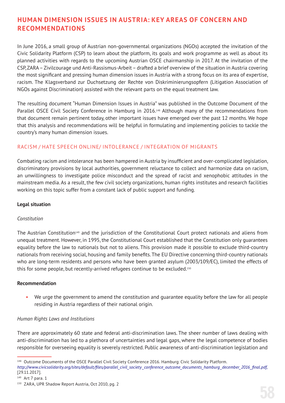# **HUMAN DIMENSION ISSUES IN AUSTRIA: KEY AREAS OF CONCERN AND RECOMMENDATIONS**

In June 2016, a small group of Austrian non-governmental organizations (NGOs) accepted the invitation of the Civic Solidarity Platform (CSP) to learn about the platform, its goals and work programme as well as about its planned activities with regards to the upcoming Austrian OSCE chairmanship in 2017. At the invitation of the CSP, ZARA – Zivilcourage und Anti-Rassismus-Arbeit – drafted a brief overview of the situation in Austria covering the most signifcant and pressing human dimension issues in Austria with a strong focus on its area of expertise, racism. The Klagsverband zur Duchsetzung der Rechte von Diskriminierungsopfern (Litigation Association of NGOs against Discrimination) assisted with the relevant parts on the equal treatment law.

The resulting document "Human Dimension Issues in Austria" was published in the Outcome Document of the Parallel OSCE Civil Society Conference in Hamburg in 2016.148 Although many of the recommendations from that document remain pertinent today, other important issues have emerged over the past 12 months. We hope that this analysis and recommendations will be helpful in formulating and implementing policies to tackle the country's many human dimension issues.

# RACISM / HATE SPEECH ONLINE/ INTOLERANCE / INTEGRATION OF MIGRANTS

Combating racism and intolerance has been hampered in Austria by insuffcient and over-complicated legislation, discriminatory provisions by local authorities, government reluctance to collect and harmonize data on racism, an unwillingness to investigate police misconduct and the spread of racist and xenophobic attitudes in the mainstream media. As a result, the few civil society organizations, human rights institutes and research facilities working on this topic suffer from a constant lack of public support and funding.

### **Legal situation**

#### *Constitution*

The Austrian Constitution<sup>149</sup> and the jurisdiction of the Constitutional Court protect nationals and aliens from unequal treatment. However, in 1995, the Constitutional Court established that the Constitution only guarantees equality before the law to nationals but not to aliens. This provision made it possible to exclude third-country nationals from receiving social, housing and family benefts. The EU Directive concerning third-country nationals who are long-term residents and persons who have been granted asylum (2003/109/EC), limited the effects of this for some people, but recently-arrived refugees continue to be excluded.150

#### **Recommendation**

**•** We urge the government to amend the constitution and guarantee equality before the law for all people residing in Austria regardless of their national origin.

#### *Human Rights Laws and Institutions*

There are approximately 60 state and federal anti-discrimination laws. The sheer number of laws dealing with anti-discrimination has led to a plethora of uncertainties and legal gaps, where the legal competence of bodies responsible for overseeing equality is severely restricted. Public awareness of anti-discrimination legislation and

<sup>148</sup> Outcome Documents of the OSCE Parallel Civil Society Conference 2016. Hamburg: Civic Solidarity Platform.

*[http://www.civicsolidarity.org/sites/default/fles/parallel\\_civil\\_society\\_conference\\_outcome\\_documents\\_hamburg\\_december\\_2016\\_fnal.pdf](http://www.civicsolidarity.org/sites/default/files/parallel_civil_society_conference_outcome_documents_hamburg_december_2016_final.pdf),* [29.11.2017].

 $149$  Art 7 para. 1

<sup>150</sup> ZARA, UPR Shadow Report Austria, Oct 2010, pg. 2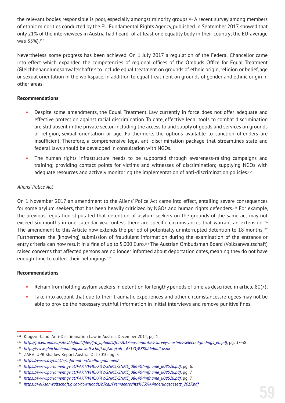the relevant bodies responsible is poor, especially amongst minority groups.151 A recent survey among members of ethnic minorities conducted by the EU Fundamental Rights Agency, published in September 2017, showed that only 21% of the interviewees in Austria had heard of at least one equality body in their country; the EU-average was 35%).152

Nevertheless, some progress has been achieved. On 1 July 2017 a regulation of the Federal Chancellor came into effect which expanded the competencies of regional offices of the Ombuds Office for Equal Treatment (Gleichbehandlungsanwaltschaft)153 to include equal treatment on grounds of ethnic origin, religion or belief, age or sexual orientation in the workspace, in addition to equal treatment on grounds of gender and ethnic origin in other areas.

# **Recommendations**

- **•** Despite some amendments, the Equal Treatment Law currently in force does not offer adequate and effective protection against racial discrimination. To date, effective legal tools to combat discrimination are still absent in the private sector, including the access to and supply of goods and services on grounds of religion, sexual orientation or age. Furthermore, the options available to sanction offenders are insuffcient. Therefore, a comprehensive legal anti-discrimination package that streamlines state and federal laws should be developed in consultation with NGOs.
- **•** The human rights infrastructure needs to be supported through awareness-raising campaigns and training; providing contact points for victims and witnesses of discrimination; supplying NGOs with adequate resources and actively monitoring the implementation of anti-discrimination policies.<sup>154</sup>

#### *Aliens' Police Act*

On 1 November 2017 an amendment to the Aliens' Police Act came into effect, entailing severe consequences for some asylum seekers, that has been heavily criticized by NGOs and human rights defenders.155 For example, the previous regulation stipulated that detention of asylum seekers on the grounds of the same act may not exceed six months in one calendar year unless there are specific circumstances that warrant an extension.<sup>156</sup> The amendment to this Article now extends the period of potentially uninterrupted detention to 18 months.<sup>157</sup> Furthermore, the (knowing) submission of fraudulent information during the examination of the entrance or entry criteria can now result in a fne of up to 5,000 Euro.158 The Austrian Ombudsman Board (Volksanwaltschaft) raised concerns that affected persons are no longer informed about deportation dates, meaning they do not have enough time to collect their belongings.159

#### **Recommendations**

- **•** Refrain from holding asylum seekers in detention for lengthy periods of time, as described in article 80(7);
- **•** Take into account that due to their traumatic experiences and other circumstances, refugees may not be able to provide the necessary truthful information in initial interviews and remove punitive fnes.

<sup>&</sup>lt;sup>151</sup> Klagsverband, Anti-Discrimination Law in Austria, December 2014, pg. 1

<sup>152</sup> *[http://fra.europa.eu/sites/default/fles/fra\\_uploads/fra-2017-eu-minorities-survey-muslims-selected-fndings\\_en.pdf](http://fra.europa.eu/sites/default/files/fra_uploads/fra-2017-eu-minorities-survey-muslims-selected-findings_en.pdf)*, pg. 37-38.

<sup>153</sup> *[http://www.gleichbehandlungsanwaltschaft.at/site/cob\\_\\_67171/6880/default.aspx](http://www.gleichbehandlungsanwaltschaft.at/site/cob__67171/6880/default.aspx)*

<sup>154</sup> ZARA, UPR Shadow Report Austria, Oct 2010, pg. 3

<sup>155</sup> *https://www.asyl.at/de/information/stellungnahmen/*

<sup>&</sup>lt;sup>156</sup> [https://www.parlament.gv.at/PAKT/VHG/XXV/SNME/SNME\\_08640/imfname\\_608526.pdf](https://www.parlament.gv.at/PAKT/VHG/XXV/SNME/SNME_08640/imfname_608526.pdf), pq. 6.

<sup>157</sup> *[https://www.parlament.gv.at/PAKT/VHG/XXV/SNME/SNME\\_08640/imfname\\_608526.pdf](https://www.parlament.gv.at/PAKT/VHG/XXV/SNME/SNME_08640/imfname_608526.pdf)*, pg. 7.

<sup>158</sup> *[https://www.parlament.gv.at/PAKT/VHG/XXV/SNME/SNME\\_08640/imfname\\_608526.pdf](https://www.parlament.gv.at/PAKT/VHG/XXV/SNME/SNME_08640/imfname_608526.pdf),* pg. 7.

<sup>159</sup> *[https://volksanwaltschaft.gv.at/downloads/b7cqj/Fremdenrechts%C3%A4nderungsgesetz\\_2017.pdf](https://volksanwaltschaft.gv.at/downloads/b7cqj/Fremdenrechts%C3%A4nderungsgesetz_2017.pdf)*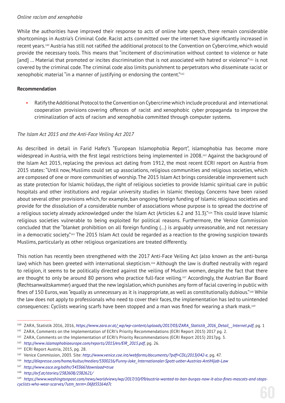# *Online racism and xenophobia*

While the authorities have improved their response to acts of online hate speech, there remain considerable shortcomings in Austria's Criminal Code. Racist acts committed over the internet have signifcantly increased in recent years.160 Austria has still not ratifed the additional protocol to the Convention on Cybercrime, which would provide the necessary tools. This means that "incitement of discrimination without context to violence or hate [and] ... Material that promoted or incites discrimination that is not associated with hatred or violence"161 is not covered by the criminal code. The criminal code also limits punishment to perpetrators who disseminate racist or xenophobic material "in a manner of justifying or endorsing the content."162

# **Recommendation**

**•** Ratify the Additional Protocol to the Convention on Cybercrime which include procedural and international cooperation provisions covering offences of racist and xenophobic cyber propaganda to improve the criminalization of acts of racism and xenophobia committed through computer systems.

# *The Islam Act 2015 and the Anti-Face Veiling Act 2017*

As described in detail in Farid Hafez's "European Islamophobia Report", islamophobia has become more widespread in Austria, with the first legal restrictions being implemented in 2008.<sup>163</sup> Against the background of the Islam Act 2015, replacing the previous act dating from 1912, the most recent ECRI report on Austria from 2015 states: "Until now, Muslims could set up associations, religious communities and religious societies, which are composed of one or more communities of worship. The 2015 Islam Act brings considerable improvement such as state protection for Islamic holidays, the right of religious societies to provide Islamic spiritual care in public hospitals and other institutions and regular university studies in Islamic theology. Concerns have been raised about several other provisions which, for example, ban ongoing foreign funding of Islamic religious societies and provide for the dissolution of a considerable number of associations whose purpose is to spread the doctrine of a religious society already acknowledged under the Islam Act (Articles 6.2 and 31.3)."164 This could leave Islamic religious societies vulnerable to being exploited for political reasons. Furthermore, the Venice Commission concluded that the "blanket prohibition on all foreign funding (…) is arguably unreasonable, and not necessary in a democratic society."165 The 2015 Islam Act could be regarded as a reaction to the growing suspicion towards Muslims, particularly as other religious organizations are treated differently.

This notion has recently been strengthened with the 2017 Anti-Face Veiling Act (also known as the anti-burqa law) which has been greeted with international skepticism.166 Although the law is drafted neutrally with regard to religion, it seems to be politically directed against the veiling of Muslim women, despite the fact that there are thought to only be around 80 persons who practice full-face veiling.167 Accordingly, the Austrian Bar Board (Rechtsanwaltskammer) argued that the new legislation, which punishes any form of facial covering in public with fnes of 150 Euros, was "equally as unnecessary as it is inappropriate, as well as constitutionally dubious."168 While the law does not apply to professionals who need to cover their faces, the implementation has led to unintended consequences: Cyclists wearing scarfs have been stopped and a man was fned for wearing a shark mask.<sup>169</sup>

<sup>160</sup> ZARA, Statistik 2016, 2016, https://www.zara.or.at/ wp/wp-content/uploads/2017/03/ZARA\_Statistik\_2016\_Detail\_\_Internet.pdf, pg. 1

<sup>&</sup>lt;sup>161</sup> ZARA, Comments on the Implementation of ECRI's Priority Recommendations (ECRI Report 2015) 2017 pg. 2.

<sup>&</sup>lt;sup>162</sup> ZARA, Comments on the Implementation of ECRI's Priority Recommendations (ECRI Report 2015) 2017pg. 3.

<sup>163</sup> *[http://www.islamophobiaeurope.com/reports/2015/en/EIR\\_2015.pdf](http://www.islamophobiaeurope.com/reports/2015/en/EIR_2015.pdf)*, pg. 26.

<sup>164</sup> ECRI Report Austria, 2015, pg. 28.

<sup>165</sup> Venice Commission, 2003. Site: *[http://www.venice.coe.int/webforms/documents/?pdf=CDL\(2013\)042-e,](http://www.venice.coe.int/webforms/documents/?pdf=CDL(2013)042-e)* pg. 47.

<sup>166</sup> *[http://diepresse.com/home/kultur/medien/5300216/Funny-Joke\\_Internationaler-Spott-ueber-Austrias-AntiHijab-Law](http://diepresse.com/home/kultur/medien/5300216/Funny-Joke_Internationaler-Spott-ueber-Austrias-AntiHijab-Law)*

<sup>167</sup> *<http://www.osce.org/odihr/343366?download=true>*

<sup>168</sup> *<http://orf.at/stories/2382608/2382621/>*

<sup>169</sup> *[https://www.washingtonpost.com/news/worldviews/wp/2017/10/09/austria-wanted-to-ban-burqas-now-it-also-fnes-mascots-and-stops](https://www.washingtonpost.com/news/worldviews/wp/2017/10/09/austria-wanted-to-ban-burqas-now-it-also-fines-mascots-and-stops-cyclists-who-wear-scarves/?utm_term=.06fd55164d7c)[cyclists-who-wear-scarves/?utm\\_term=.06fd55164d7c](https://www.washingtonpost.com/news/worldviews/wp/2017/10/09/austria-wanted-to-ban-burqas-now-it-also-fines-mascots-and-stops-cyclists-who-wear-scarves/?utm_term=.06fd55164d7c)*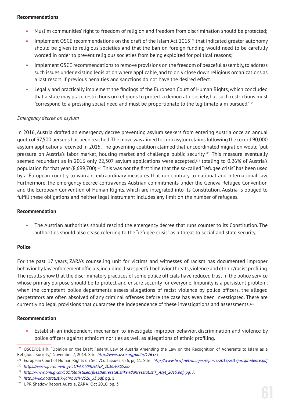#### **Recommendations**

- **•** Muslim communities' right to freedom of religion and freedom from discrimination should be protected;
- **•** Implement OSCE recommendations on the draft of the Islam Act 2015170 that indicated greater autonomy should be given to religious societies and that the ban on foreign funding would need to be carefully worded in order to prevent religious societies from being exploited for political reasons;
- **•** Implement OSCE recommendations to remove provisions on the freedom of peaceful assembly, to address such issues under existing legislation where applicable, and to only close down religious organizations as a last resort, if previous penalties and sanctions do not have the desired effect.
- **•** Legally and practically implement the fndings of the European Court of Human Rights, which concluded that a state may place restrictions on religions to protect a democratic society, but such restrictions must "correspond to a pressing social need and must be proportionate to the legitimate aim pursued."171

### *Emergency decree on asylum*

In 2016, Austria drafted an emergency decree preventing asylum seekers from entering Austria once an annual quota of 37,500 persons has been reached. The move was aimed to curb asylum claims following the record 90,000 asylum applications received in 2015. The governing coalition claimed that uncoordinated migration would "put pressure on Austria's labor market, housing market and challenge public security.172 This measure eventually seemed redundant as in 2016 only 22,307 asylum applications were accepted,173 totaling to 0.26% of Austria's population for that year (8,699,700).174 This was not the frst time that the so-called "refugee crisis" has been used by a European country to warrant extraordinary measures that run contrary to national and international law. Furthermore, the emergency decree contravenes Austrian commitments under the Geneva Refugee Convention and the European Convention of Human Rights, which are integrated into its Constitution. Austria is obliged to fulfll these obligations and neither legal instrument includes any limit on the number of refugees.

#### **Recommendation**

**•** The Austrian authorities should rescind the emergency decree that runs counter to its Constitution. The authorities should also cease referring to the "refugee crisis" as a threat to social and state security.

#### **Police**

For the past 17 years, ZARA's counseling unit for victims and witnesses of racism has documented improper behavior by law enforcement offcials, including disrespectful behavior, threats, violence and ethnic/racist profling. The results show that the discriminatory practices of some police offcials have reduced trust in the police service whose primary purpose should be to protect and ensure security for everyone. Impunity is a persistent problem: when the competent police departments assess allegations of racist violence by police offcers, the alleged perpetrators are often absolved of any criminal offenses before the case has even been investigated. There are currently no legal provisions that quarantee the independence of these investigations and assessments.<sup>175</sup>

# **Recommendation**

**•** Establish an independent mechanism to investigate improper behavior, discrimination and violence by police offcers against ethnic minorities as well as allegations of ethnic profling.

<sup>170</sup> OSCE/ODIHR, "Opinion on the Draft Federal Law of Austria Amending the Law on the Recognition of Adherents to Islam as a Religious Society," November 7, 2014. Site: *<http://www.osce.org/odihr/126575>*

<sup>171</sup> European Court of Human Rights on Sect/Cult issues, §56, pg 11. Site: *<http://www.hrwf.net/images/reports/2013/2013jurisprudence.pdf>* <sup>172</sup> *https://www.parlament.gv.at/PAKT/PR/JAHR\_2016/PK0928/*

<sup>173</sup> *[http://www.bmi.gv.at/301/Statistiken/fles/Jahresstatistiken/Jahresstatistik\\_Asyl\\_2016.pdf](http://www.bmi.gv.at/301/Statistiken/files/Jahresstatistiken/Jahresstatistik_Asyl_2016.pdf), pg. 7.*

<sup>174</sup> *[http://wko.at/statistik/jahrbuch/2016\\_k3.pdf](http://wko.at/statistik/jahrbuch/2016_k3.pdf)*, pg. 1.

<sup>175</sup> UPR Shadow Report Austria, ZARA, Oct 2010, pg. 3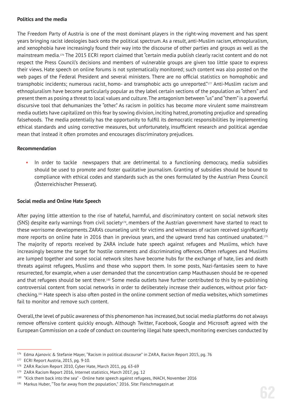#### **Politics and the media**

The Freedom Party of Austria is one of the most dominant players in the right-wing movement and has spent years bringing racist ideologies back onto the political spectrum. As a result, anti-Muslim racism, ethnopluralism, and xenophobia have increasingly found their way into the discourse of other parties and groups as well as the mainstream media.176 The 2015 ECRI report claimed that "certain media publish clearly racist content and do not respect the Press Council's decisions and members of vulnerable groups are given too little space to express their views. Hate speech on online forums is not systematically monitored; such content was also posted on the web pages of the Federal President and several ministers. There are no offcial statistics on homophobic and transphobic incidents; numerous racist, homo- and transphobic acts go unreported."177 Anti-Muslim racism and ethnopluralism have become particularly popular as they label certain sections of the population as "others" and present them as posing a threat to local values and culture. The antagonism between "us" and "them" is a powerful discursive tool that dehumanizes the "other." As racism in politics has become more virulent some mainstream media outlets have capitalized on this fear by sowing division, inciting hatred, promoting prejudice and spreading falsehoods. The media potentially has the opportunity to fulfll its democratic responsibilities by implementing ethical standards and using corrective measures, but unfortunately, insuffcient research and political agendae mean that instead it often promotes and encourages discriminatory prejudices.

# **Recommendation**

**•** In order to tackle newspapers that are detrimental to a functioning democracy, media subsidies should be used to promote and foster qualitative journalism. Granting of subsidies should be bound to compliance with ethical codes and standards such as the ones formulated by the Austrian Press Council (Österreichischer Presserat).

## **Social media and Online Hate Speech**

After paying little attention to the rise of hateful, harmful, and discriminatory content on social network sites (SNS) despite early warnings from civil society178, members of the Austrian government have started to react to these worrisome developments.ZARA's counseling unit for victims and witnesses of racism received signifcantly more reports on online hate in 2016 than in previous years, and the upward trend has continued unabated.<sup>179</sup> The majority of reports received by ZARA include hate speech against refugees and Muslims, which have increasingly become the target for hostile comments and discriminating offences.Often refugees and Muslims are lumped together and some social network sites have become hubs for the exchange of hate, lies and death threats against refugees, Muslims and those who support them. In some posts, Nazi-fantasies seem to have resurrected, for example, when a user demanded that the concentration camp Mauthausen should be re-opened and that refugees should be sent there.180 Some media outlets have further contributed to this by re-publishing controversial content from social networks in order to deliberately increase their audiences, without prior factchecking.181 Hate speech is also often posted in the online comment section of media websites, which sometimes fail to monitor and remove such content.

Overall, the level of public awareness of this phenomenon has increased, but social media platforms do not always remove offensive content quickly enough. Although Twitter, Facebook, Google and Microsoft agreed with the European Commission on a code of conduct on countering illegal hate speech, monitoring exercises conducted by

177 ECRI Report Austria, 2015, pg. 9-10.

<sup>176</sup> Edma Ajanovic & Stefanie Mayer, "Racism in political discourse" in ZARA, Racism Report 2015, pg. 76

<sup>178</sup> ZARA Racism Report 2010, Cyber Hate, March 2011, pg. 63-69

<sup>179</sup> ZARA Racism Report 2016, Internet statistics, March 2017, pg. 12

<sup>&</sup>lt;sup>180</sup> "Kick them back into the sea" - Online hate speech against refugees, INACH, November 2016

<sup>&</sup>lt;sup>181</sup> Markus Huber, "Too far away from the population," 2016. Site: Fleischmagazin.at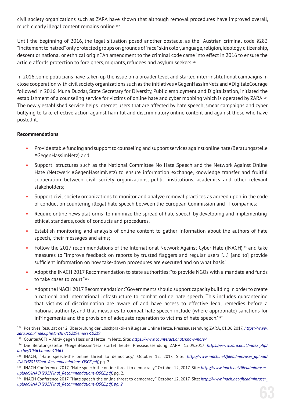civil society organizations such as ZARA have shown that although removal procedures have improved overall, much clearly illegal content remains online.182

Until the beginning of 2016, the legal situation posed another obstacle, as the Austrian criminal code §283 "incitement to hatred" only protected groups on grounds of "race," skin color, language, religion, ideology, citizenship, descent or national or ethnical origin." An amendment to the criminal code came into effect in 2016 to ensure the article affords protection to foreigners, migrants, refugees and asylum seekers.183

In 2016, some politicians have taken up the issue on a broader level and started inter-institutional campaigns in close cooperation with civil society organizations such as the initiatives #GegenHassImNetz and #DigitaleCourage followed in 2016. Muna Duzdar, State Secretary for Diversity, Public employment and Digitalization, initiated the establishment of a counseling service for victims of online hate and cyber mobbing which is operated by ZARA.184 The newly established service helps internet users that are affected by hate speech, smear campaigns and cyber bullying to take effective action against harmful and discriminatory online content and against those who have posted it.

# **Recommendations**

- **•** Provide stable funding and support to counseling and support services against online hate (Beratungsstelle #GegenHassimNetz) and
- **•** Support structures such as the National Committee No Hate Speech and the Network Against Online Hate (Netzwerk #GegenHassimNetz) to ensure information exchange, knowledge transfer and fruitful cooperation between civil society organizations, public institutions, academics and other relevant stakeholders;
- **•** Support civil society organizations to monitor and analyze removal practices as agreed upon in the code of conduct on countering illegal hate speech between the European Commission and IT companies;
- **•** Require online news platforms to minimize the spread of hate speech by developing and implementing ethical standards, code of conducts and procedures.
- **•** Establish monitoring and analysis of online content to gather information about the authors of hate speech, their messages and aims;
- **•** Follow the 2017 recommendations of the International Network Against Cyber Hate (INACH)185 and take measures to "improve feedback on reports by trusted faggers and regular users […] [and to] provide suffcient information on how take-down procedures are executed and on what basis."
- **•** Adopt the INACH 2017 Recommendation to state authorities: "to provide NGOs with a mandate and funds to take cases to court."<sup>186</sup>
- **•** Adopt the INACH 2017 Recommendation: "Governments should support capacity building in order to create a national and international infrastructure to combat online hate speech. This includes guaranteeing that victims of discrimination are aware of and have access to effective legal remedies before a national authority, and that measures to combat hate speech include (where appropriate) sanctions for infringements and the provision of adequate reparation to victims of hate speech."<sup>187</sup>

<sup>182</sup> Positives Resultat der 2. Überprüfung der Löschpraktiken illegaler Online Hetze, Presseaussendung ZARA, 01.06.2017, *https://www. zara.or.at/index.php/archiv/10219#more-10219*

<sup>183</sup> CounterACT! – Aktiv gegen Hass und Hetze im Netz, Site: *<https://www.counteract.or.at/know-more/>*

<sup>184</sup> Die Beratungsstelle #GegenHassimNetz startet heute, Presseaussendung ZARA, 15.09.2017 *https://www.zara.or.at/index.php/ archiv/10363#more-10363*

<sup>&</sup>lt;sup>185</sup> INACH, "Hate speech-the online threat to democracy," October 12, 2017. Site: *http://www.inach.net/fileadmin/user upload/ [INACH2017Final\\_Recommendations-OSCE.pdf](http://www.inach.net/fileadmin/user_upload/INACH2017Final_Recommendations-OSCE.pdf)*, pg. 2

<sup>186</sup> INACH Conference 2017, "Hate speech-the online threat to democracy," October 12, 2017. Site: *[http://www.inach.net/fleadmin/user\\_](http://www.inach.net/fileadmin/user_upload/INACH2017Final_Recommendations-OSCE.pdf) [upload/INACH2017Final\\_Recommendations-OSCE.pdf](http://www.inach.net/fileadmin/user_upload/INACH2017Final_Recommendations-OSCE.pdf)*, pg. 2.

<sup>187</sup> INACH Conference 2017, "Hate speech-the online threat to democracy," October 12, 2017. Site: *[http://www.inach.net/fleadmin/user\\_](http://www.inach.net/fileadmin/user_upload/INACH2017Final_Recommendations-OSCE.pdf) [upload/INACH2017Final\\_Recommendations-OSCE.pdf](http://www.inach.net/fileadmin/user_upload/INACH2017Final_Recommendations-OSCE.pdf), pg. 2.*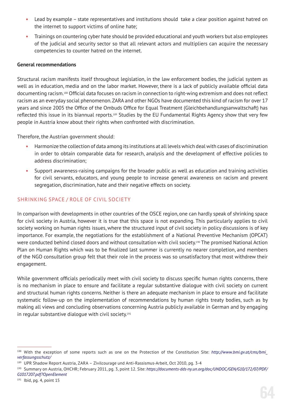- **•** Lead by example state representatives and institutions should take a clear position against hatred on the internet to support victims of online hate;
- **•** Trainings on countering cyber hate should be provided educational and youth workers but also employees of the judicial and security sector so that all relevant actors and multipliers can acquire the necessary competencies to counter hatred on the internet.

### **General recommendations**

Structural racism manifests itself throughout legislation, in the law enforcement bodies, the judicial system as well as in education, media and on the labor market. However, there is a lack of publicly available offcial data documenting racism.188 Offcial data focuses on racism in connection to right-wing extremism and does not refect racism as an everyday social phenomenon. ZARA and other NGOs have documented this kind of racism for over 17 years and since 2005 the Offce of the Ombuds Offce for Equal Treatment (Gleichbehandlungsanwaltschaft) has refected this issue in its biannual reports.189 Studies by the EU Fundamental Rights Agency show that very few people in Austria know about their rights when confronted with discrimination.

Therefore, the Austrian government should:

- **•** Harmonize the collection of data among its institutions at all levels which deal with cases of discrimination in order to obtain comparable data for research, analysis and the development of effective policies to address discrimination;
- **•** Support awareness-raising campaigns for the broader public as well as education and training activities for civil servants, educators, and young people to increase general awareness on racism and prevent segregation, discrimination, hate and their negative effects on society.

# SHRINKING SPACE / ROLE OF CIVIL SOCIETY

In comparison with developments in other countries of the OSCE region, one can hardly speak of shrinking space for civil society in Austria, however it is true that this space is not expanding. This particularly applies to civil society working on human rights issues, where the structured input of civil society in policy discussions is of key importance. For example, the negotiations for the establishment of a National Preventive Mechanism (OPCAT) were conducted behind closed doors and without consultation with civil society.<sup>190</sup> The promised National Action Plan on Human Rights which was to be fnalized last summer is currently no nearer completion, and members of the NGO consultation group felt that their role in the process was so unsatisfactory that most withdrew their engagement.

While government offcials periodically meet with civil society to discuss specifc human rights concerns, there is no mechanism in place to ensure and facilitate a regular substantive dialogue with civil society on current and structural human rights concerns. Neither is there an adequate mechanism in place to ensure and facilitate systematic follow-up on the implementation of recommendations by human rights treaty bodies, such as by making all views and concluding observations concerning Austria publicly available in German and by engaging in regular substantive dialogue with civil society.<sup>191</sup>

<sup>188</sup> With the exception of some reports such as one on the Protection of the Constitution Site: *[http://www.bmi.gv.at/cms/bmi\\_](http://www.bmi.gv.at/cms/bmi_verfassungsschutz/) [verfassungsschutz/](http://www.bmi.gv.at/cms/bmi_verfassungsschutz/)*

<sup>&</sup>lt;sup>189</sup> UPR Shadow Report Austria, ZARA - Zivilcourage und Anti-Rassismus-Arbeit, Oct 2010, pg. 3-4

<sup>190</sup> Summary on Austria, OHCHR; February 2011, pg. 3, point 12. Site: *[https://documents-dds-ny.un.org/doc/UNDOC/GEN/G10/172/07/PDF/](https://documents-dds-ny.un.org/doc/UNDOC/GEN/G10/172/07/PDF/G1017207.pdf?OpenElement) [G1017207.pdf?OpenElement](https://documents-dds-ny.un.org/doc/UNDOC/GEN/G10/172/07/PDF/G1017207.pdf?OpenElement)*

 $191$  Ibid, pq. 4, point 15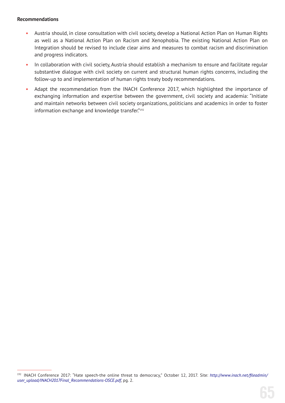#### **Recommendations**

- **•** Austria should, in close consultation with civil society, develop a National Action Plan on Human Rights as well as a National Action Plan on Racism and Xenophobia. The existing National Action Plan on Integration should be revised to include clear aims and measures to combat racism and discrimination and progress indicators.
- **•** In collaboration with civil society, Austria should establish a mechanism to ensure and facilitate regular substantive dialogue with civil society on current and structural human rights concerns, including the follow-up to and implementation of human rights treaty body recommendations.
- **•** Adapt the recommendation from the INACH Conference 2017, which highlighted the importance of exchanging information and expertise between the government, civil society and academia: "Initiate and maintain networks between civil society organizations, politicians and academics in order to foster information exchange and knowledge transfer."<sup>192</sup>

<sup>192</sup> INACH Conference 2017: "Hate speech-the online threat to democracy," October 12, 2017. Site: *[http://www.inach.net/fleadmin/](http://www.inach.net/fileadmin/user_upload/INACH2017Final_Recommendations-OSCE.pdf) [user\\_upload/INACH2017Final\\_Recommendations-OSCE.pdf](http://www.inach.net/fileadmin/user_upload/INACH2017Final_Recommendations-OSCE.pdf)*, pg. 2.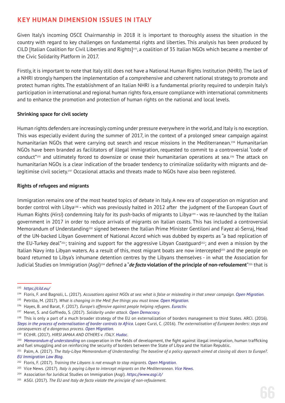# **KEY HUMAN DIMENSION ISSUES IN ITALY**

Given Italy's incoming OSCE Chairmanship in 2018 it is important to thoroughly assess the situation in the country with regard to key challenges on fundamental rights and liberties. This analysis has been produced by CILD [Italian Coalition for Civil Liberties and Rights]193, a coalition of 35 Italian NGOs which became a member of the Civic Solidarity Platform in 2017.

Firstly, it is important to note that Italy still does not have a National Human Rights Institution (NHRI). The lack of a NHRI strongly hampers the implementation of a comprehensive and coherent national strategy to promote and protect human rights. The establishment of an Italian NHRI is a fundamental priority required to underpin Italy's participation in international and regional human rights fora, ensure compliance with international commitments and to enhance the promotion and protection of human rights on the national and local levels.

# **Shrinking space for civil society**

Human rights defenders are increasingly coming under pressure everywhere in the world, and Italy is no exception. This was especially evident during the summer of 2017, in the context of a prolonged smear campaign against humanitarian NGOs that were carrying out search and rescue missions in the Mediterranean.<sup>194</sup> Humanitarian NGOs have been branded as facilitators of illegal immigration, requested to commit to a controversial "code of conduct"195 and ultimately forced to downsize or cease their humanitarian operations at sea.196 The attack on humanitarian NGOs is a clear indication of the broader tendency to criminalize solidarity with migrants and delegitimise civil society.197 Occasional attacks and threats made to NGOs have also been registered.

### **Rights of refugees and migrants**

Immigration remains one of the most heated topics of debate in Italy. A new era of cooperation on migration and border control with Libya<sup>198</sup> - which was previously halted in 2012 after the judgment of the European Court of Human Rights (*Hirsi*) condemning Italy for its push-backs of migrants to Libya<sup>199</sup> - was re-launched by the Italian government in 2017 in order to reduce arrivals of migrants on Italian coasts. This has included a controversial Memorandum of Understanding200 signed between the Italian Prime Minister Gentiloni and Fayez al-Serraj, Head of the UN-backed Libyan Government of National Accord which was dubbed by experts as "a bad replication of the EU-Turkey deal"<sup>201</sup>; training and support for the aggressive Libyan Coastguard<sup>202</sup>; and even a mission by the Italian Navy into Libyan waters. As a result of this, most migrant boats are now intercepted<sup>203</sup> and the people on board returned to Libya's inhumane detention centres by the Libyans themselves - in what the Association for Judicial Studies on Immigration (Asgi)204 defned a "*de facto* **violation of the principle of non-refoulement**"205 that is

<sup>193</sup> *<https://cild.eu/>*

<sup>194</sup> Floris, F. and Bagnoli, L. (2017). *Accusations against NGOs at sea: what is false or misleading in that smear campaign*. *[Open Migration](http://openmigration.org/en/analyses/accusations-against-ngos-at-sea-what-is-false-or-misleading-in-that-smear-campaign/).*

<sup>195</sup> Petrillo, M. (2017). *What is changing in the Med: fve things you must know*. *[Open Migration](https://openmigration.org/en/analyses/what-is-changing-in-the-med-five-things-you-must-know/).*

<sup>196</sup> Hayes, B. and Barat, F. (2017). *Europe's offensive against people helping refugees*. *[Euractiv](https://www.euractiv.com/section/global-europe/opinion/europes-quiet-offensive-against-people-helping-refugees/).*

<sup>197</sup> Meret, S. and Goffredo, S. (2017). *Solidarity under attack*. *[Open Democracy](https://www.opendemocracy.net/can-europe-make-it/susi-meret-sergio-goffredo/solidarity-under-attack).*

 $198$  This is only a part of a much broader strategy of the EU on externalization of borders management to third States. ARCI. (2016). *[Steps in the process of externalisation of border controls to Africa](http://www.integrationarci.it/wp-content/uploads/2016/06/analysisdoc_externalisation_ARCI_ENG.pdf).* Lopez Curzi, C. (2016). *The externalisation of European borders: steps and consequences of a dangerous process*. *[Open Migration](http://openmigration.org/en/analyses/the-externalisation-of-european-borders-steps-and-consequences-of-a-dangerous-process/)*.

<sup>199</sup> ECtHR. (2017). *HIRSI JAMAA AND OTHERS v. ITALY*. *Hudoc*.

<sup>200</sup> *[Memorandum of understanding](http://eumigrationlawblog.eu/wp-content/uploads/2017/10/MEMORANDUM_translation_finalversion.doc.pdf)* on cooperation in the felds of development, the fght against illegal immigration, human traffcking and fuel smuggling and on reinforcing the security of borders between the State of Libya and the Italian Republic.

<sup>201</sup> Palm, A. (2017). *The Italy-Libya Memorandum of Understanding: The baseline of a policy approach aimed at closing all doors to Europe?*. *[EU Immigration Law Blog](http://eumigrationlawblog.eu/the-italy-libya-memorandum-of-understanding-the-baseline-of-a-policy-approach-aimed-at-closing-all-doors-to-europe/)*.

<sup>202</sup> Floris, F. (2017). *Training the Libyans is not enough to stop migrants*. *[Open Migration](http://openmigration.org/en/analyses/training-the-libyans-is-not-enough-to-stop-migrants/)*.

<sup>203</sup> Vice News. (2017). *Italy is paying Libya to intercept migrants on the Mediterranean*. *[Vice News](https://news.vice.com/story/italy-is-paying-libya-to-intercept-migrants-on-the-mediterranean)*.

<sup>204</sup> Association for Juridical Studies on Immigration (Asgi). *<https://www.asgi.it/>*

<sup>205</sup> ASGI. (2017). *The EU and Italy de facto violate the principle of non-refoulement.*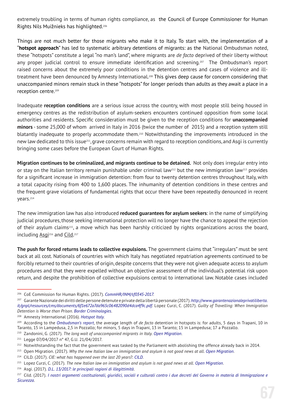extremely troubling in terms of human rights compliance, as the Council of Europe Commissioner for Human Rights Nils Muižnieks has highlighted.<sup>206</sup>

Things are not much better for those migrants who make it to Italy. To start with, the implementation of a "**hotspot approach**" has led to systematic arbitrary detentions of migrants: as the National Ombudsman noted, these "hotspots" constitute a legal "no man's land", where migrants are *de facto* deprived of their liberty without any proper judicial control to ensure immediate identifcation and screening.207 The Ombudsman's report raised concerns about the extremely poor conditions in the detention centres and cases of violence and illtreatment have been denounced by Amnesty International. 208 This gives deep cause for concern considering that unaccompanied minors remain stuck in these "hotspots" for longer periods than adults as they await a place in a reception centre.209

Inadequate **reception conditions** are a serious issue across the country, with most people still being housed in emergency centres as the redistribution of asylum-seekers encounters continued opposition from some local authorities and residents. Specifc consideration must be given to the reception conditions for **unaccompanied minors** - some 25,000 of whom arrived in Italy in 2016 (twice the number of 2015) and a reception system still blatantly inadequate to properly accommodate them.210 Notwithstanding the improvements introduced in the new law dedicated to this issue211, grave concerns remain with regard to reception conditions, and Asgi is currently bringing some cases before the European Court of Human Rights.

**Migration continues to be criminalized, and migrants continue to be detained.** Not only does irregular entry into or stay on the Italian territory remain punishable under criminal law $212$  but the new immigration law $213$  provides for a signifcant increase in immigration detention: from four to twenty detention centres throughout Italy, with a total capacity rising from 400 to 1,600 places. The inhumanity of detention conditions in these centres and the frequent grave violations of fundamental rights that occur there have been repeatedly denounced in recent years.214

The new immigration law has also introduced **reduced guarantees for asylum seekers**: in the name of simplifying judicial procedures, those seeking international protection will no longer have the chance to appeal the rejection of their asylum claims<sup>215</sup>, a move which has been harshly criticized by rights organizations across the board, including Asgi<sup>216</sup> and Cild.<sup>217</sup>

**The push for forced returns leads to collective expulsions.** The government claims that "irregulars" must be sent back at all cost. Nationals of countries with which Italy has negotiated repatriation agreements continued to be forcibly returned to their countries of origin, despite concerns that they were not given adequate access to asylum procedures and that they were expelled without an objective assessment of the individual's potential risk upon return, and despite the prohibition of collective expulsions central to international law. Notable cases included

<sup>214</sup> CILD. (2017). *CIE: what has happened over the last 20 years*?. *[CILD](https://cild.eu/wp-content/uploads/2017/01/CIE-what-has-happened-over-the-last-20-years.pdf)*.

<sup>206</sup> CoE Commission for Human Rights. (2017). *[CommHR/INM/sf0345-2017](https://rm.coe.int/letter-to-the-minister-of-interior-of-italy-regarding-government-s-res/168075baea)*.

<sup>207</sup> Garante Nazionale dei diritti delle persone detenute e private della libertà personale (2017). *[http://www.garantenazionaleprivatiliberta.](http://www.garantenazionaleprivatiliberta.it/gnpl/resources/cms/documents/6f1e672a7da965c06482090d4dca4f9c.pdf) [it/gnpl/resources/cms/documents/6f1e672a7da965c06482090d4dca4f9c.pdf](http://www.garantenazionaleprivatiliberta.it/gnpl/resources/cms/documents/6f1e672a7da965c06482090d4dca4f9c.pdf)*. Lopez Curzi, C. (2017). *Guilty of Travelling: When Immigration Detention is Worse than Prison*. *[Border Criminologies](https://www.law.ox.ac.uk/research-subject-groups/centre-criminology/centreborder-criminologies/blog/2017/07/guilty-travelling)*.

<sup>208</sup> Amnesty International (2016). *[Hotspot Italy](https://www.amnesty.org/en/documents/eur30/5004/2016/en/)*.

<sup>209</sup> According to the *[Ombudsman's report](http://www.garantenazionaleprivatiliberta.it/gnpl/resources/cms/documents/6f1e672a7da965c06482090d4dca4f9c.pdf)*, the average length of *de facto* detention in hotspots is: for adults, 5 days in Trapani, 10 in Taranto, 15 in Lampedusa, 2,5 in Pozzallo; for minors, 5 days in Trapani, 13 in Taranto; 15 in Lampedusa; 17 a Pozzallo.

<sup>210</sup> Zandonini, G. (2017). *The long wait of unaccompanied migrants in Italy*. *[Open Migration](http://openmigration.org/en/analyses/the-long-wait-of-young-unaccompanied-migrants-in-italy/)*.

<sup>211</sup> Legge 07/04/2017 n° 47, G.U. 21/04/2017.

<sup>&</sup>lt;sup>212</sup> Notwithstanding the fact that the government was tasked by the Parliament with abolishing the offence already back in 2014.

<sup>213</sup> Open Migration. (2017). *Why the new Italian law on immigration and asylum is not good news at all*. *[Open Migration](https://openmigration.org/en/analyses/why-the-new-italian-law-on-immigration-and-asylum-is-not-good-news-at-all/)*.

<sup>215</sup> Lopez Curzi, C. (2017). *The new Italian law on immigration and asylum is not good news at all*. *[Open Migration](https://openmigration.org/en/analyses/why-the-new-italian-law-on-immigration-and-asylum-is-not-good-news-at-all/)*.

<sup>216</sup> Asgi. (2017). *[D.L. 13/2017: le principali ragioni di illegittimità](https://www.asgi.it/wp-content/uploads/2017/03/2017_3_17_ASGI_DL_13_17_analisi.pdf)*.

<sup>217</sup> Cild. (2017). *[I nostri argomenti costituzionali, giuridici, sociali e culturali contro i due decreti del Governo in materia di Immigrazione e](https://cild.eu/wp-content/uploads/2017/06/Note_DL-Immigrazione-e-Sicurezza-1.pdf) [Sicurezza](https://cild.eu/wp-content/uploads/2017/06/Note_DL-Immigrazione-e-Sicurezza-1.pdf)*.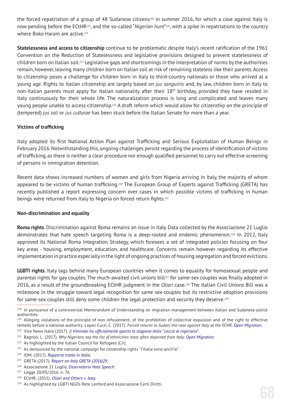the forced repatriation of a group of 48 Sudanese citizens<sup>218</sup> in summer 2016, for which a case against Italy is now pending before the ECtHR219, and the so-called "*Nigerian hunt*"220, with a spike in repatriations to the country where Boko Haram are active.<sup>221</sup>

**Statelessness and access to citizenship** continue to be problematic despite Italy's recent ratifcation of the 1961 Convention on the Reduction of Statelessness and legislative provisions designed to prevent statelessness of children born on Italian soil.222 Legislative gaps and shortcomings in the interpretation of norms by the authorities remain, however, leaving many children born on Italian soil at risk of remaining stateless like their parents. Access to citizenship poses a challenge for children born in Italy to third-country nationals or those who arrived at a young age. Rights to Italian citizenship are largely based on *jus sanguinis* and, by law, children born in Italy to non-Italian parents must apply for Italian nationality after their 18<sup>th</sup> birthday, provided they have resided in Italy continuously for their whole life. The naturalization process is long and complicated and leaves many young people unable to access citizenship.223 A draft reform which would allow for citizenship on the principle of (tempered) *jus soli* or *jus culturae* has been stuck before the Italian Senate for more than a year.

# **Victims of traffcking**

Italy adopted its frst National Action Plan against Traffcking and Serious Exploitation of Human Beings in February 2016. Notwithstanding this, ongoing challenges persist regarding the process of identifcation of victims of traffcking, as there is neither a clear procedure nor enough qualifed personnel to carry out effective screening of persons in immigration detention.

Recent data shows increased numbers of women and girls from Nigeria arriving in Italy, the majority of whom appeared to be victims of human trafficking.<sup>224</sup> The European Group of Experts against Trafficking (GRETA) has recently published a report expressing concern over cases in which possible victims of traffcking in human beings were returned from Italy to Nigeria on forced return fights.<sup>225</sup>

#### **Non-discrimination and equality**

**Roma rights**. Discrimination against Roma remains an issue in Italy. Data collected by the Associazione 21 Luglio demonstrates that hate speech targeting Roma is a deep-rooted and endemic phenomenon.226 In 2012, Italy approved its National Roma Integration Strategy, which foresees a set of integrated policies focusing on four key areas - housing, employment, education, and healthcare. Concerns remain however regarding its effective implementation in practice especially in the light of ongoing practices of housing segregation and forced evictions.

**LGBTI rights**. Italy lags behind many European countries when it comes to equality for homosexual people and parental rights for gay couples. The much-awaited civil unions bill227 for same-sex couples was fnally adopted in 2016, as a result of the groundbreaking ECtHR judgment in the *Oliari* case. 228 The Italian Civil Unions Bill was a milestone in the struggle toward legal recognition for same sex-couples but its restrictive adoption provisions for same-sex couples still deny some children the legal protection and security they deserve.<sup>229</sup>

<sup>&</sup>lt;sup>218</sup> In pursuance of a controversial Memorandum of Understanding on migration management between Italian and Sudanese police authorities.

<sup>&</sup>lt;sup>219</sup> Alleging violations of the principle of non refoulement, of the prohibition of collective expulsion and of the right to effective remedy before a national authority. Lopez Curzi, C. (2017). *Forced returns to Sudan, the case against Italy at the ECHR*. *[Open Migration](https://openmigration.org/en/analyses/forced-returns-to-sudan-the-case-against-italy-at-the-echr/)*. <sup>220</sup> Vice News Italia (2017). *[Il Viminale ha uffcialmente aperto la stagione della "caccia al nigeriano"](https://news.vice.com/it/article/ministero-interno-italiano-telegramma-nigeriani)*.

<sup>221</sup> Bagnoli, L. (2017). *Why Nigerians top the list of ethnicities most often deported from Italy*. *[Open Migration](http://openmigration.org/en/analyses/why-nigerians-top-the-list-of-ethnicities-most-often-deported-from-italy-and-how-much-does-it-cost/)*.

<sup>&</sup>lt;sup>222</sup> As highlighted by the Italian Council for Refugees (Cir).

 $223$  As denounced by the national campaign for citizenship rights "l'Italia sono anch'io".

<sup>224</sup> IOM. (2017). *[Rapporto tratta in Italia](http://www.italy.iom.int/sites/default/files/news-documents/RAPPORTO_OIM_Vittime_di_tratta_0.pdf)*.

<sup>225</sup> GRETA (2017). *[Report on Italy GRETA \(2016\)29](https://rm.coe.int/16806edf35)*.

<sup>226</sup> Associazione 21 Luglio, *[Osservatorio Hate Speech](http://www.21luglio.org/21luglio/osservatorio/)*.

<sup>227</sup> Legge 20/05/2016, n. 76.

<sup>228</sup> ECtHR. (2015). *[Oliari and Others v. Italy](https://hudoc.echr.coe.int/eng?i=001-156265).*

<sup>&</sup>lt;sup>229</sup> As highlighted by LGBTI NGOs Rete Lenford and Associazione Certi Diritti.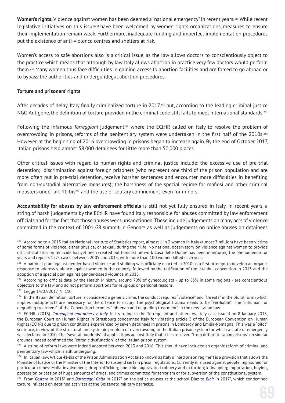**Women's rights.** Violence against women has been deemed a "national emergency" in recent years.<sup>230</sup> While recent legislative initiatives on this issue231 have been welcomed by women rights organizations, measures to ensure their implementation remain weak. Furthermore, inadequate funding and imperfect implementation procedures put the existence of anti-violence centres and shelters at risk.

Women's access to safe abortions also is a critical issue, as the law allows doctors to conscientiously object to the practice which means that although by law Italy allows abortion in practice very few doctors would perform them.232 Many women thus face diffculties in gaining access to abortion facilities and are forced to go abroad or to bypass the authorities and undergo illegal abortion procedures.

# **Torture and prisoners' rights**

After decades of delay, Italy finally criminalized torture in 2017,<sup>233</sup> but, according to the leading criminal justice NGO Antigone, the definition of torture provided in the criminal code still fails to meet international standards.<sup>234</sup>

Following the infamous *Torreggiani* judgement<sup>235</sup> where the ECtHR called on Italy to resolve the problem of overcrowding in prisons, reforms of the penitentiary system were undertaken in the frst half of the 2010s.<sup>236</sup> However, at the beginning of 2016 overcrowding in prisons began to increase again. By the end of October 2017, Italian prisons held almost 58,000 detainees for little more than 50,000 places.

Other critical issues with regard to human rights and criminal justice include: the excessive use of pre-trial detention; discrimination against foreign prisoners (who represent one third of the prison population and are more often put in pre-trial detention, receive harsher sentences and encounter more diffculties in benefting from non-custodial alternative measures); the harshness of the special regime for mafosi and other criminal mobsters under art 41-bis<sup>237</sup> and the use of solitary confinement, even for minors.

**Accountability for abuses by law enforcement offcials** is still not yet fully ensured in Italy. In recent years, a string of harsh judgements by the ECtHR have found Italy responsible for abuses committed by law enforcement offcials and for the fact that those abuses went unsanctioned. These include judgements on many acts of violence committed in the context of 2001 G8 summit in Genoa<sup>238</sup> as well as judgements on police abuses on detainees

<sup>&</sup>lt;sup>230</sup> According to a 2015 Italian National Institute of Statistics report, almost 1 in 3 women in Italy (almost 7 million) have been victims of some forms of violence, either physical or sexual, during their life. No national observatory on violence against women to provide offcial statistics on femicide has yet been created but feminist network Casa delle Donne has been monitoring the phenomenon for years and reports 1274 cases between 2005 and 2015, with more than 100 women killed each year.

<sup>&</sup>lt;sup>231</sup> A national plan against gender-based violence and stalking was officially enacted in 2010 as a first attempt to develop an organic response to address violence against women in the country, followed by the ratifcation of the Istanbul convention in 2013 and the adoption of a special plan against gender-based violence in 2015.

 $232$  According to official data by the Health Ministry, around 70% of gynecologists - up to 83% in some regions - are conscientious objectors to the law and do not perform abortions for religious or personal reasons.

<sup>233</sup> Legge 14/07/2017, N. 110.

<sup>&</sup>lt;sup>234</sup> In the Italian definition, torture is considered a generic crime, the conduct requires "violence" and "threats" in the plural form (which implies multiple acts are necessary for the offence to occur). The psychological trauma needs to be "verifable". The "inhuman or degrading treatment" of the Convention becomes "inhuman and degrading treatment" in the new Italian law.

<sup>235</sup> ECtHR. (2013). *[Torreggiani and others v. Italy](https://www.lawteacher.net/cases/torreggiani-and-others-v-italy.php)*. In its ruling in the Torreggiani and others vs. Italy case issued on 8 January 2013, the European Court on Human Rights in Strasbourg condemned Italy for violating article 3 of the European Convention on Human Rights (ECHR) due to prison conditions experienced by seven detainees in prisons in Lombardy and Emilia-Romagna. This was a "pilot" sentence, in view of the structural and systemic problem of overcrowding in the Italian prison system for which a state of emergency was declared in 2010. The "several hundreds" of applications against Italy that it has received "from different Italian prisons" on similar grounds indeed confrmed the "chronic dysfunction" of the Italian prison system.

<sup>&</sup>lt;sup>236</sup> A string of reform laws were indeed adopted between 2013 and 2016. This should have included an organic reform of criminal and penitentiary law which is still undergoing.

 $^{237}$  In Italian law, Article 41-bis of the Prison Administration Act (also known as Italy's "hard prison regime") is a provision that allows the Minister of Justice or the Minister of the Interior to suspend certain prison regulations. Currently it is used against people imprisoned for particular crimes: Mafa involvement; drug-traffcking; homicide; aggravated robbery and extortion; kidnapping; importation, buying, possession or cession of huge amounts of drugs; and crimes committed for terrorism or for subversion of the constitutional system.

<sup>&</sup>lt;sup>238</sup> From [Cestaro](https://hudoc.echr.coe.int/sites/eng-press/pages/search.aspx?i=003-5056783-6219425) in 2015<sup>#</sup> and *[Bartesaghi Gallo](https://hudoc.echr.coe.int/eng-press?i=003-5758118-7319590)* in 2017<sup>#</sup> on the police abuses at the school Diaz to *Blair* in 2017<sup>#</sup>, which condemned torture inficted on detained activists at the Bolzaneto military barracks).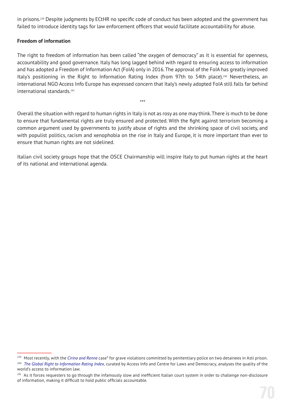in prisons.239 Despite judgments by ECtHR no specifc code of conduct has been adopted and the government has failed to introduce identity tags for law enforcement officers that would facilitate accountability for abuse.

# **Freedom of information**

The right to freedom of information has been called "the oxygen of democracy" as it is essential for openness, accountability and good governance. Italy has long lagged behind with regard to ensuring access to information and has adopted a Freedom of Information Act (FoIA) only in 2016. The approval of the FoIA has greatly improved Italy's positioning in the Right to Information Rating Index (from 97th to 54th place).<sup>240</sup> Nevertheless, an international NGO Access Info Europe has expressed concern that Italy's newly adopted FoIA still falls far behind international standards.<sup>241</sup>

Overall the situation with regard to human rights in Italy is not as rosy as one may think. There is much to be done to ensure that fundamental rights are truly ensured and protected. With the fght against terrorism becoming a common argument used by governments to justify abuse of rights and the shrinking space of civil society, and with populist politics, racism and xenophobia on the rise in Italy and Europe, it is more important than ever to ensure that human rights are not sidelined.

\*\*\*

Italian civil society groups hope that the OSCE Chairmanship will inspire Italy to put human rights at the heart of its national and international agenda.

<sup>&</sup>lt;sup>239</sup> Most recently, with the *Cirino and Renne* case<sup>#</sup> for grave violations committed by penitentiary police on two detainees in Asti prison. <sup>240</sup> *[The Global Right to Information Rating Index](http://www.rti-rating.org/)*, curated by Access Info and Centre for Laws and Democracy, analyses the quality of the world's access to information law.

<sup>&</sup>lt;sup>241</sup> As it forces requesters to go through the infamously slow and inefficient Italian court system in order to challenge non-disclosure of information, making it diffcult to hold public offcials accountable.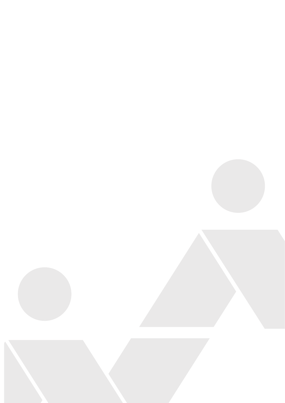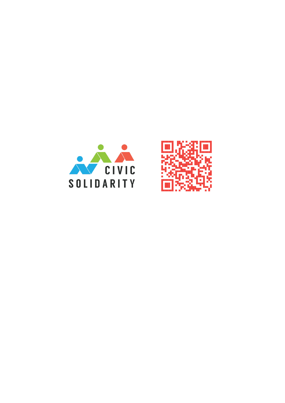